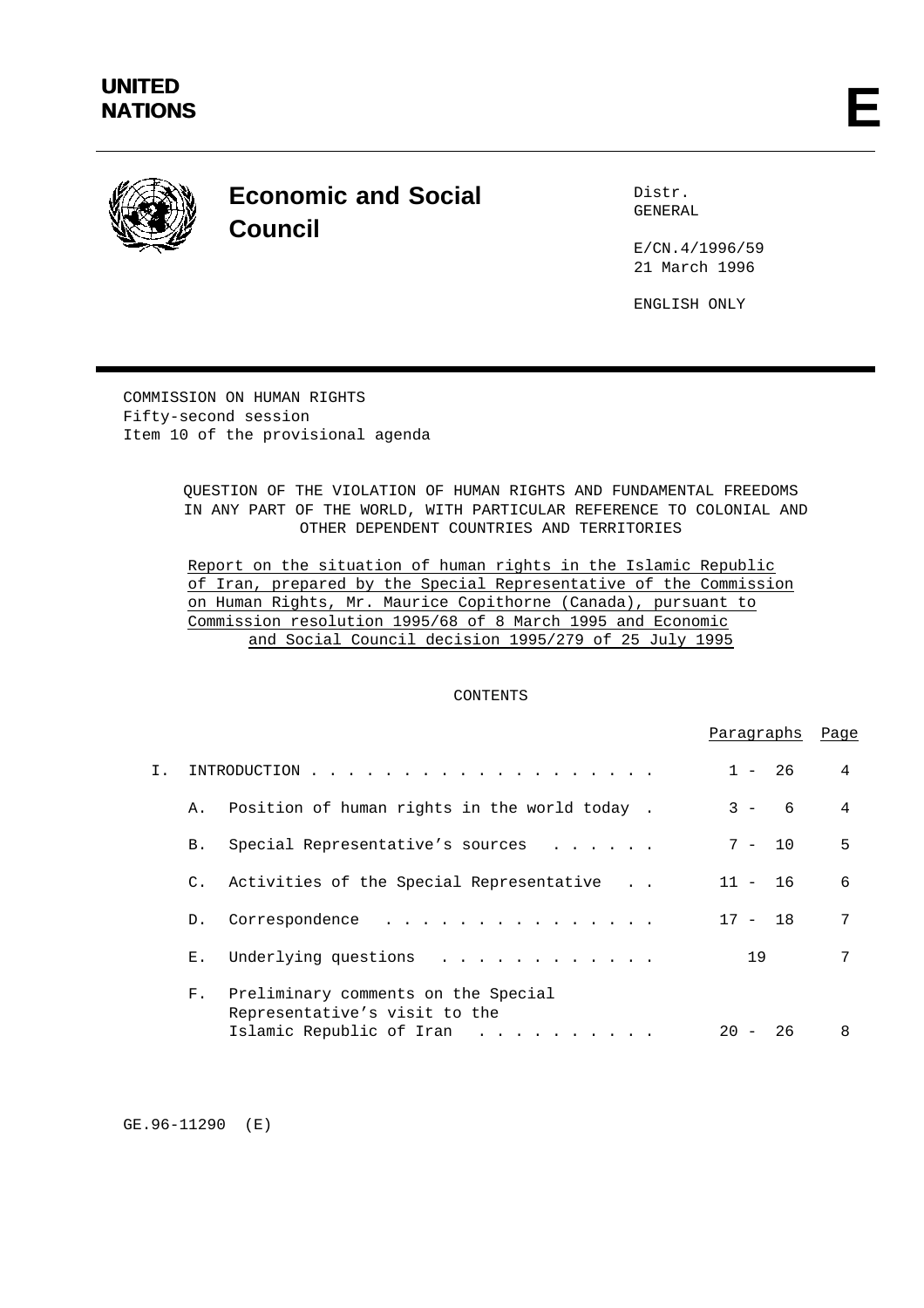

# **Economic and Social Council**

Distr. GENERAL

E/CN.4/1996/59 21 March 1996

ENGLISH ONLY

COMMISSION ON HUMAN RIGHTS Fifty-second session Item 10 of the provisional agenda

> QUESTION OF THE VIOLATION OF HUMAN RIGHTS AND FUNDAMENTAL FREEDOMS IN ANY PART OF THE WORLD, WITH PARTICULAR REFERENCE TO COLONIAL AND OTHER DEPENDENT COUNTRIES AND TERRITORIES

Report on the situation of human rights in the Islamic Republic of Iran, prepared by the Special Representative of the Commission on Human Rights, Mr. Maurice Copithorne (Canada), pursuant to Commission resolution 1995/68 of 8 March 1995 and Economic and Social Council decision 1995/279 of 25 July 1995

# CONTENTS

|    |                 |                                                                                                       | Paragraphs   | Page |
|----|-----------------|-------------------------------------------------------------------------------------------------------|--------------|------|
| Ι. |                 | INTRODUCTION                                                                                          | $1 - 26$     | 4    |
|    |                 | A. Position of human rights in the world today.                                                       | $3 - 6$      | 4    |
|    | B.              | Special Representative's sources                                                                      | $7 - 10$     | 5    |
|    | $\mathcal{C}$ . | Activities of the Special Representative                                                              | $11 - 16$    | 6    |
|    | D.              | Correspondence<br>.                                                                                   | $17 - 18$    | 7    |
|    | $E_{\perp}$     | Underlying questions                                                                                  | 19           | 7    |
|    | $F_{\rm{1}}$    | Preliminary comments on the Special<br>Representative's visit to the<br>Islamic Republic of Iran<br>. | 26<br>$20 -$ | 8    |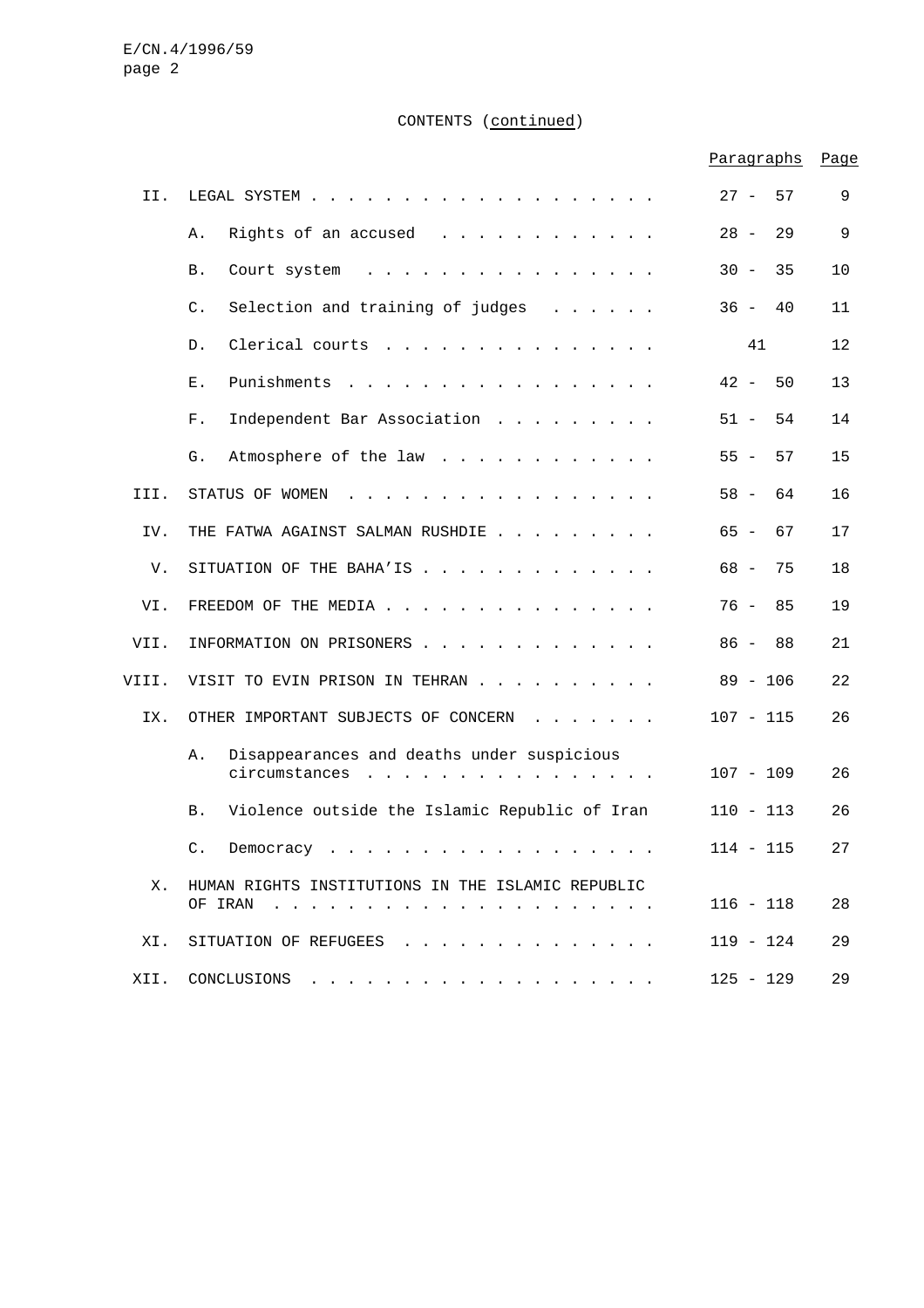# CONTENTS (continued)

|       |                                                                                                                                                                                      | Paragraphs   | Page |
|-------|--------------------------------------------------------------------------------------------------------------------------------------------------------------------------------------|--------------|------|
| II.   |                                                                                                                                                                                      | $27 -$<br>57 | 9    |
|       | Rights of an accused<br>Α.<br>$\mathcal{L}^{\mathcal{A}}$ . The contract of the contract of the contract of $\mathcal{L}^{\mathcal{A}}$                                              | $28 -$<br>29 | 9    |
|       | Β.<br>Court system<br>$\cdot$ $\cdot$ $\cdot$ $\cdot$ $\cdot$ $\cdot$<br>$\mathbf{r}$ , $\mathbf{r}$ , $\mathbf{r}$ , $\mathbf{r}$                                                   | $30 -$<br>35 | 10   |
|       | $\mathsf{C}$ .<br>Selection and training of judges<br>$\mathbf{1}$ , and $\mathbf{1}$ , and $\mathbf{1}$ , and $\mathbf{1}$                                                          | $36 -$<br>40 | 11   |
|       | Clerical courts<br>D.                                                                                                                                                                | 41           | 12   |
|       | Punishments<br>Ε.<br>$\sim$ $\sim$ $\sim$<br>$\sim$                                                                                                                                  | $42 -$<br>50 | 13   |
|       | ${\rm F}$ .<br>Independent Bar Association                                                                                                                                           | $51 -$<br>54 | 14   |
|       | G.<br>Atmosphere of the law                                                                                                                                                          | $55 -$<br>57 | 15   |
| III.  | STATUS OF WOMEN<br>$\mathbf{r}$ and $\mathbf{r}$ and $\mathbf{r}$<br>$\sim$                                                                                                          | $58 -$<br>64 | 16   |
| IV.   | THE FATWA AGAINST SALMAN RUSHDIE                                                                                                                                                     | $65 -$<br>67 | 17   |
| V.    | SITUATION OF THE BAHA'IS                                                                                                                                                             | 68 –<br>75   | 18   |
| VI.   | FREEDOM OF THE MEDIA                                                                                                                                                                 | 76 -<br>85   | 19   |
| VII.  | INFORMATION ON PRISONERS                                                                                                                                                             | $86 -$<br>88 | 21   |
| VIII. | VISIT TO EVIN PRISON IN TEHRAN                                                                                                                                                       | $89 - 106$   | 22   |
| IX.   | OTHER IMPORTANT SUBJECTS OF CONCERN<br>$\cdot$ $\cdot$ $\cdot$ $\cdot$ $\cdot$ $\cdot$ $\cdot$ $\cdot$                                                                               | $107 - 115$  | 26   |
|       | Disappearances and deaths under suspicious<br>Α.<br>circumstances<br>the contract of the contract of the contract of the contract of the contract of the contract of the contract of | $107 - 109$  | 26   |
|       | Violence outside the Islamic Republic of Iran<br>Β.                                                                                                                                  | $110 - 113$  | 26   |
|       | C. Democracy                                                                                                                                                                         | $114 - 115$  | 27   |
| Х.    | HUMAN RIGHTS INSTITUTIONS IN THE ISLAMIC REPUBLIC                                                                                                                                    | $116 - 118$  | 28   |
| XI.   | SITUATION OF REFUGEES                                                                                                                                                                | 119 - 124    | 29   |
|       | XII. CONCLUSIONS                                                                                                                                                                     | $125 - 129$  | 29   |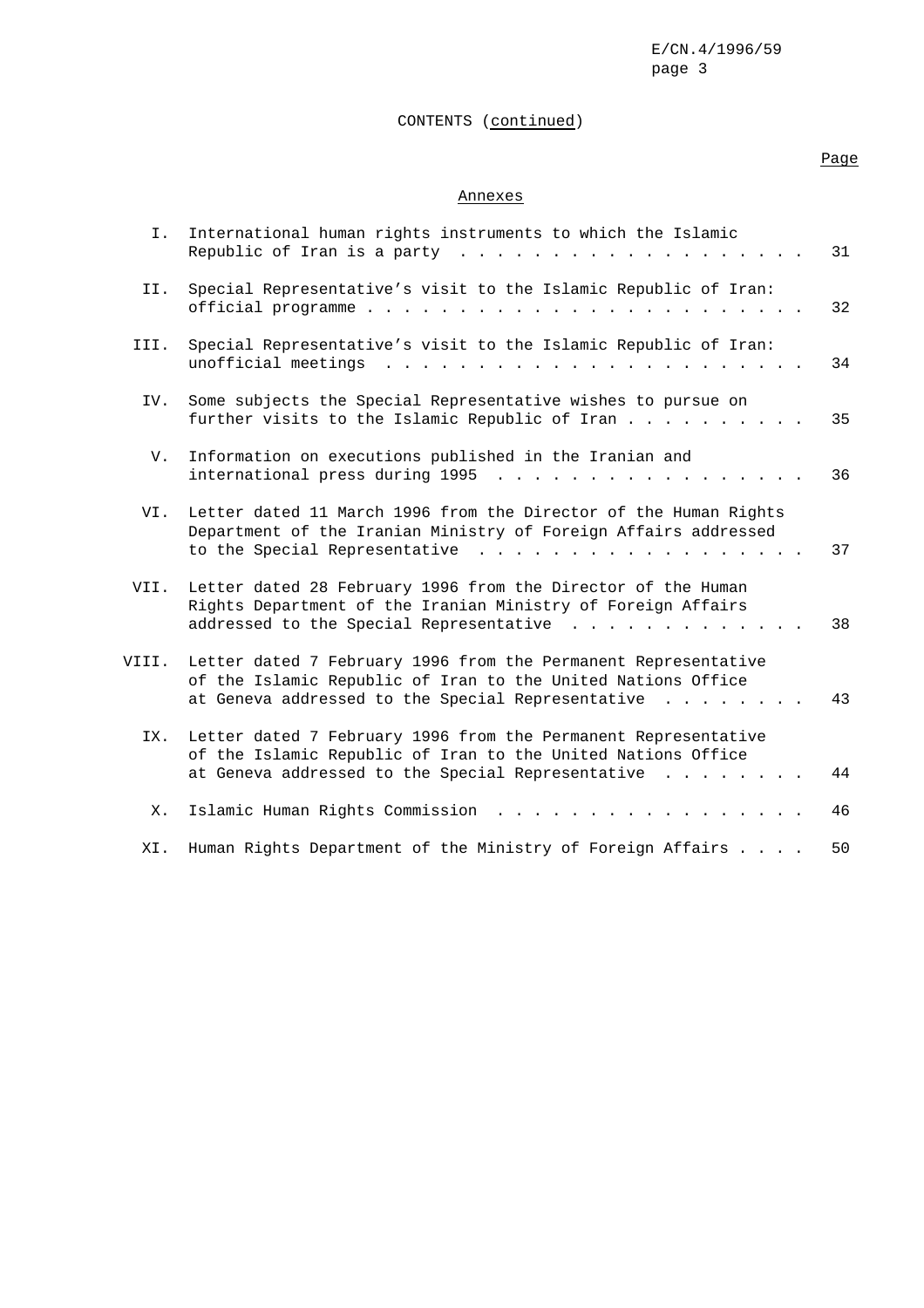# CONTENTS (continued)

# Page

# Annexes

| Ι.    | International human rights instruments to which the Islamic<br>Republic of Iran is a party $\ldots$                                                                                                                                                                                                                          | 31 |
|-------|------------------------------------------------------------------------------------------------------------------------------------------------------------------------------------------------------------------------------------------------------------------------------------------------------------------------------|----|
| II.   | Special Representative's visit to the Islamic Republic of Iran:<br>official programme                                                                                                                                                                                                                                        | 32 |
| III.  | Special Representative's visit to the Islamic Republic of Iran:<br>unofficial meetings<br>$\mathcal{L}$ . The state of the state of the state of the state of the state of the state of the state of the state of the state of the state of the state of the state of the state of the state of the state of the state of th | 34 |
| IV.   | Some subjects the Special Representative wishes to pursue on<br>further visits to the Islamic Republic of Iran                                                                                                                                                                                                               | 35 |
| V.    | Information on executions published in the Iranian and<br>international press during 1995<br>$\frac{1}{2}$ , $\frac{1}{2}$ , $\frac{1}{2}$ , $\frac{1}{2}$ , $\frac{1}{2}$ , $\frac{1}{2}$ , $\frac{1}{2}$ , $\frac{1}{2}$ , $\frac{1}{2}$ , $\frac{1}{2}$                                                                   | 36 |
| VI.   | Letter dated 11 March 1996 from the Director of the Human Rights<br>Department of the Iranian Ministry of Foreign Affairs addressed<br>to the Special Representative<br>$\mathbf{r}$ , $\mathbf{r}$ , $\mathbf{r}$ , $\mathbf{r}$ , $\mathbf{r}$ , $\mathbf{r}$                                                              | 37 |
| VII.  | Letter dated 28 February 1996 from the Director of the Human<br>Rights Department of the Iranian Ministry of Foreign Affairs<br>addressed to the Special Representative                                                                                                                                                      | 38 |
| VIII. | Letter dated 7 February 1996 from the Permanent Representative<br>of the Islamic Republic of Iran to the United Nations Office<br>at Geneva addressed to the Special Representative                                                                                                                                          | 43 |
| IX.   | Letter dated 7 February 1996 from the Permanent Representative<br>of the Islamic Republic of Iran to the United Nations Office<br>at Geneva addressed to the Special Representative                                                                                                                                          | 44 |
| Х.    | Islamic Human Rights Commission                                                                                                                                                                                                                                                                                              | 46 |
| XI.   | Human Rights Department of the Ministry of Foreign Affairs                                                                                                                                                                                                                                                                   | 50 |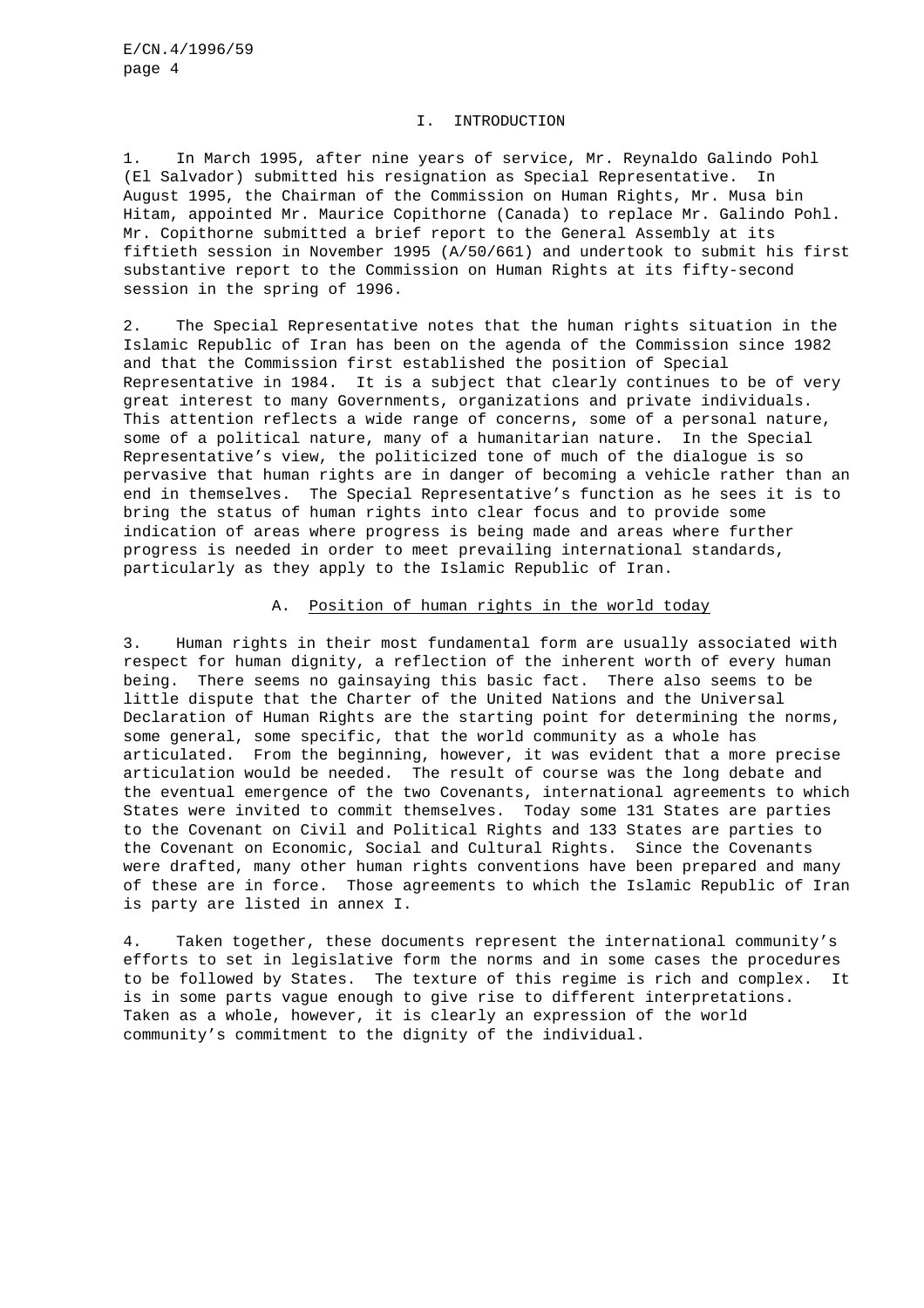#### I. INTRODUCTION

1. In March 1995, after nine years of service, Mr. Reynaldo Galindo Pohl (El Salvador) submitted his resignation as Special Representative. In August 1995, the Chairman of the Commission on Human Rights, Mr. Musa bin Hitam, appointed Mr. Maurice Copithorne (Canada) to replace Mr. Galindo Pohl. Mr. Copithorne submitted a brief report to the General Assembly at its fiftieth session in November 1995 (A/50/661) and undertook to submit his first substantive report to the Commission on Human Rights at its fifty-second session in the spring of 1996.

2. The Special Representative notes that the human rights situation in the Islamic Republic of Iran has been on the agenda of the Commission since 1982 and that the Commission first established the position of Special Representative in 1984. It is a subject that clearly continues to be of very great interest to many Governments, organizations and private individuals. This attention reflects a wide range of concerns, some of a personal nature, some of a political nature, many of a humanitarian nature. In the Special Representative's view, the politicized tone of much of the dialogue is so pervasive that human rights are in danger of becoming a vehicle rather than an end in themselves. The Special Representative's function as he sees it is to bring the status of human rights into clear focus and to provide some indication of areas where progress is being made and areas where further progress is needed in order to meet prevailing international standards, particularly as they apply to the Islamic Republic of Iran.

## A. Position of human rights in the world today

3. Human rights in their most fundamental form are usually associated with respect for human dignity, a reflection of the inherent worth of every human being. There seems no gainsaying this basic fact. There also seems to be little dispute that the Charter of the United Nations and the Universal Declaration of Human Rights are the starting point for determining the norms, some general, some specific, that the world community as a whole has articulated. From the beginning, however, it was evident that a more precise articulation would be needed. The result of course was the long debate and the eventual emergence of the two Covenants, international agreements to which States were invited to commit themselves. Today some 131 States are parties to the Covenant on Civil and Political Rights and 133 States are parties to the Covenant on Economic, Social and Cultural Rights. Since the Covenants were drafted, many other human rights conventions have been prepared and many of these are in force. Those agreements to which the Islamic Republic of Iran is party are listed in annex I.

4. Taken together, these documents represent the international community's efforts to set in legislative form the norms and in some cases the procedures to be followed by States. The texture of this regime is rich and complex. It is in some parts vague enough to give rise to different interpretations. Taken as a whole, however, it is clearly an expression of the world community's commitment to the dignity of the individual.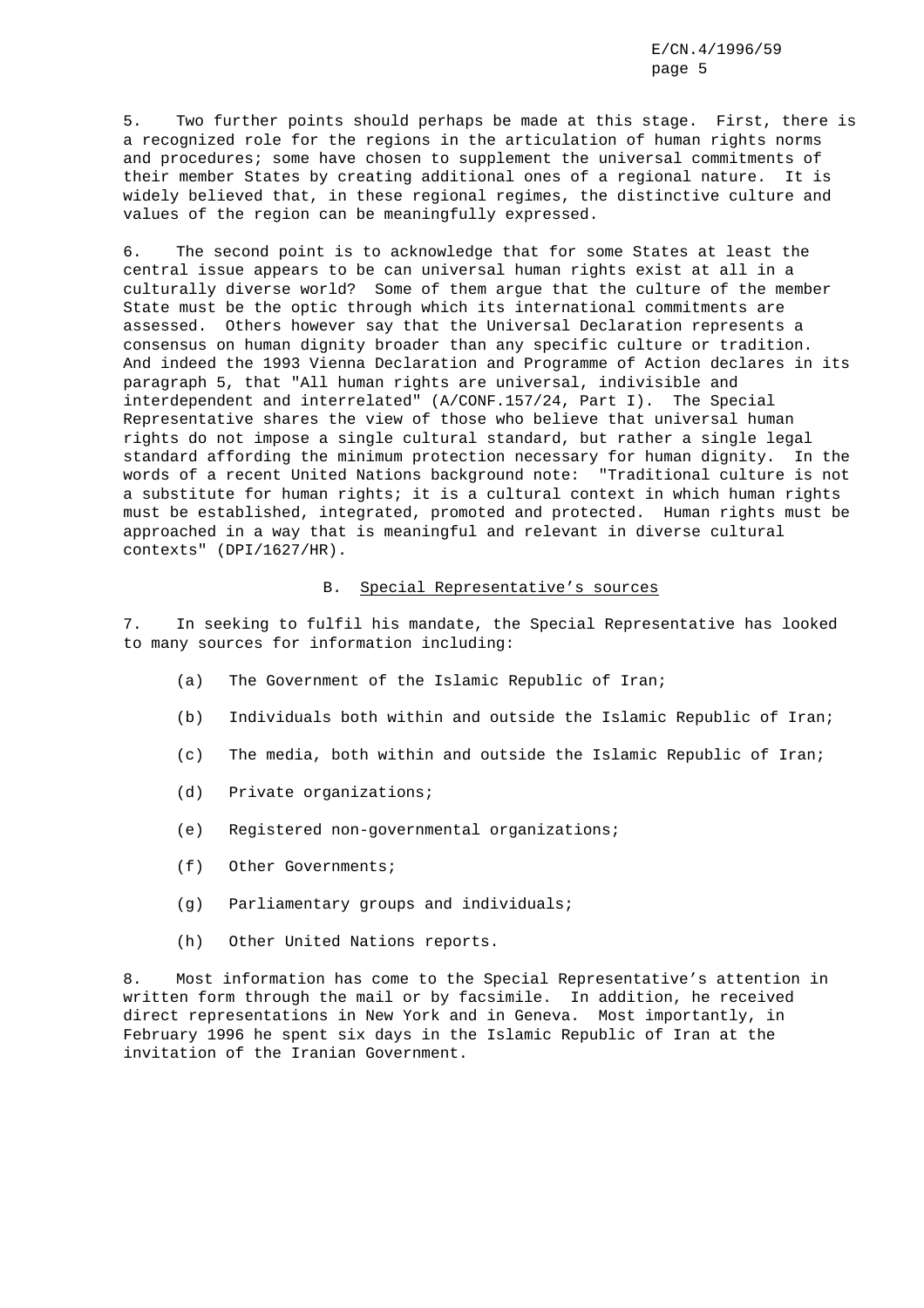5. Two further points should perhaps be made at this stage. First, there is a recognized role for the regions in the articulation of human rights norms and procedures; some have chosen to supplement the universal commitments of their member States by creating additional ones of a regional nature. It is widely believed that, in these regional regimes, the distinctive culture and values of the region can be meaningfully expressed.

6. The second point is to acknowledge that for some States at least the central issue appears to be can universal human rights exist at all in a culturally diverse world? Some of them argue that the culture of the member State must be the optic through which its international commitments are assessed. Others however say that the Universal Declaration represents a consensus on human dignity broader than any specific culture or tradition. And indeed the 1993 Vienna Declaration and Programme of Action declares in its paragraph 5, that "All human rights are universal, indivisible and interdependent and interrelated" (A/CONF.157/24, Part I). The Special Representative shares the view of those who believe that universal human rights do not impose a single cultural standard, but rather a single legal standard affording the minimum protection necessary for human dignity. In the words of a recent United Nations background note: "Traditional culture is not a substitute for human rights; it is a cultural context in which human rights must be established, integrated, promoted and protected. Human rights must be approached in a way that is meaningful and relevant in diverse cultural contexts" (DPI/1627/HR).

# B. Special Representative's sources

7. In seeking to fulfil his mandate, the Special Representative has looked to many sources for information including:

- (a) The Government of the Islamic Republic of Iran;
- (b) Individuals both within and outside the Islamic Republic of Iran;
- (c) The media, both within and outside the Islamic Republic of Iran;
- (d) Private organizations;
- (e) Registered non-governmental organizations;
- (f) Other Governments;
- (g) Parliamentary groups and individuals;
- (h) Other United Nations reports.

8. Most information has come to the Special Representative's attention in written form through the mail or by facsimile. In addition, he received direct representations in New York and in Geneva. Most importantly, in February 1996 he spent six days in the Islamic Republic of Iran at the invitation of the Iranian Government.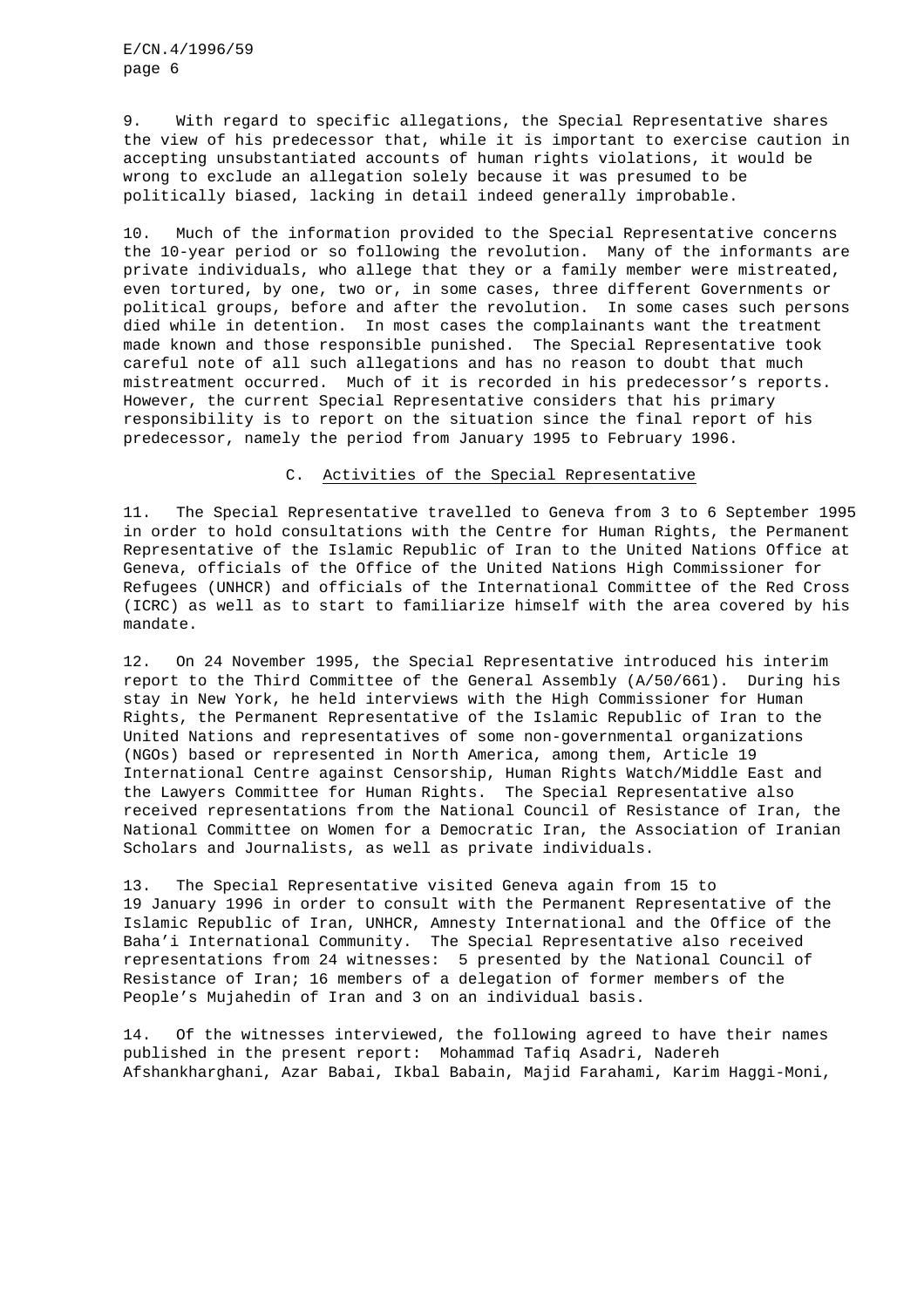9. With regard to specific allegations, the Special Representative shares the view of his predecessor that, while it is important to exercise caution in accepting unsubstantiated accounts of human rights violations, it would be wrong to exclude an allegation solely because it was presumed to be politically biased, lacking in detail indeed generally improbable.

10. Much of the information provided to the Special Representative concerns the 10-year period or so following the revolution. Many of the informants are private individuals, who allege that they or a family member were mistreated, even tortured, by one, two or, in some cases, three different Governments or political groups, before and after the revolution. In some cases such persons died while in detention. In most cases the complainants want the treatment made known and those responsible punished. The Special Representative took careful note of all such allegations and has no reason to doubt that much mistreatment occurred. Much of it is recorded in his predecessor's reports. However, the current Special Representative considers that his primary responsibility is to report on the situation since the final report of his predecessor, namely the period from January 1995 to February 1996.

# C. Activities of the Special Representative

11. The Special Representative travelled to Geneva from 3 to 6 September 1995 in order to hold consultations with the Centre for Human Rights, the Permanent Representative of the Islamic Republic of Iran to the United Nations Office at Geneva, officials of the Office of the United Nations High Commissioner for Refugees (UNHCR) and officials of the International Committee of the Red Cross (ICRC) as well as to start to familiarize himself with the area covered by his mandate.

12. On 24 November 1995, the Special Representative introduced his interim report to the Third Committee of the General Assembly (A/50/661). During his stay in New York, he held interviews with the High Commissioner for Human Rights, the Permanent Representative of the Islamic Republic of Iran to the United Nations and representatives of some non-governmental organizations (NGOs) based or represented in North America, among them, Article 19 International Centre against Censorship, Human Rights Watch/Middle East and the Lawyers Committee for Human Rights. The Special Representative also received representations from the National Council of Resistance of Iran, the National Committee on Women for a Democratic Iran, the Association of Iranian Scholars and Journalists, as well as private individuals.

13. The Special Representative visited Geneva again from 15 to 19 January 1996 in order to consult with the Permanent Representative of the Islamic Republic of Iran, UNHCR, Amnesty International and the Office of the Baha'i International Community. The Special Representative also received representations from 24 witnesses: 5 presented by the National Council of Resistance of Iran; 16 members of a delegation of former members of the People's Mujahedin of Iran and 3 on an individual basis.

14. Of the witnesses interviewed, the following agreed to have their names published in the present report: Mohammad Tafiq Asadri, Nadereh Afshankharghani, Azar Babai, Ikbal Babain, Majid Farahami, Karim Haggi-Moni,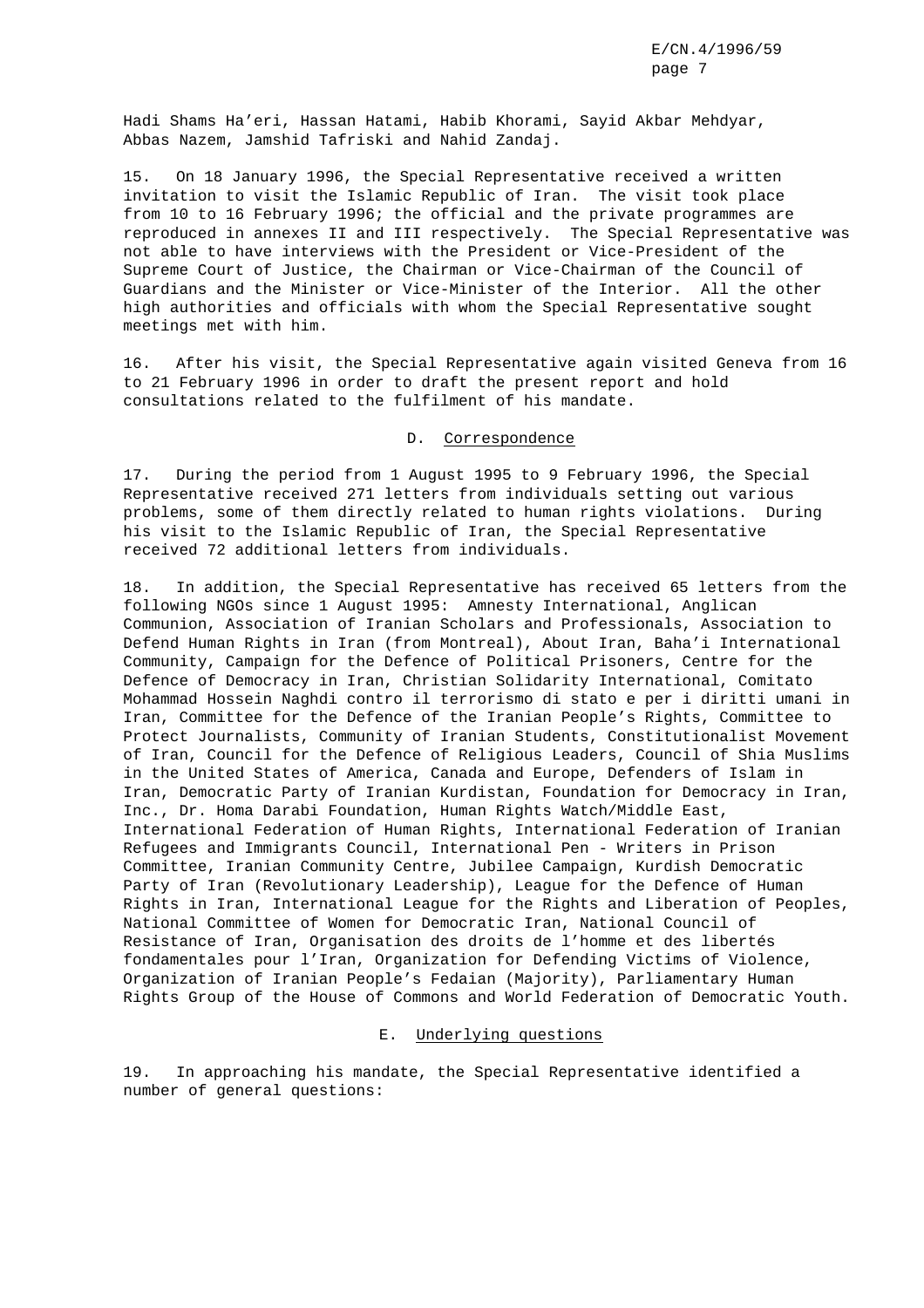Hadi Shams Ha'eri, Hassan Hatami, Habib Khorami, Sayid Akbar Mehdyar, Abbas Nazem, Jamshid Tafriski and Nahid Zandaj.

15. On 18 January 1996, the Special Representative received a written invitation to visit the Islamic Republic of Iran. The visit took place from 10 to 16 February 1996; the official and the private programmes are reproduced in annexes II and III respectively. The Special Representative was not able to have interviews with the President or Vice-President of the Supreme Court of Justice, the Chairman or Vice-Chairman of the Council of Guardians and the Minister or Vice-Minister of the Interior. All the other high authorities and officials with whom the Special Representative sought meetings met with him.

16. After his visit, the Special Representative again visited Geneva from 16 to 21 February 1996 in order to draft the present report and hold consultations related to the fulfilment of his mandate.

#### D. Correspondence

17. During the period from 1 August 1995 to 9 February 1996, the Special Representative received 271 letters from individuals setting out various problems, some of them directly related to human rights violations. During his visit to the Islamic Republic of Iran, the Special Representative received 72 additional letters from individuals.

18. In addition, the Special Representative has received 65 letters from the following NGOs since 1 August 1995: Amnesty International, Anglican Communion, Association of Iranian Scholars and Professionals, Association to Defend Human Rights in Iran (from Montreal), About Iran, Baha'i International Community, Campaign for the Defence of Political Prisoners, Centre for the Defence of Democracy in Iran, Christian Solidarity International, Comitato Mohammad Hossein Naghdi contro il terrorismo di stato e per i diritti umani in Iran, Committee for the Defence of the Iranian People's Rights, Committee to Protect Journalists, Community of Iranian Students, Constitutionalist Movement of Iran, Council for the Defence of Religious Leaders, Council of Shia Muslims in the United States of America, Canada and Europe, Defenders of Islam in Iran, Democratic Party of Iranian Kurdistan, Foundation for Democracy in Iran, Inc., Dr. Homa Darabi Foundation, Human Rights Watch/Middle East, International Federation of Human Rights, International Federation of Iranian Refugees and Immigrants Council, International Pen - Writers in Prison Committee, Iranian Community Centre, Jubilee Campaign, Kurdish Democratic Party of Iran (Revolutionary Leadership), League for the Defence of Human Rights in Iran, International League for the Rights and Liberation of Peoples, National Committee of Women for Democratic Iran, National Council of Resistance of Iran, Organisation des droits de l'homme et des libertés fondamentales pour l'Iran, Organization for Defending Victims of Violence, Organization of Iranian People's Fedaian (Majority), Parliamentary Human Rights Group of the House of Commons and World Federation of Democratic Youth.

#### E. Underlying questions

19. In approaching his mandate, the Special Representative identified a number of general questions: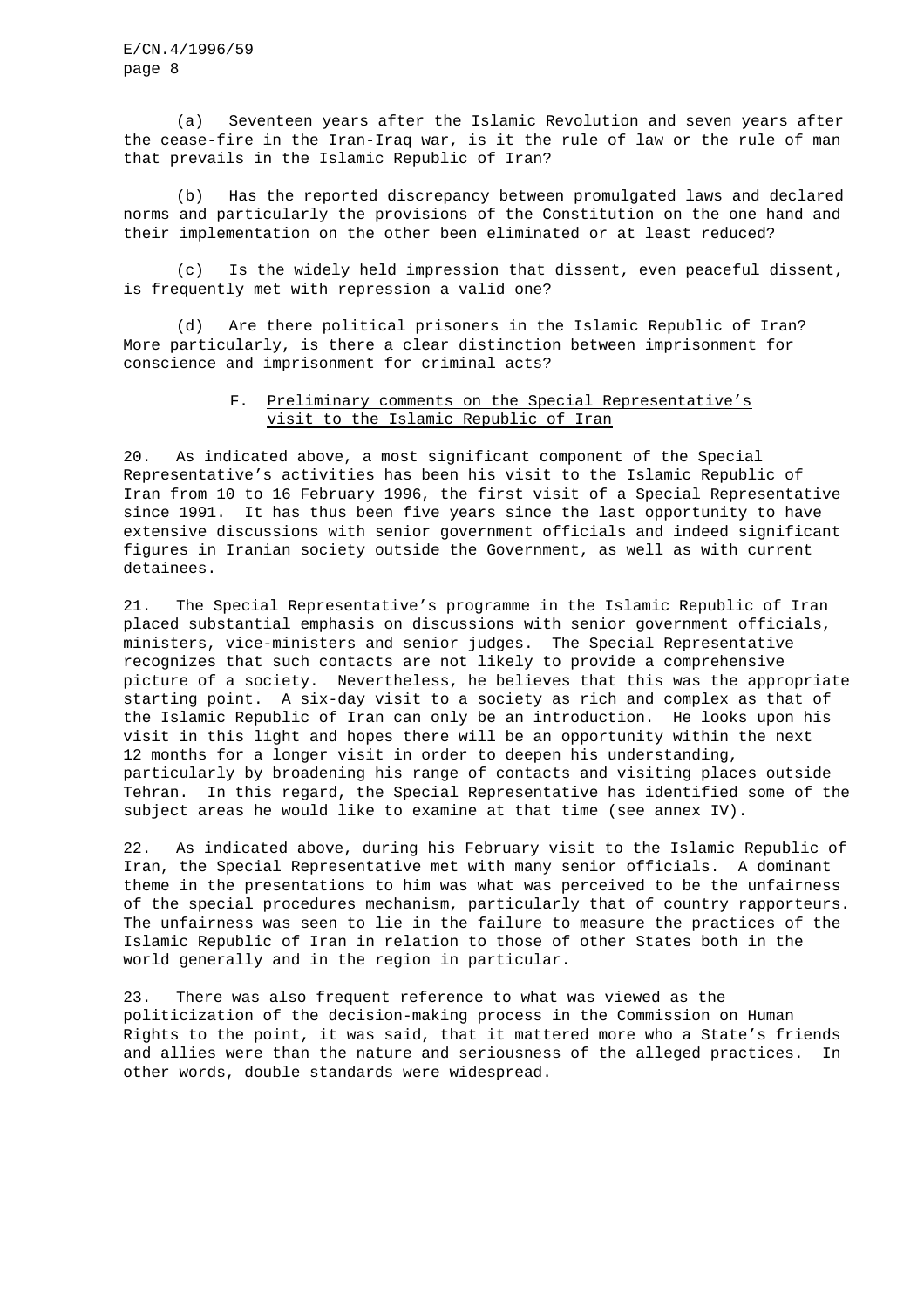(a) Seventeen years after the Islamic Revolution and seven years after the cease-fire in the Iran-Iraq war, is it the rule of law or the rule of man that prevails in the Islamic Republic of Iran?

(b) Has the reported discrepancy between promulgated laws and declared norms and particularly the provisions of the Constitution on the one hand and their implementation on the other been eliminated or at least reduced?

(c) Is the widely held impression that dissent, even peaceful dissent, is frequently met with repression a valid one?

(d) Are there political prisoners in the Islamic Republic of Iran? More particularly, is there a clear distinction between imprisonment for conscience and imprisonment for criminal acts?

# F. Preliminary comments on the Special Representative's visit to the Islamic Republic of Iran

20. As indicated above, a most significant component of the Special Representative's activities has been his visit to the Islamic Republic of Iran from 10 to 16 February 1996, the first visit of a Special Representative since 1991. It has thus been five years since the last opportunity to have extensive discussions with senior government officials and indeed significant figures in Iranian society outside the Government, as well as with current detainees.

21. The Special Representative's programme in the Islamic Republic of Iran placed substantial emphasis on discussions with senior government officials, ministers, vice-ministers and senior judges. The Special Representative recognizes that such contacts are not likely to provide a comprehensive picture of a society. Nevertheless, he believes that this was the appropriate starting point. A six-day visit to a society as rich and complex as that of the Islamic Republic of Iran can only be an introduction. He looks upon his visit in this light and hopes there will be an opportunity within the next 12 months for a longer visit in order to deepen his understanding, particularly by broadening his range of contacts and visiting places outside Tehran. In this regard, the Special Representative has identified some of the subject areas he would like to examine at that time (see annex IV).

22. As indicated above, during his February visit to the Islamic Republic of Iran, the Special Representative met with many senior officials. A dominant theme in the presentations to him was what was perceived to be the unfairness of the special procedures mechanism, particularly that of country rapporteurs. The unfairness was seen to lie in the failure to measure the practices of the Islamic Republic of Iran in relation to those of other States both in the world generally and in the region in particular.

23. There was also frequent reference to what was viewed as the politicization of the decision-making process in the Commission on Human Rights to the point, it was said, that it mattered more who a State's friends and allies were than the nature and seriousness of the alleged practices. In other words, double standards were widespread.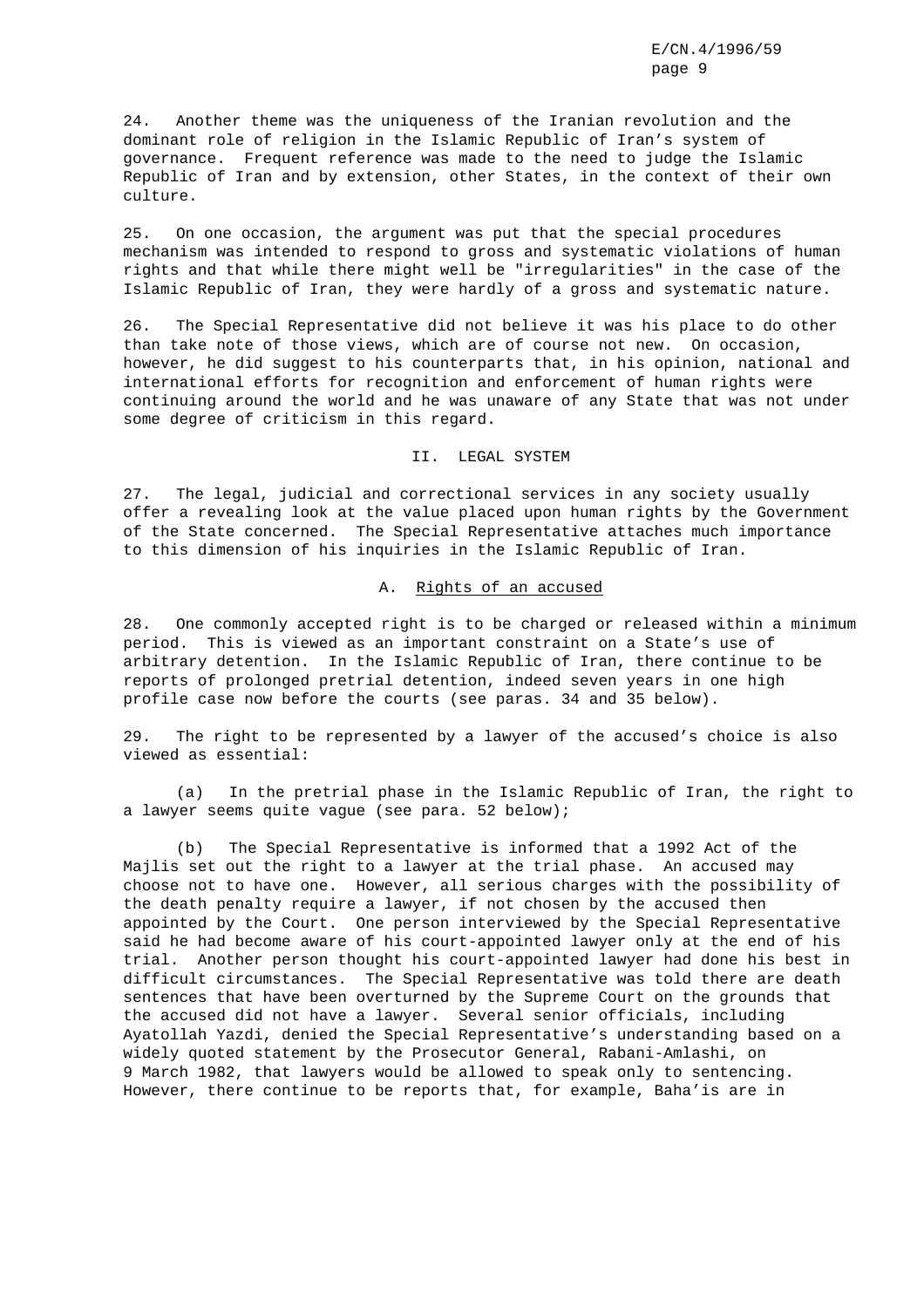24. Another theme was the uniqueness of the Iranian revolution and the dominant role of religion in the Islamic Republic of Iran's system of governance. Frequent reference was made to the need to judge the Islamic Republic of Iran and by extension, other States, in the context of their own culture.

25. On one occasion, the argument was put that the special procedures mechanism was intended to respond to gross and systematic violations of human rights and that while there might well be "irregularities" in the case of the Islamic Republic of Iran, they were hardly of a gross and systematic nature.

26. The Special Representative did not believe it was his place to do other than take note of those views, which are of course not new. On occasion, however, he did suggest to his counterparts that, in his opinion, national and international efforts for recognition and enforcement of human rights were continuing around the world and he was unaware of any State that was not under some degree of criticism in this regard.

II. LEGAL SYSTEM

27. The legal, judicial and correctional services in any society usually offer a revealing look at the value placed upon human rights by the Government of the State concerned. The Special Representative attaches much importance to this dimension of his inquiries in the Islamic Republic of Iran.

# A. Rights of an accused

28. One commonly accepted right is to be charged or released within a minimum period. This is viewed as an important constraint on a State's use of arbitrary detention. In the Islamic Republic of Iran, there continue to be reports of prolonged pretrial detention, indeed seven years in one high profile case now before the courts (see paras. 34 and 35 below).

29. The right to be represented by a lawyer of the accused's choice is also viewed as essential:

(a) In the pretrial phase in the Islamic Republic of Iran, the right to a lawyer seems quite vague (see para. 52 below);

(b) The Special Representative is informed that a 1992 Act of the Majlis set out the right to a lawyer at the trial phase. An accused may choose not to have one. However, all serious charges with the possibility of the death penalty require a lawyer, if not chosen by the accused then appointed by the Court. One person interviewed by the Special Representative said he had become aware of his court-appointed lawyer only at the end of his trial. Another person thought his court-appointed lawyer had done his best in difficult circumstances. The Special Representative was told there are death sentences that have been overturned by the Supreme Court on the grounds that the accused did not have a lawyer. Several senior officials, including Ayatollah Yazdi, denied the Special Representative's understanding based on a widely quoted statement by the Prosecutor General, Rabani-Amlashi, on 9 March 1982, that lawyers would be allowed to speak only to sentencing. However, there continue to be reports that, for example, Baha'is are in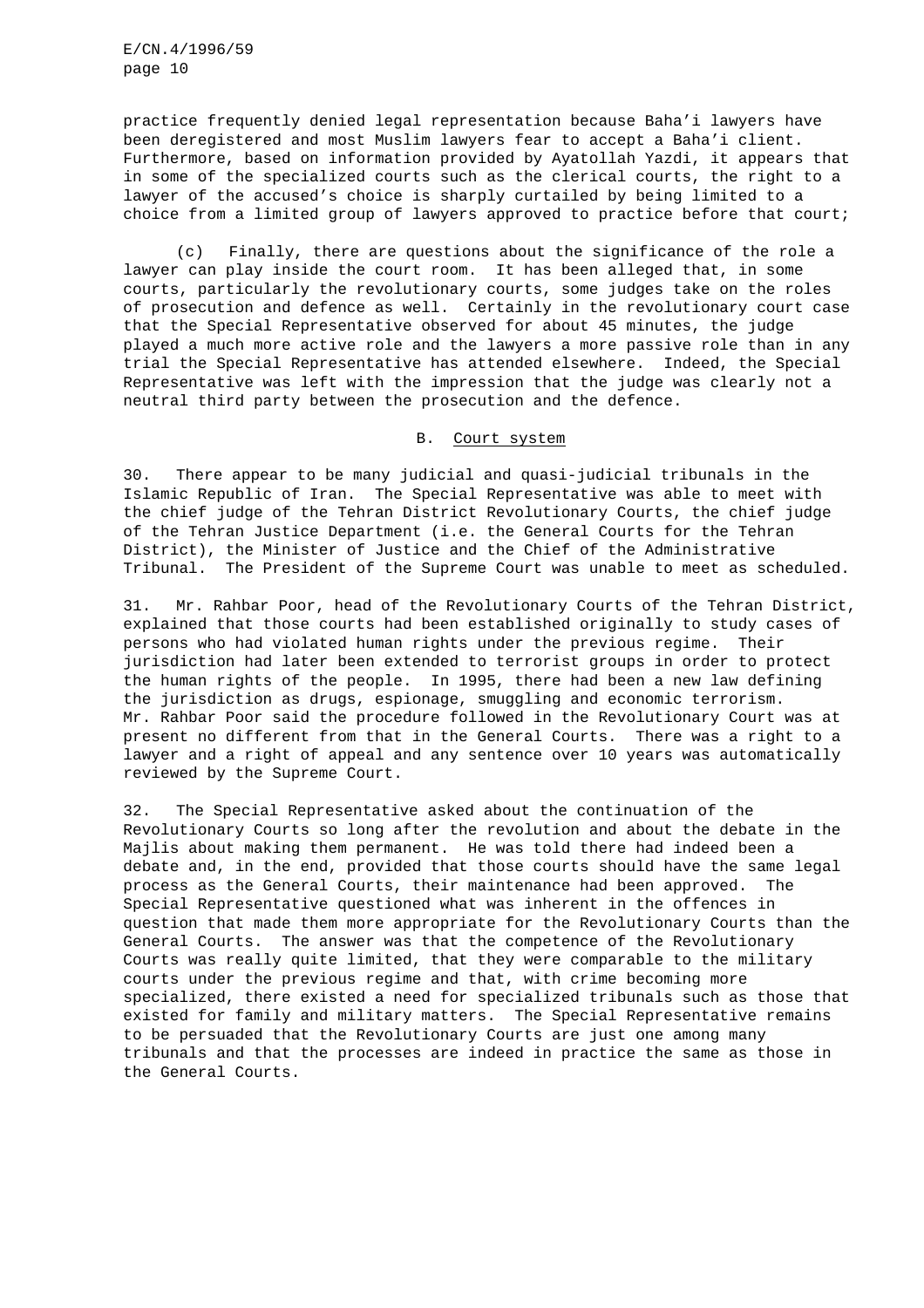practice frequently denied legal representation because Baha'i lawyers have been deregistered and most Muslim lawyers fear to accept a Baha'i client. Furthermore, based on information provided by Ayatollah Yazdi, it appears that in some of the specialized courts such as the clerical courts, the right to a lawyer of the accused's choice is sharply curtailed by being limited to a choice from a limited group of lawyers approved to practice before that court;

(c) Finally, there are questions about the significance of the role a lawyer can play inside the court room. It has been alleged that, in some courts, particularly the revolutionary courts, some judges take on the roles of prosecution and defence as well. Certainly in the revolutionary court case that the Special Representative observed for about 45 minutes, the judge played a much more active role and the lawyers a more passive role than in any trial the Special Representative has attended elsewhere. Indeed, the Special Representative was left with the impression that the judge was clearly not a neutral third party between the prosecution and the defence.

#### B. Court system

30. There appear to be many judicial and quasi-judicial tribunals in the Islamic Republic of Iran. The Special Representative was able to meet with the chief judge of the Tehran District Revolutionary Courts, the chief judge of the Tehran Justice Department (i.e. the General Courts for the Tehran District), the Minister of Justice and the Chief of the Administrative Tribunal. The President of the Supreme Court was unable to meet as scheduled.

31. Mr. Rahbar Poor, head of the Revolutionary Courts of the Tehran District, explained that those courts had been established originally to study cases of persons who had violated human rights under the previous regime. Their jurisdiction had later been extended to terrorist groups in order to protect the human rights of the people. In 1995, there had been a new law defining the jurisdiction as drugs, espionage, smuggling and economic terrorism. Mr. Rahbar Poor said the procedure followed in the Revolutionary Court was at present no different from that in the General Courts. There was a right to a lawyer and a right of appeal and any sentence over 10 years was automatically reviewed by the Supreme Court.

32. The Special Representative asked about the continuation of the Revolutionary Courts so long after the revolution and about the debate in the Majlis about making them permanent. He was told there had indeed been a debate and, in the end, provided that those courts should have the same legal process as the General Courts, their maintenance had been approved. The Special Representative questioned what was inherent in the offences in question that made them more appropriate for the Revolutionary Courts than the General Courts. The answer was that the competence of the Revolutionary Courts was really quite limited, that they were comparable to the military courts under the previous regime and that, with crime becoming more specialized, there existed a need for specialized tribunals such as those that existed for family and military matters. The Special Representative remains to be persuaded that the Revolutionary Courts are just one among many tribunals and that the processes are indeed in practice the same as those in the General Courts.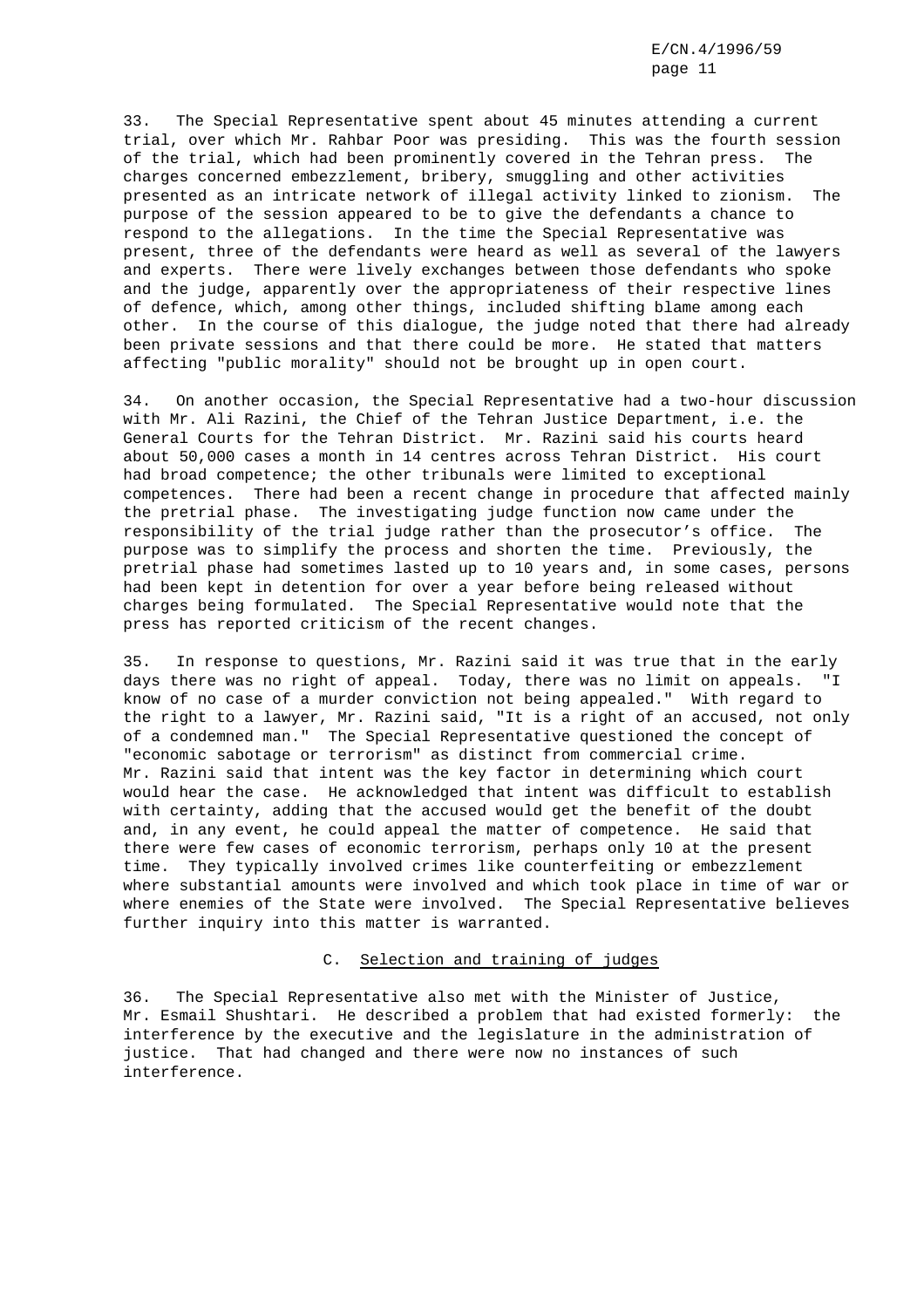33. The Special Representative spent about 45 minutes attending a current trial, over which Mr. Rahbar Poor was presiding. This was the fourth session of the trial, which had been prominently covered in the Tehran press. The charges concerned embezzlement, bribery, smuggling and other activities presented as an intricate network of illegal activity linked to zionism. The purpose of the session appeared to be to give the defendants a chance to respond to the allegations. In the time the Special Representative was present, three of the defendants were heard as well as several of the lawyers and experts. There were lively exchanges between those defendants who spoke and the judge, apparently over the appropriateness of their respective lines of defence, which, among other things, included shifting blame among each other. In the course of this dialogue, the judge noted that there had already been private sessions and that there could be more. He stated that matters affecting "public morality" should not be brought up in open court.

34. On another occasion, the Special Representative had a two-hour discussion with Mr. Ali Razini, the Chief of the Tehran Justice Department, i.e. the General Courts for the Tehran District. Mr. Razini said his courts heard about 50,000 cases a month in 14 centres across Tehran District. His court had broad competence; the other tribunals were limited to exceptional competences. There had been a recent change in procedure that affected mainly the pretrial phase. The investigating judge function now came under the responsibility of the trial judge rather than the prosecutor's office. The purpose was to simplify the process and shorten the time. Previously, the pretrial phase had sometimes lasted up to 10 years and, in some cases, persons had been kept in detention for over a year before being released without charges being formulated. The Special Representative would note that the press has reported criticism of the recent changes.

35. In response to questions, Mr. Razini said it was true that in the early days there was no right of appeal. Today, there was no limit on appeals. "I know of no case of a murder conviction not being appealed." With regard to the right to a lawyer, Mr. Razini said, "It is a right of an accused, not only of a condemned man." The Special Representative questioned the concept of "economic sabotage or terrorism" as distinct from commercial crime. Mr. Razini said that intent was the key factor in determining which court would hear the case. He acknowledged that intent was difficult to establish with certainty, adding that the accused would get the benefit of the doubt and, in any event, he could appeal the matter of competence. He said that there were few cases of economic terrorism, perhaps only 10 at the present time. They typically involved crimes like counterfeiting or embezzlement where substantial amounts were involved and which took place in time of war or where enemies of the State were involved. The Special Representative believes further inquiry into this matter is warranted.

#### C. Selection and training of judges

36. The Special Representative also met with the Minister of Justice, Mr. Esmail Shushtari. He described a problem that had existed formerly: the interference by the executive and the legislature in the administration of justice. That had changed and there were now no instances of such interference.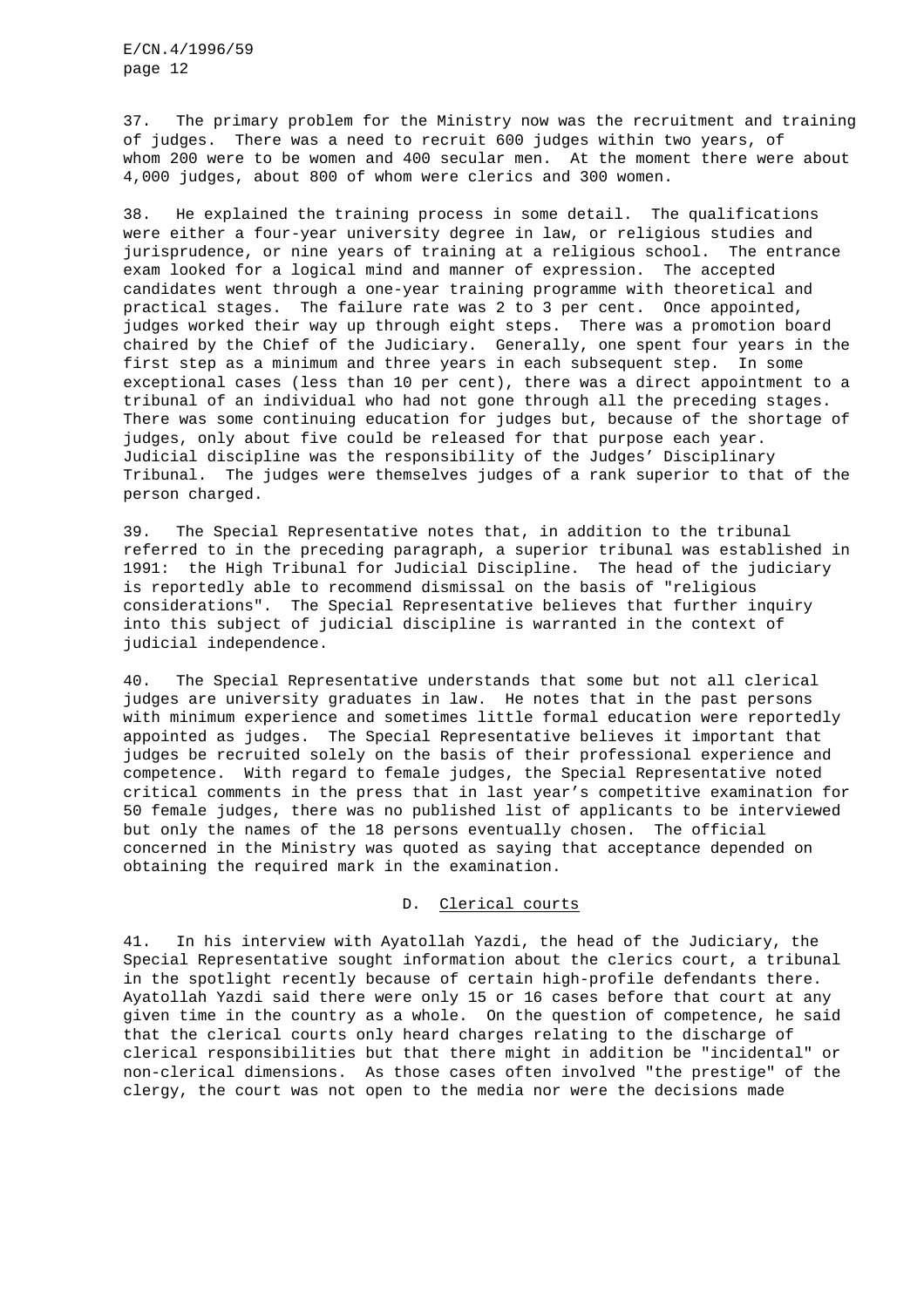37. The primary problem for the Ministry now was the recruitment and training of judges. There was a need to recruit 600 judges within two years, of whom 200 were to be women and 400 secular men. At the moment there were about 4,000 judges, about 800 of whom were clerics and 300 women.

38. He explained the training process in some detail. The qualifications were either a four-year university degree in law, or religious studies and jurisprudence, or nine years of training at a religious school. The entrance exam looked for a logical mind and manner of expression. The accepted candidates went through a one-year training programme with theoretical and practical stages. The failure rate was 2 to 3 per cent. Once appointed, judges worked their way up through eight steps. There was a promotion board chaired by the Chief of the Judiciary. Generally, one spent four years in the first step as a minimum and three years in each subsequent step. In some exceptional cases (less than 10 per cent), there was a direct appointment to a tribunal of an individual who had not gone through all the preceding stages. There was some continuing education for judges but, because of the shortage of judges, only about five could be released for that purpose each year. Judicial discipline was the responsibility of the Judges' Disciplinary Tribunal. The judges were themselves judges of a rank superior to that of the person charged.

39. The Special Representative notes that, in addition to the tribunal referred to in the preceding paragraph, a superior tribunal was established in 1991: the High Tribunal for Judicial Discipline. The head of the judiciary is reportedly able to recommend dismissal on the basis of "religious considerations". The Special Representative believes that further inquiry into this subject of judicial discipline is warranted in the context of judicial independence.

40. The Special Representative understands that some but not all clerical judges are university graduates in law. He notes that in the past persons with minimum experience and sometimes little formal education were reportedly appointed as judges. The Special Representative believes it important that judges be recruited solely on the basis of their professional experience and competence. With regard to female judges, the Special Representative noted critical comments in the press that in last year's competitive examination for 50 female judges, there was no published list of applicants to be interviewed but only the names of the 18 persons eventually chosen. The official concerned in the Ministry was quoted as saying that acceptance depended on obtaining the required mark in the examination.

# D. Clerical courts

41. In his interview with Ayatollah Yazdi, the head of the Judiciary, the Special Representative sought information about the clerics court, a tribunal in the spotlight recently because of certain high-profile defendants there. Ayatollah Yazdi said there were only 15 or 16 cases before that court at any given time in the country as a whole. On the question of competence, he said that the clerical courts only heard charges relating to the discharge of clerical responsibilities but that there might in addition be "incidental" or non-clerical dimensions. As those cases often involved "the prestige" of the clergy, the court was not open to the media nor were the decisions made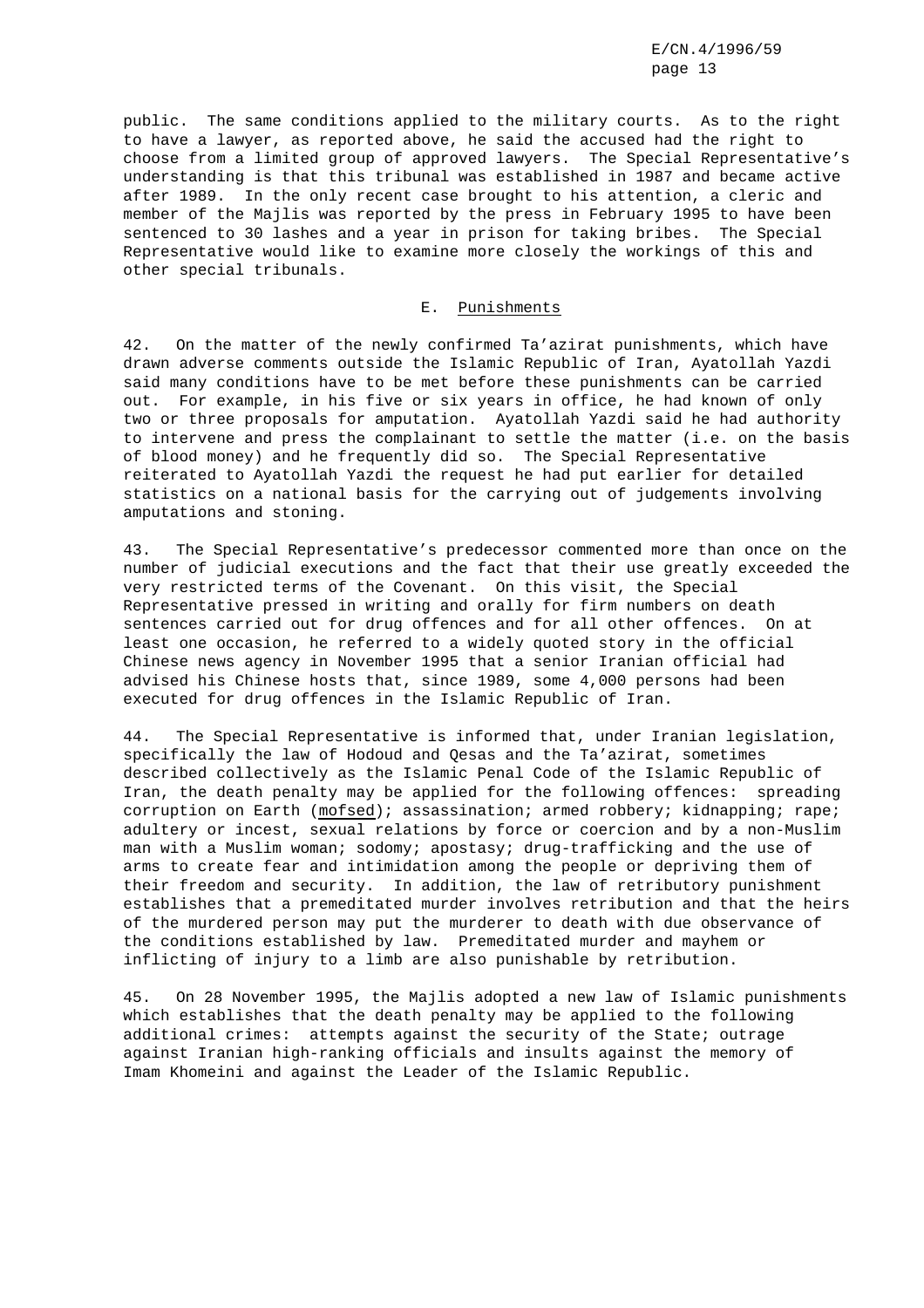public. The same conditions applied to the military courts. As to the right to have a lawyer, as reported above, he said the accused had the right to choose from a limited group of approved lawyers. The Special Representative's understanding is that this tribunal was established in 1987 and became active after 1989. In the only recent case brought to his attention, a cleric and member of the Majlis was reported by the press in February 1995 to have been sentenced to 30 lashes and a year in prison for taking bribes. The Special Representative would like to examine more closely the workings of this and other special tribunals.

## E. Punishments

42. On the matter of the newly confirmed Ta'azirat punishments, which have drawn adverse comments outside the Islamic Republic of Iran, Ayatollah Yazdi said many conditions have to be met before these punishments can be carried out. For example, in his five or six years in office, he had known of only two or three proposals for amputation. Ayatollah Yazdi said he had authority to intervene and press the complainant to settle the matter (i.e. on the basis of blood money) and he frequently did so. The Special Representative reiterated to Ayatollah Yazdi the request he had put earlier for detailed statistics on a national basis for the carrying out of judgements involving amputations and stoning.

43. The Special Representative's predecessor commented more than once on the number of judicial executions and the fact that their use greatly exceeded the very restricted terms of the Covenant. On this visit, the Special Representative pressed in writing and orally for firm numbers on death sentences carried out for drug offences and for all other offences. On at least one occasion, he referred to a widely quoted story in the official Chinese news agency in November 1995 that a senior Iranian official had advised his Chinese hosts that, since 1989, some 4,000 persons had been executed for drug offences in the Islamic Republic of Iran.

44. The Special Representative is informed that, under Iranian legislation, specifically the law of Hodoud and Qesas and the Ta'azirat, sometimes described collectively as the Islamic Penal Code of the Islamic Republic of Iran, the death penalty may be applied for the following offences: spreading corruption on Earth (mofsed); assassination; armed robbery; kidnapping; rape; adultery or incest, sexual relations by force or coercion and by a non-Muslim man with a Muslim woman; sodomy; apostasy; drug-trafficking and the use of arms to create fear and intimidation among the people or depriving them of their freedom and security. In addition, the law of retributory punishment establishes that a premeditated murder involves retribution and that the heirs of the murdered person may put the murderer to death with due observance of the conditions established by law. Premeditated murder and mayhem or inflicting of injury to a limb are also punishable by retribution.

45. On 28 November 1995, the Majlis adopted a new law of Islamic punishments which establishes that the death penalty may be applied to the following additional crimes: attempts against the security of the State; outrage against Iranian high-ranking officials and insults against the memory of Imam Khomeini and against the Leader of the Islamic Republic.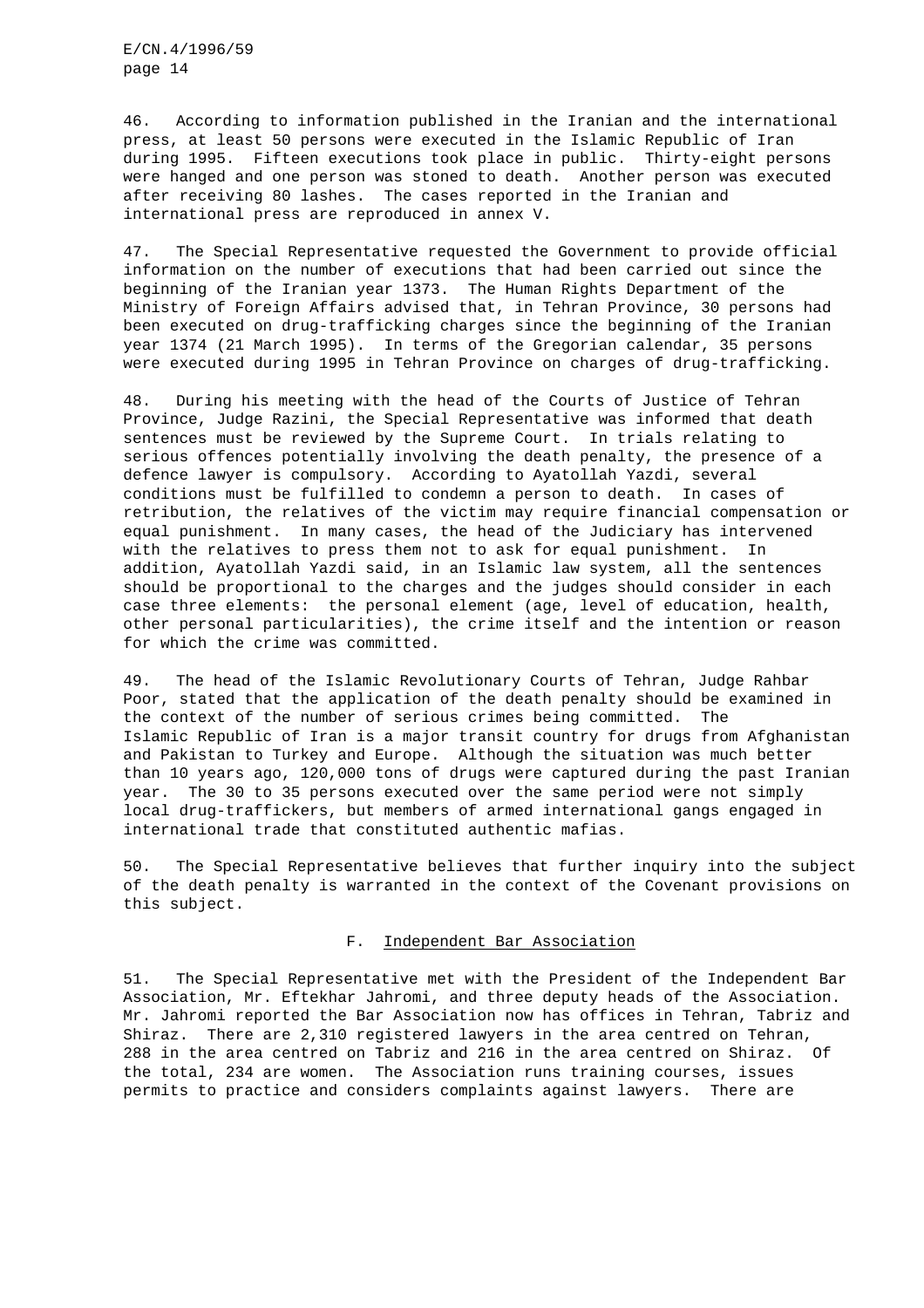46. According to information published in the Iranian and the international press, at least 50 persons were executed in the Islamic Republic of Iran during 1995. Fifteen executions took place in public. Thirty-eight persons were hanged and one person was stoned to death. Another person was executed after receiving 80 lashes. The cases reported in the Iranian and international press are reproduced in annex V.

47. The Special Representative requested the Government to provide official information on the number of executions that had been carried out since the beginning of the Iranian year 1373. The Human Rights Department of the Ministry of Foreign Affairs advised that, in Tehran Province, 30 persons had been executed on drug-trafficking charges since the beginning of the Iranian year 1374 (21 March 1995). In terms of the Gregorian calendar, 35 persons were executed during 1995 in Tehran Province on charges of drug-trafficking.

48. During his meeting with the head of the Courts of Justice of Tehran Province, Judge Razini, the Special Representative was informed that death sentences must be reviewed by the Supreme Court. In trials relating to serious offences potentially involving the death penalty, the presence of a defence lawyer is compulsory. According to Ayatollah Yazdi, several conditions must be fulfilled to condemn a person to death. In cases of retribution, the relatives of the victim may require financial compensation or equal punishment. In many cases, the head of the Judiciary has intervened with the relatives to press them not to ask for equal punishment. In addition, Ayatollah Yazdi said, in an Islamic law system, all the sentences should be proportional to the charges and the judges should consider in each case three elements: the personal element (age, level of education, health, other personal particularities), the crime itself and the intention or reason for which the crime was committed.

49. The head of the Islamic Revolutionary Courts of Tehran, Judge Rahbar Poor, stated that the application of the death penalty should be examined in the context of the number of serious crimes being committed. The Islamic Republic of Iran is a major transit country for drugs from Afghanistan and Pakistan to Turkey and Europe. Although the situation was much better than 10 years ago, 120,000 tons of drugs were captured during the past Iranian year. The 30 to 35 persons executed over the same period were not simply local drug-traffickers, but members of armed international gangs engaged in international trade that constituted authentic mafias.

50. The Special Representative believes that further inquiry into the subject of the death penalty is warranted in the context of the Covenant provisions on this subject.

# F. Independent Bar Association

51. The Special Representative met with the President of the Independent Bar Association, Mr. Eftekhar Jahromi, and three deputy heads of the Association. Mr. Jahromi reported the Bar Association now has offices in Tehran, Tabriz and Shiraz. There are 2,310 registered lawyers in the area centred on Tehran, 288 in the area centred on Tabriz and 216 in the area centred on Shiraz. Of the total, 234 are women. The Association runs training courses, issues permits to practice and considers complaints against lawyers. There are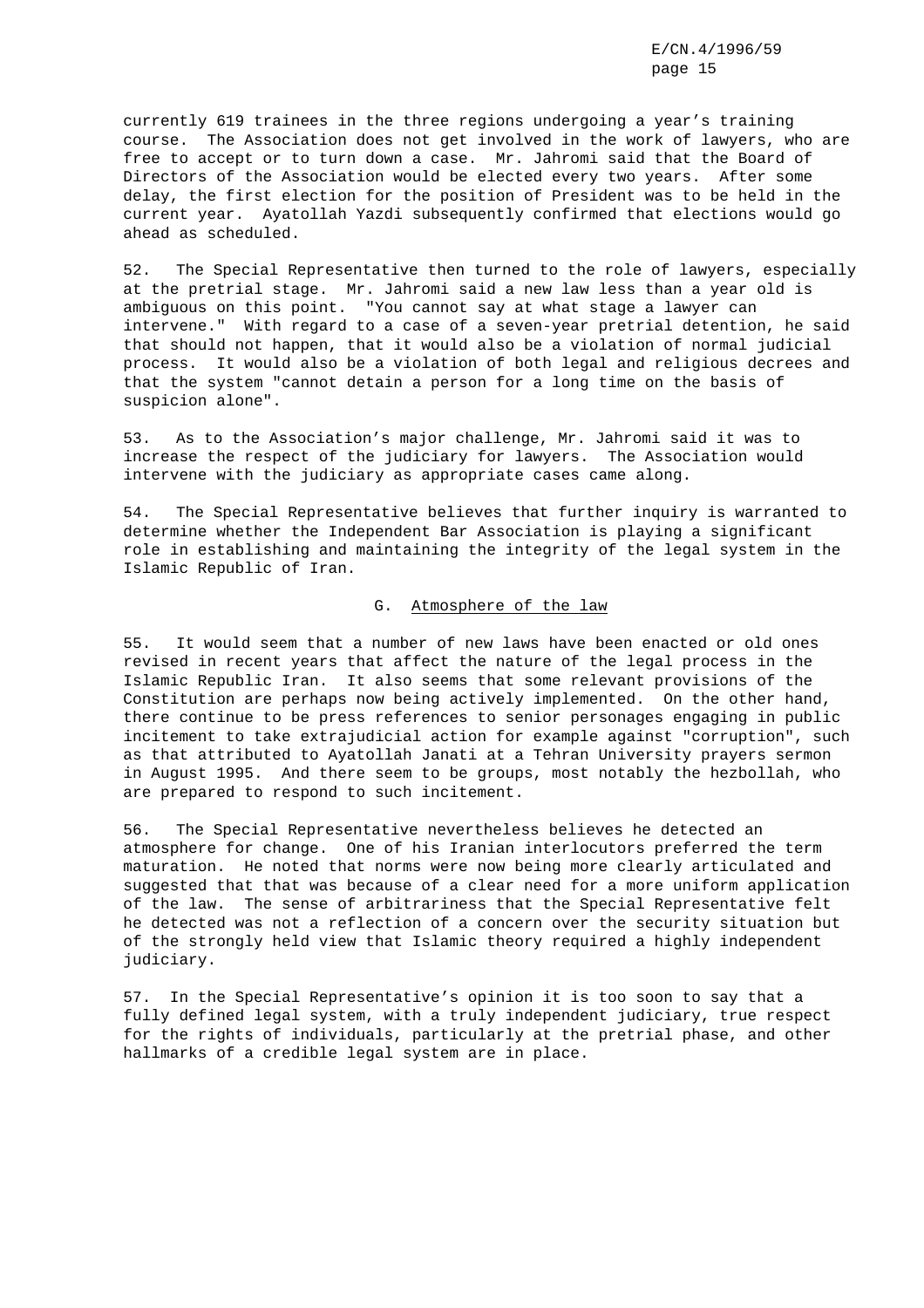currently 619 trainees in the three regions undergoing a year's training course. The Association does not get involved in the work of lawyers, who are free to accept or to turn down a case. Mr. Jahromi said that the Board of Directors of the Association would be elected every two years. After some delay, the first election for the position of President was to be held in the current year. Ayatollah Yazdi subsequently confirmed that elections would go ahead as scheduled.

52. The Special Representative then turned to the role of lawyers, especially at the pretrial stage. Mr. Jahromi said a new law less than a year old is ambiguous on this point. "You cannot say at what stage a lawyer can intervene." With regard to a case of a seven-year pretrial detention, he said that should not happen, that it would also be a violation of normal judicial process. It would also be a violation of both legal and religious decrees and that the system "cannot detain a person for a long time on the basis of suspicion alone".

53. As to the Association's major challenge, Mr. Jahromi said it was to increase the respect of the judiciary for lawyers. The Association would intervene with the judiciary as appropriate cases came along.

54. The Special Representative believes that further inquiry is warranted to determine whether the Independent Bar Association is playing a significant role in establishing and maintaining the integrity of the legal system in the Islamic Republic of Iran.

# G. Atmosphere of the law

55. It would seem that a number of new laws have been enacted or old ones revised in recent years that affect the nature of the legal process in the Islamic Republic Iran. It also seems that some relevant provisions of the Constitution are perhaps now being actively implemented. On the other hand, there continue to be press references to senior personages engaging in public incitement to take extrajudicial action for example against "corruption", such as that attributed to Ayatollah Janati at a Tehran University prayers sermon in August 1995. And there seem to be groups, most notably the hezbollah, who are prepared to respond to such incitement.

56. The Special Representative nevertheless believes he detected an atmosphere for change. One of his Iranian interlocutors preferred the term maturation. He noted that norms were now being more clearly articulated and suggested that that was because of a clear need for a more uniform application of the law. The sense of arbitrariness that the Special Representative felt he detected was not a reflection of a concern over the security situation but of the strongly held view that Islamic theory required a highly independent judiciary.

57. In the Special Representative's opinion it is too soon to say that a fully defined legal system, with a truly independent judiciary, true respect for the rights of individuals, particularly at the pretrial phase, and other hallmarks of a credible legal system are in place.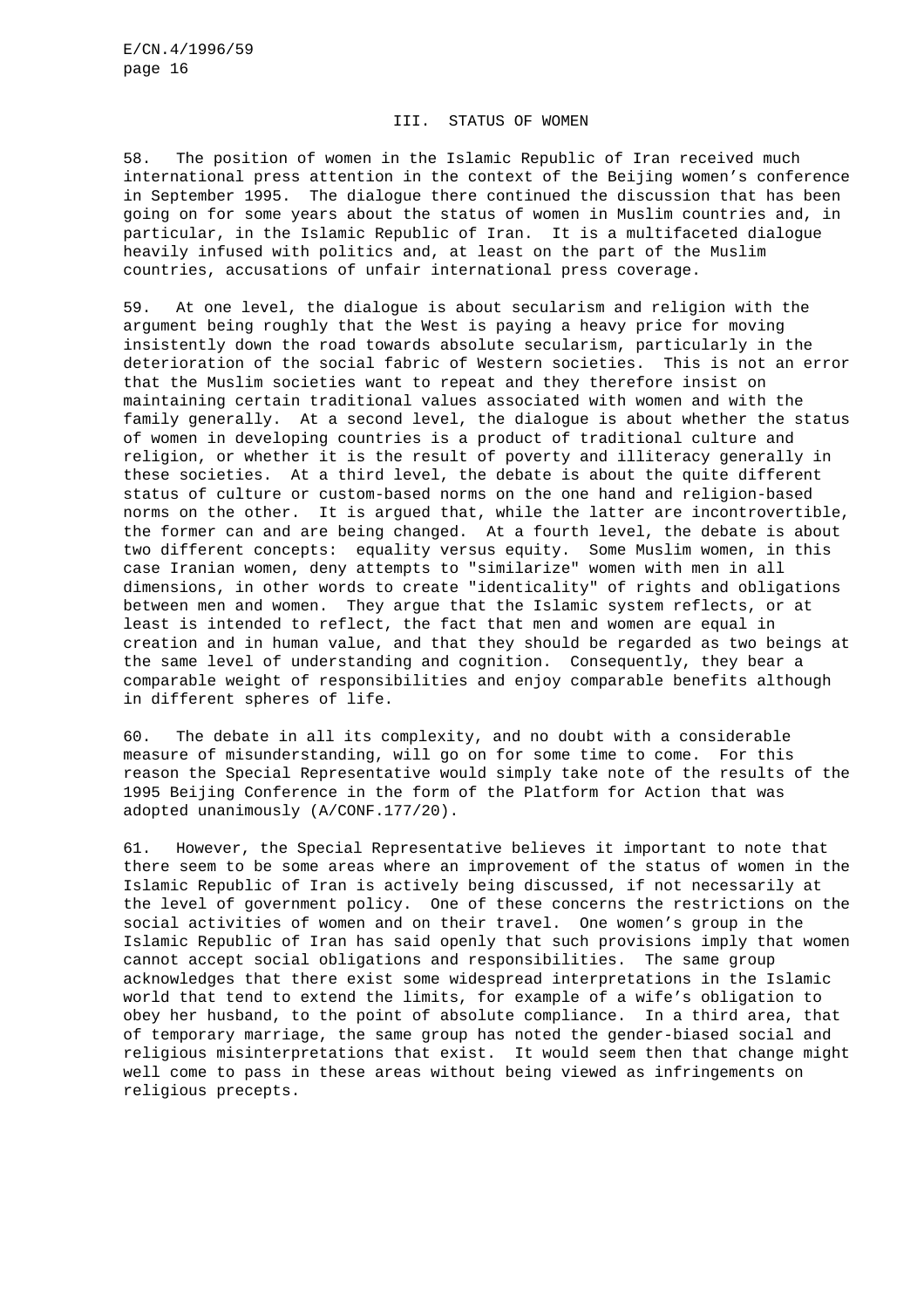#### III. STATUS OF WOMEN

58. The position of women in the Islamic Republic of Iran received much international press attention in the context of the Beijing women's conference in September 1995. The dialogue there continued the discussion that has been going on for some years about the status of women in Muslim countries and, in particular, in the Islamic Republic of Iran. It is a multifaceted dialogue heavily infused with politics and, at least on the part of the Muslim countries, accusations of unfair international press coverage.

59. At one level, the dialogue is about secularism and religion with the argument being roughly that the West is paying a heavy price for moving insistently down the road towards absolute secularism, particularly in the deterioration of the social fabric of Western societies. This is not an error that the Muslim societies want to repeat and they therefore insist on maintaining certain traditional values associated with women and with the family generally. At a second level, the dialogue is about whether the status of women in developing countries is a product of traditional culture and religion, or whether it is the result of poverty and illiteracy generally in these societies. At a third level, the debate is about the quite different status of culture or custom-based norms on the one hand and religion-based norms on the other. It is argued that, while the latter are incontrovertible, the former can and are being changed. At a fourth level, the debate is about two different concepts: equality versus equity. Some Muslim women, in this case Iranian women, deny attempts to "similarize" women with men in all dimensions, in other words to create "identicality" of rights and obligations between men and women. They argue that the Islamic system reflects, or at least is intended to reflect, the fact that men and women are equal in creation and in human value, and that they should be regarded as two beings at the same level of understanding and cognition. Consequently, they bear a comparable weight of responsibilities and enjoy comparable benefits although in different spheres of life.

60. The debate in all its complexity, and no doubt with a considerable measure of misunderstanding, will go on for some time to come. For this reason the Special Representative would simply take note of the results of the 1995 Beijing Conference in the form of the Platform for Action that was adopted unanimously (A/CONF.177/20).

61. However, the Special Representative believes it important to note that there seem to be some areas where an improvement of the status of women in the Islamic Republic of Iran is actively being discussed, if not necessarily at the level of government policy. One of these concerns the restrictions on the social activities of women and on their travel. One women's group in the Islamic Republic of Iran has said openly that such provisions imply that women cannot accept social obligations and responsibilities. The same group acknowledges that there exist some widespread interpretations in the Islamic world that tend to extend the limits, for example of a wife's obligation to obey her husband, to the point of absolute compliance. In a third area, that of temporary marriage, the same group has noted the gender-biased social and religious misinterpretations that exist. It would seem then that change might well come to pass in these areas without being viewed as infringements on religious precepts.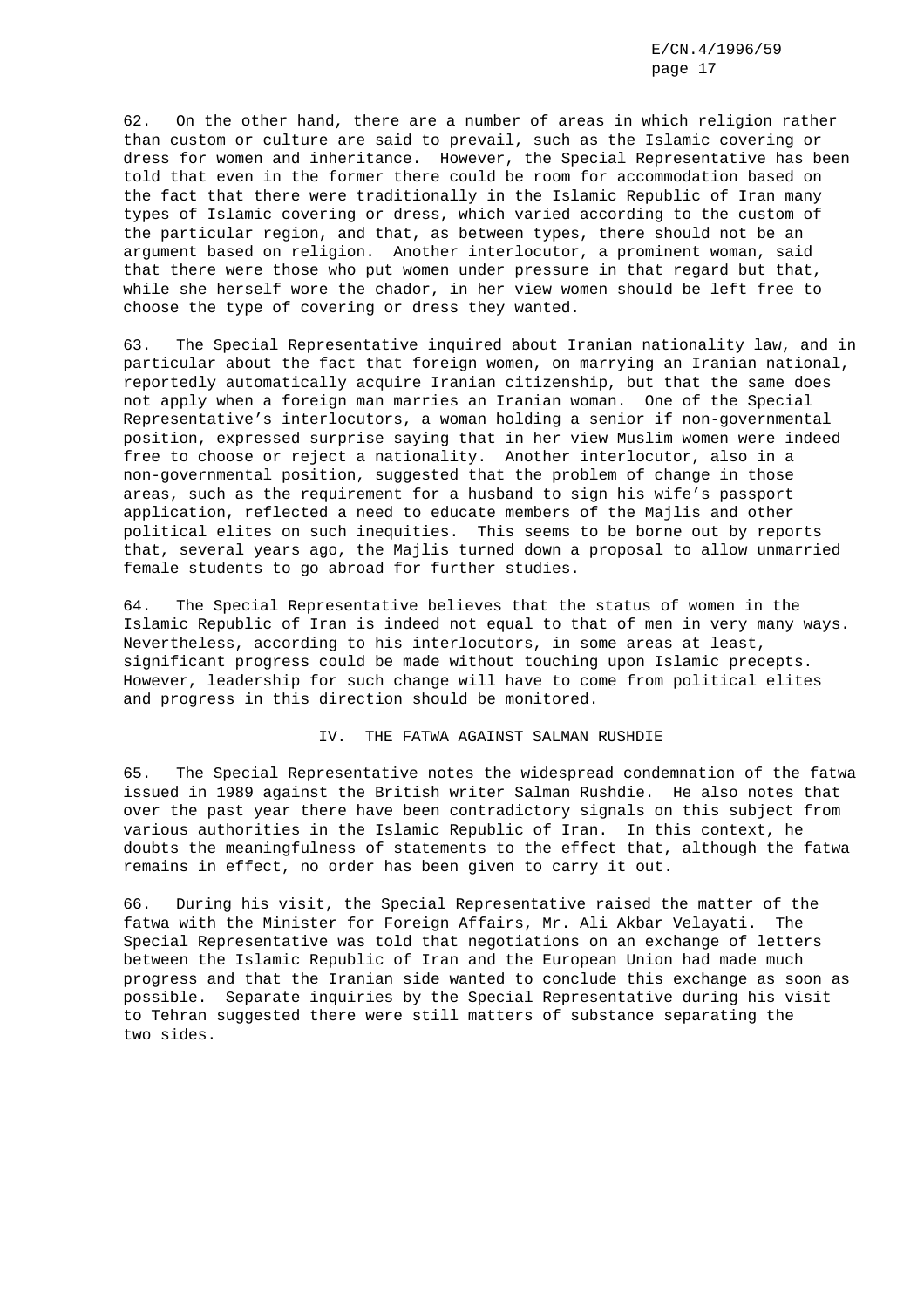62. On the other hand, there are a number of areas in which religion rather than custom or culture are said to prevail, such as the Islamic covering or dress for women and inheritance. However, the Special Representative has been told that even in the former there could be room for accommodation based on the fact that there were traditionally in the Islamic Republic of Iran many types of Islamic covering or dress, which varied according to the custom of the particular region, and that, as between types, there should not be an argument based on religion. Another interlocutor, a prominent woman, said that there were those who put women under pressure in that regard but that, while she herself wore the chador, in her view women should be left free to choose the type of covering or dress they wanted.

63. The Special Representative inquired about Iranian nationality law, and in particular about the fact that foreign women, on marrying an Iranian national, reportedly automatically acquire Iranian citizenship, but that the same does not apply when a foreign man marries an Iranian woman. One of the Special Representative's interlocutors, a woman holding a senior if non-governmental position, expressed surprise saying that in her view Muslim women were indeed free to choose or reject a nationality. Another interlocutor, also in a non-governmental position, suggested that the problem of change in those areas, such as the requirement for a husband to sign his wife's passport application, reflected a need to educate members of the Majlis and other political elites on such inequities. This seems to be borne out by reports that, several years ago, the Majlis turned down a proposal to allow unmarried female students to go abroad for further studies.

64. The Special Representative believes that the status of women in the Islamic Republic of Iran is indeed not equal to that of men in very many ways. Nevertheless, according to his interlocutors, in some areas at least, significant progress could be made without touching upon Islamic precepts. However, leadership for such change will have to come from political elites and progress in this direction should be monitored.

## IV. THE FATWA AGAINST SALMAN RUSHDIE

65. The Special Representative notes the widespread condemnation of the fatwa issued in 1989 against the British writer Salman Rushdie. He also notes that over the past year there have been contradictory signals on this subject from various authorities in the Islamic Republic of Iran. In this context, he doubts the meaningfulness of statements to the effect that, although the fatwa remains in effect, no order has been given to carry it out.

66. During his visit, the Special Representative raised the matter of the fatwa with the Minister for Foreign Affairs, Mr. Ali Akbar Velayati. The Special Representative was told that negotiations on an exchange of letters between the Islamic Republic of Iran and the European Union had made much progress and that the Iranian side wanted to conclude this exchange as soon as possible. Separate inquiries by the Special Representative during his visit to Tehran suggested there were still matters of substance separating the two sides.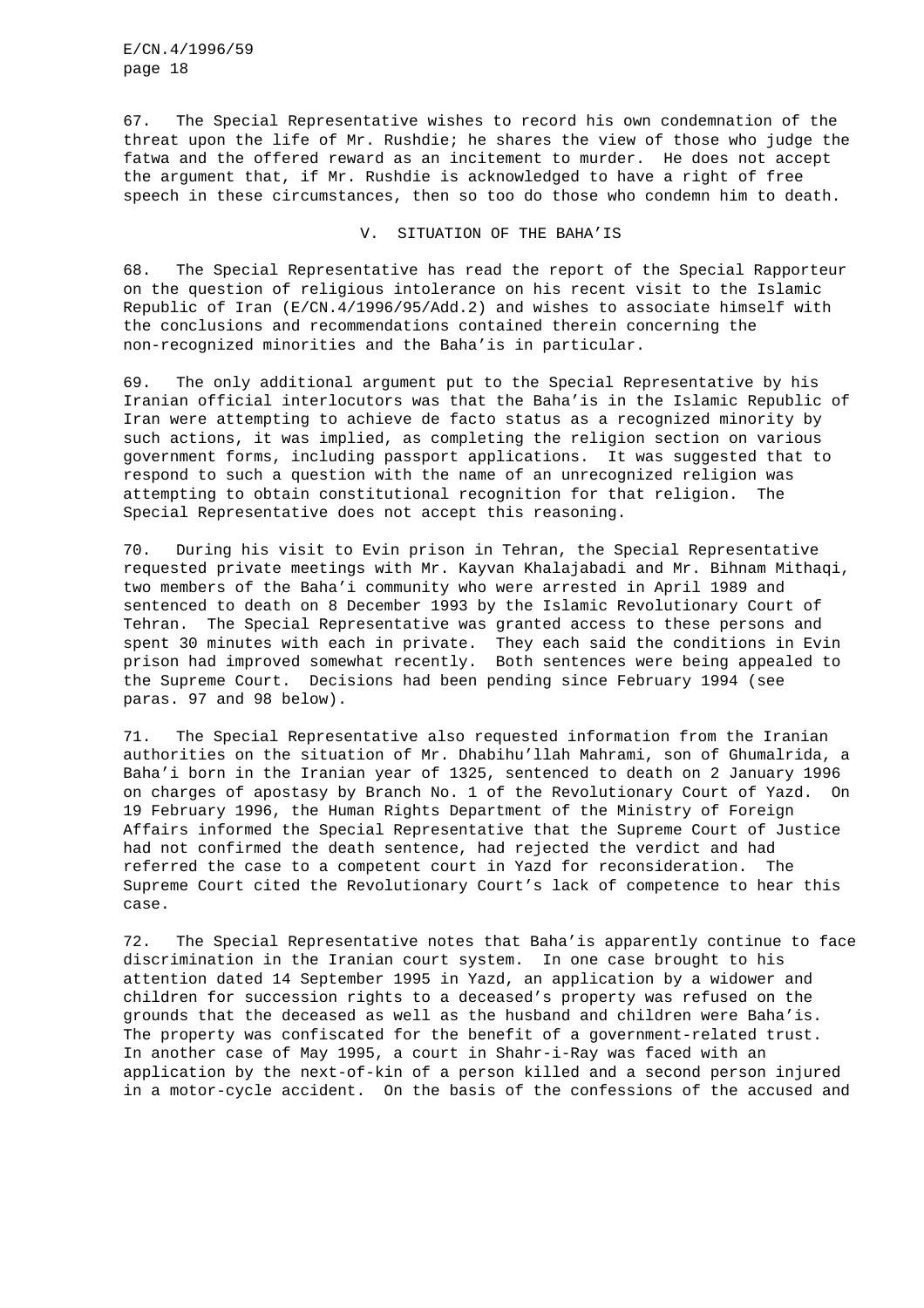67. The Special Representative wishes to record his own condemnation of the threat upon the life of Mr. Rushdie; he shares the view of those who judge the fatwa and the offered reward as an incitement to murder. He does not accept the argument that, if Mr. Rushdie is acknowledged to have a right of free speech in these circumstances, then so too do those who condemn him to death.

V. SITUATION OF THE BAHA'IS

68. The Special Representative has read the report of the Special Rapporteur on the question of religious intolerance on his recent visit to the Islamic Republic of Iran (E/CN.4/1996/95/Add.2) and wishes to associate himself with the conclusions and recommendations contained therein concerning the non-recognized minorities and the Baha'is in particular.

69. The only additional argument put to the Special Representative by his Iranian official interlocutors was that the Baha'is in the Islamic Republic of Iran were attempting to achieve de facto status as a recognized minority by such actions, it was implied, as completing the religion section on various government forms, including passport applications. It was suggested that to respond to such a question with the name of an unrecognized religion was attempting to obtain constitutional recognition for that religion. The Special Representative does not accept this reasoning.

70. During his visit to Evin prison in Tehran, the Special Representative requested private meetings with Mr. Kayvan Khalajabadi and Mr. Bihnam Mithaqi, two members of the Baha'i community who were arrested in April 1989 and sentenced to death on 8 December 1993 by the Islamic Revolutionary Court of Tehran. The Special Representative was granted access to these persons and spent 30 minutes with each in private. They each said the conditions in Evin prison had improved somewhat recently. Both sentences were being appealed to the Supreme Court. Decisions had been pending since February 1994 (see paras. 97 and 98 below).

71. The Special Representative also requested information from the Iranian authorities on the situation of Mr. Dhabihu'llah Mahrami, son of Ghumalrida, a Baha'i born in the Iranian year of 1325, sentenced to death on 2 January 1996 on charges of apostasy by Branch No. 1 of the Revolutionary Court of Yazd. On 19 February 1996, the Human Rights Department of the Ministry of Foreign Affairs informed the Special Representative that the Supreme Court of Justice had not confirmed the death sentence, had rejected the verdict and had referred the case to a competent court in Yazd for reconsideration. The Supreme Court cited the Revolutionary Court's lack of competence to hear this case.

72. The Special Representative notes that Baha'is apparently continue to face discrimination in the Iranian court system. In one case brought to his attention dated 14 September 1995 in Yazd, an application by a widower and children for succession rights to a deceased's property was refused on the grounds that the deceased as well as the husband and children were Baha'is. The property was confiscated for the benefit of a government-related trust. In another case of May 1995, a court in Shahr-i-Ray was faced with an application by the next-of-kin of a person killed and a second person injured in a motor-cycle accident. On the basis of the confessions of the accused and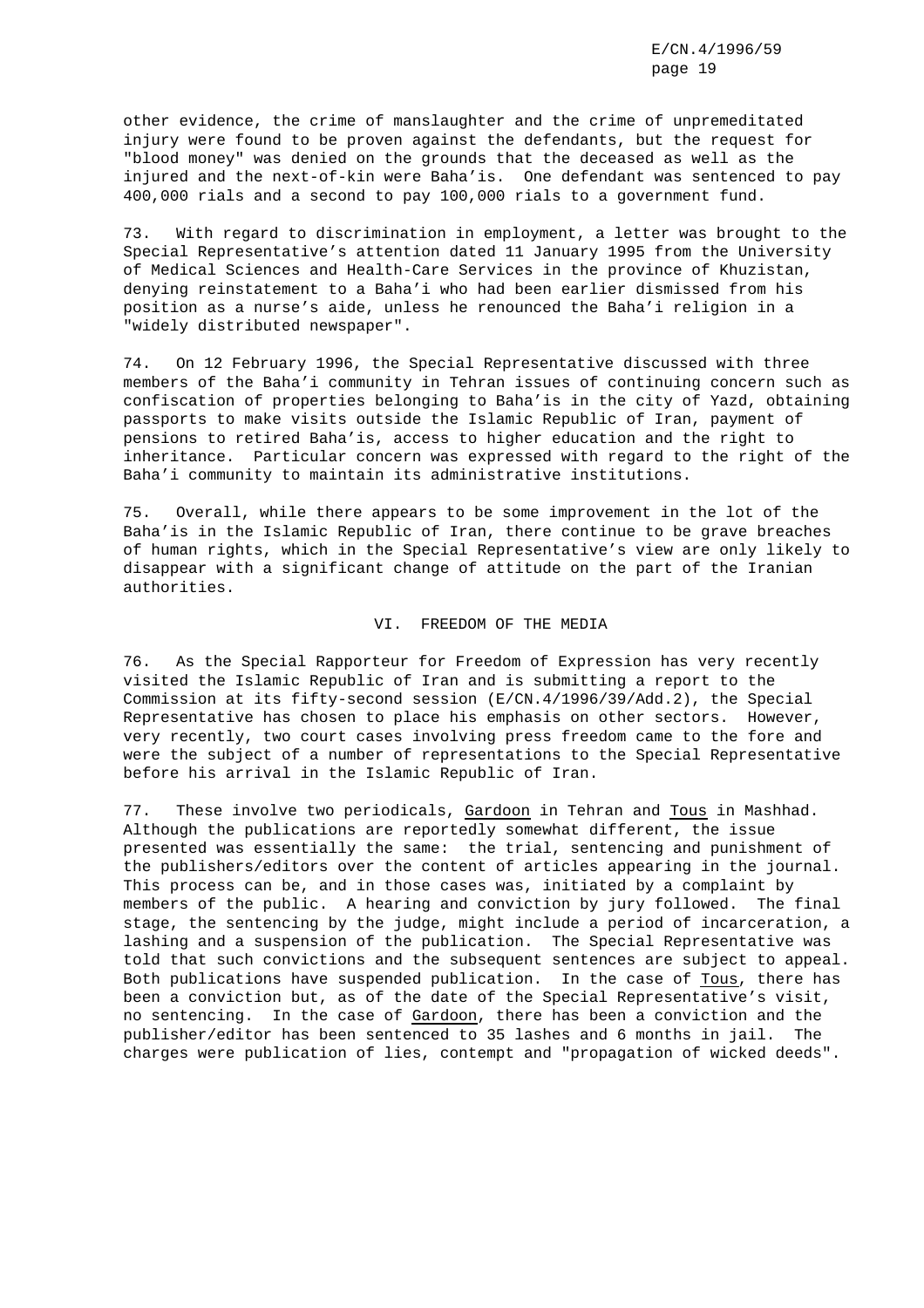other evidence, the crime of manslaughter and the crime of unpremeditated injury were found to be proven against the defendants, but the request for "blood money" was denied on the grounds that the deceased as well as the injured and the next-of-kin were Baha'is. One defendant was sentenced to pay 400,000 rials and a second to pay 100,000 rials to a government fund.

73. With regard to discrimination in employment, a letter was brought to the Special Representative's attention dated 11 January 1995 from the University of Medical Sciences and Health-Care Services in the province of Khuzistan, denying reinstatement to a Baha'i who had been earlier dismissed from his position as a nurse's aide, unless he renounced the Baha'i religion in a "widely distributed newspaper".

74. On 12 February 1996, the Special Representative discussed with three members of the Baha'i community in Tehran issues of continuing concern such as confiscation of properties belonging to Baha'is in the city of Yazd, obtaining passports to make visits outside the Islamic Republic of Iran, payment of pensions to retired Baha'is, access to higher education and the right to inheritance. Particular concern was expressed with regard to the right of the Baha'i community to maintain its administrative institutions.

75. Overall, while there appears to be some improvement in the lot of the Baha'is in the Islamic Republic of Iran, there continue to be grave breaches of human rights, which in the Special Representative's view are only likely to disappear with a significant change of attitude on the part of the Iranian authorities.

# VI. FREEDOM OF THE MEDIA

76. As the Special Rapporteur for Freedom of Expression has very recently visited the Islamic Republic of Iran and is submitting a report to the Commission at its fifty-second session (E/CN.4/1996/39/Add.2), the Special Representative has chosen to place his emphasis on other sectors. However, very recently, two court cases involving press freedom came to the fore and were the subject of a number of representations to the Special Representative before his arrival in the Islamic Republic of Iran.

77. These involve two periodicals, Gardoon in Tehran and Tous in Mashhad. Although the publications are reportedly somewhat different, the issue presented was essentially the same: the trial, sentencing and punishment of the publishers/editors over the content of articles appearing in the journal. This process can be, and in those cases was, initiated by a complaint by members of the public. A hearing and conviction by jury followed. The final stage, the sentencing by the judge, might include a period of incarceration, a lashing and a suspension of the publication. The Special Representative was told that such convictions and the subsequent sentences are subject to appeal. Both publications have suspended publication. In the case of Tous, there has been a conviction but, as of the date of the Special Representative's visit, no sentencing. In the case of Gardoon, there has been a conviction and the publisher/editor has been sentenced to 35 lashes and 6 months in jail. The charges were publication of lies, contempt and "propagation of wicked deeds".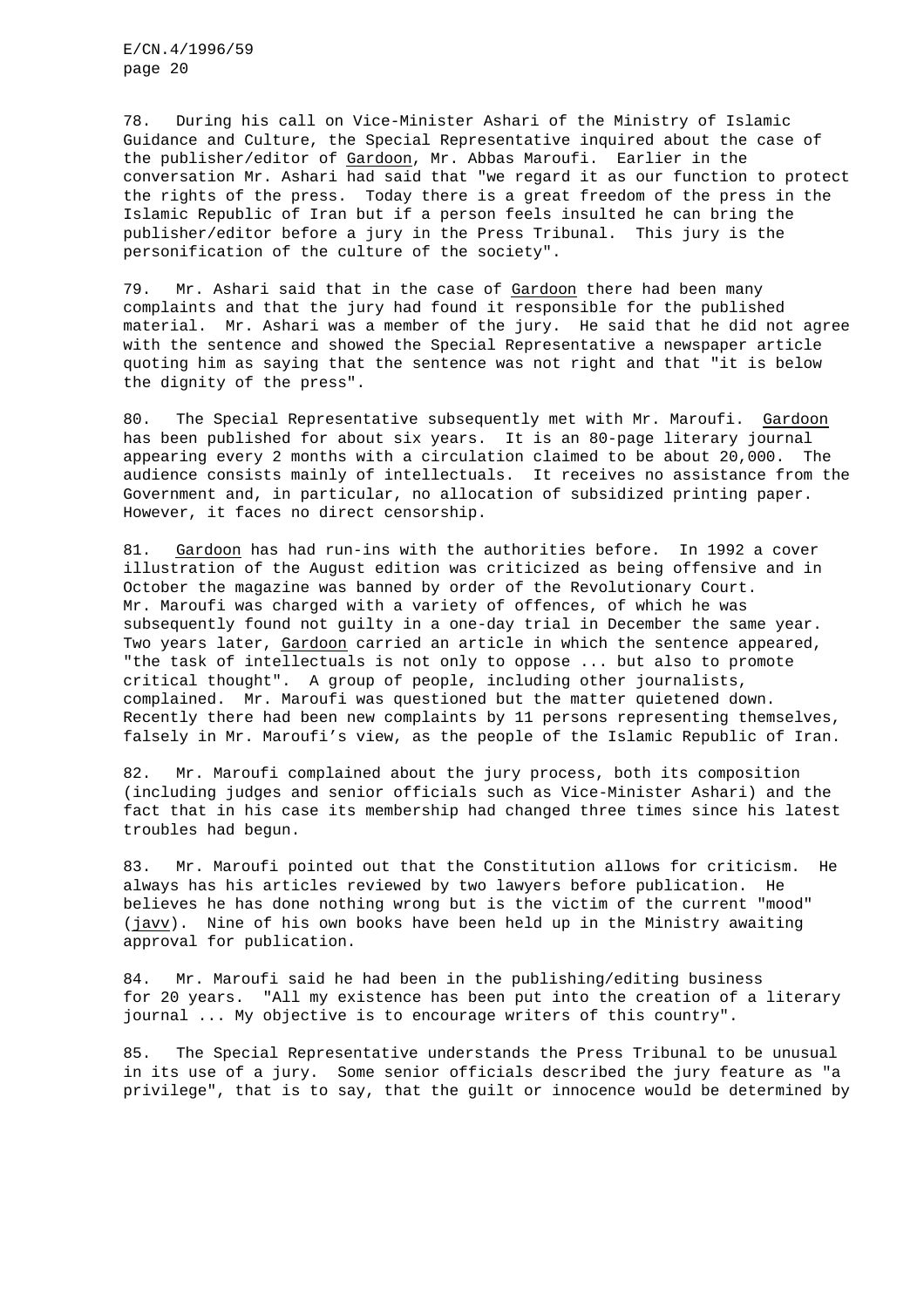78. During his call on Vice-Minister Ashari of the Ministry of Islamic Guidance and Culture, the Special Representative inquired about the case of the publisher/editor of Gardoon, Mr. Abbas Maroufi. Earlier in the conversation Mr. Ashari had said that "we regard it as our function to protect the rights of the press. Today there is a great freedom of the press in the Islamic Republic of Iran but if a person feels insulted he can bring the publisher/editor before a jury in the Press Tribunal. This jury is the personification of the culture of the society".

79. Mr. Ashari said that in the case of Gardoon there had been many complaints and that the jury had found it responsible for the published material. Mr. Ashari was a member of the jury. He said that he did not agree with the sentence and showed the Special Representative a newspaper article quoting him as saying that the sentence was not right and that "it is below the dignity of the press".

80. The Special Representative subsequently met with Mr. Maroufi. Gardoon has been published for about six years. It is an 80-page literary journal appearing every 2 months with a circulation claimed to be about 20,000. The audience consists mainly of intellectuals. It receives no assistance from the Government and, in particular, no allocation of subsidized printing paper. However, it faces no direct censorship.

81. Gardoon has had run-ins with the authorities before. In 1992 a cover illustration of the August edition was criticized as being offensive and in October the magazine was banned by order of the Revolutionary Court. Mr. Maroufi was charged with a variety of offences, of which he was subsequently found not guilty in a one-day trial in December the same year. Two years later, Gardoon carried an article in which the sentence appeared, "the task of intellectuals is not only to oppose ... but also to promote critical thought". A group of people, including other journalists, complained. Mr. Maroufi was questioned but the matter quietened down. Recently there had been new complaints by 11 persons representing themselves, falsely in Mr. Maroufi's view, as the people of the Islamic Republic of Iran.

82. Mr. Maroufi complained about the jury process, both its composition (including judges and senior officials such as Vice-Minister Ashari) and the fact that in his case its membership had changed three times since his latest troubles had begun.

83. Mr. Maroufi pointed out that the Constitution allows for criticism. He always has his articles reviewed by two lawyers before publication. He believes he has done nothing wrong but is the victim of the current "mood" (javv). Nine of his own books have been held up in the Ministry awaiting approval for publication.

84. Mr. Maroufi said he had been in the publishing/editing business for 20 years. "All my existence has been put into the creation of a literary journal ... My objective is to encourage writers of this country".

85. The Special Representative understands the Press Tribunal to be unusual in its use of a jury. Some senior officials described the jury feature as "a privilege", that is to say, that the guilt or innocence would be determined by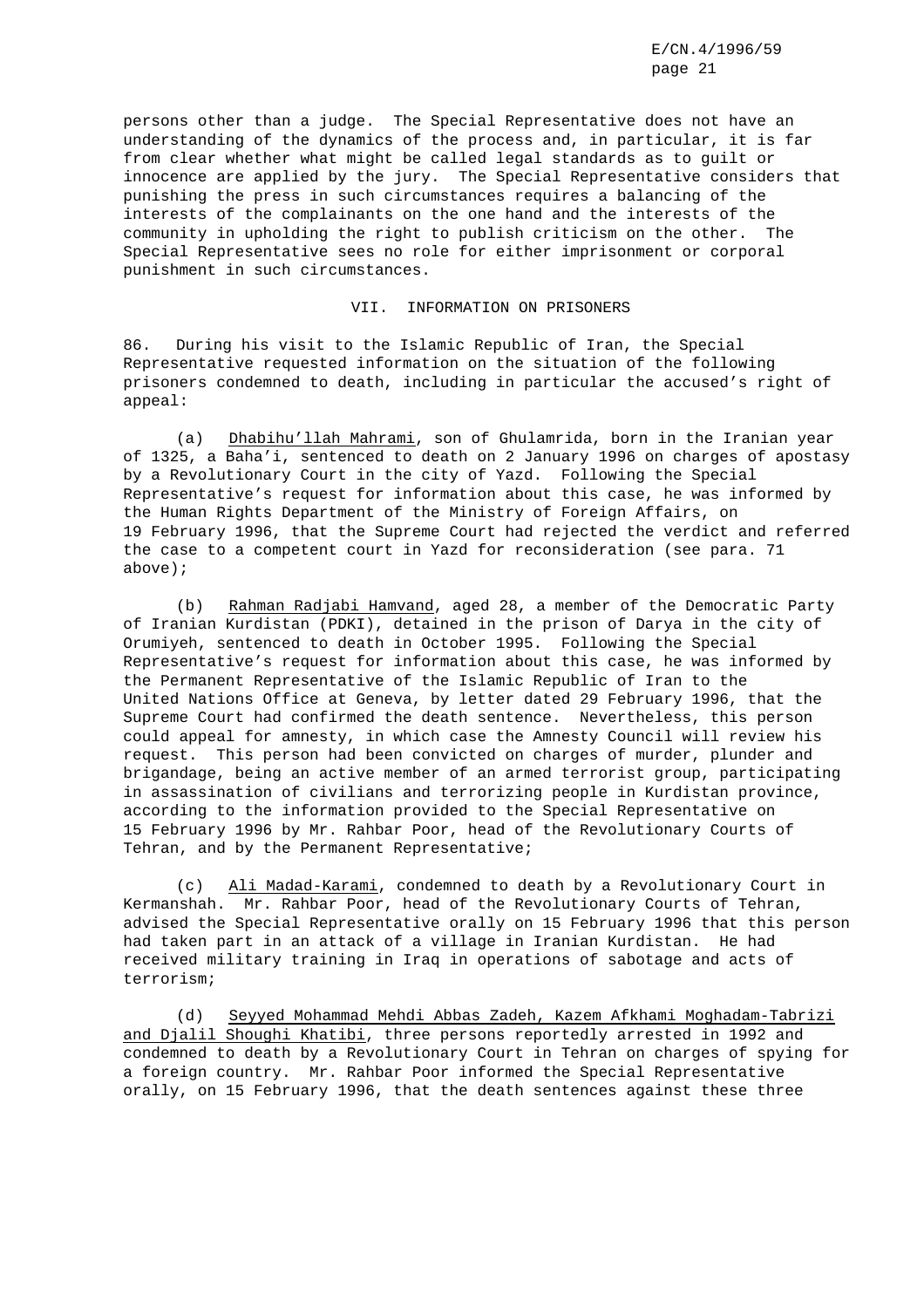persons other than a judge. The Special Representative does not have an understanding of the dynamics of the process and, in particular, it is far from clear whether what might be called legal standards as to guilt or innocence are applied by the jury. The Special Representative considers that punishing the press in such circumstances requires a balancing of the interests of the complainants on the one hand and the interests of the community in upholding the right to publish criticism on the other. The Special Representative sees no role for either imprisonment or corporal punishment in such circumstances.

#### VII. INFORMATION ON PRISONERS

86. During his visit to the Islamic Republic of Iran, the Special Representative requested information on the situation of the following prisoners condemned to death, including in particular the accused's right of appeal:

(a) Dhabihu'llah Mahrami, son of Ghulamrida, born in the Iranian year of 1325, a Baha'i, sentenced to death on 2 January 1996 on charges of apostasy by a Revolutionary Court in the city of Yazd. Following the Special Representative's request for information about this case, he was informed by the Human Rights Department of the Ministry of Foreign Affairs, on 19 February 1996, that the Supreme Court had rejected the verdict and referred the case to a competent court in Yazd for reconsideration (see para. 71 above);

(b) Rahman Radjabi Hamvand, aged 28, a member of the Democratic Party of Iranian Kurdistan (PDKI), detained in the prison of Darya in the city of Orumiyeh, sentenced to death in October 1995. Following the Special Representative's request for information about this case, he was informed by the Permanent Representative of the Islamic Republic of Iran to the United Nations Office at Geneva, by letter dated 29 February 1996, that the Supreme Court had confirmed the death sentence. Nevertheless, this person could appeal for amnesty, in which case the Amnesty Council will review his request. This person had been convicted on charges of murder, plunder and brigandage, being an active member of an armed terrorist group, participating in assassination of civilians and terrorizing people in Kurdistan province, according to the information provided to the Special Representative on 15 February 1996 by Mr. Rahbar Poor, head of the Revolutionary Courts of Tehran, and by the Permanent Representative;

(c) Ali Madad-Karami, condemned to death by a Revolutionary Court in Kermanshah. Mr. Rahbar Poor, head of the Revolutionary Courts of Tehran, advised the Special Representative orally on 15 February 1996 that this person had taken part in an attack of a village in Iranian Kurdistan. He had received military training in Iraq in operations of sabotage and acts of terrorism;

(d) Seyyed Mohammad Mehdi Abbas Zadeh, Kazem Afkhami Moghadam-Tabrizi and Djalil Shoughi Khatibi, three persons reportedly arrested in 1992 and condemned to death by a Revolutionary Court in Tehran on charges of spying for a foreign country. Mr. Rahbar Poor informed the Special Representative orally, on 15 February 1996, that the death sentences against these three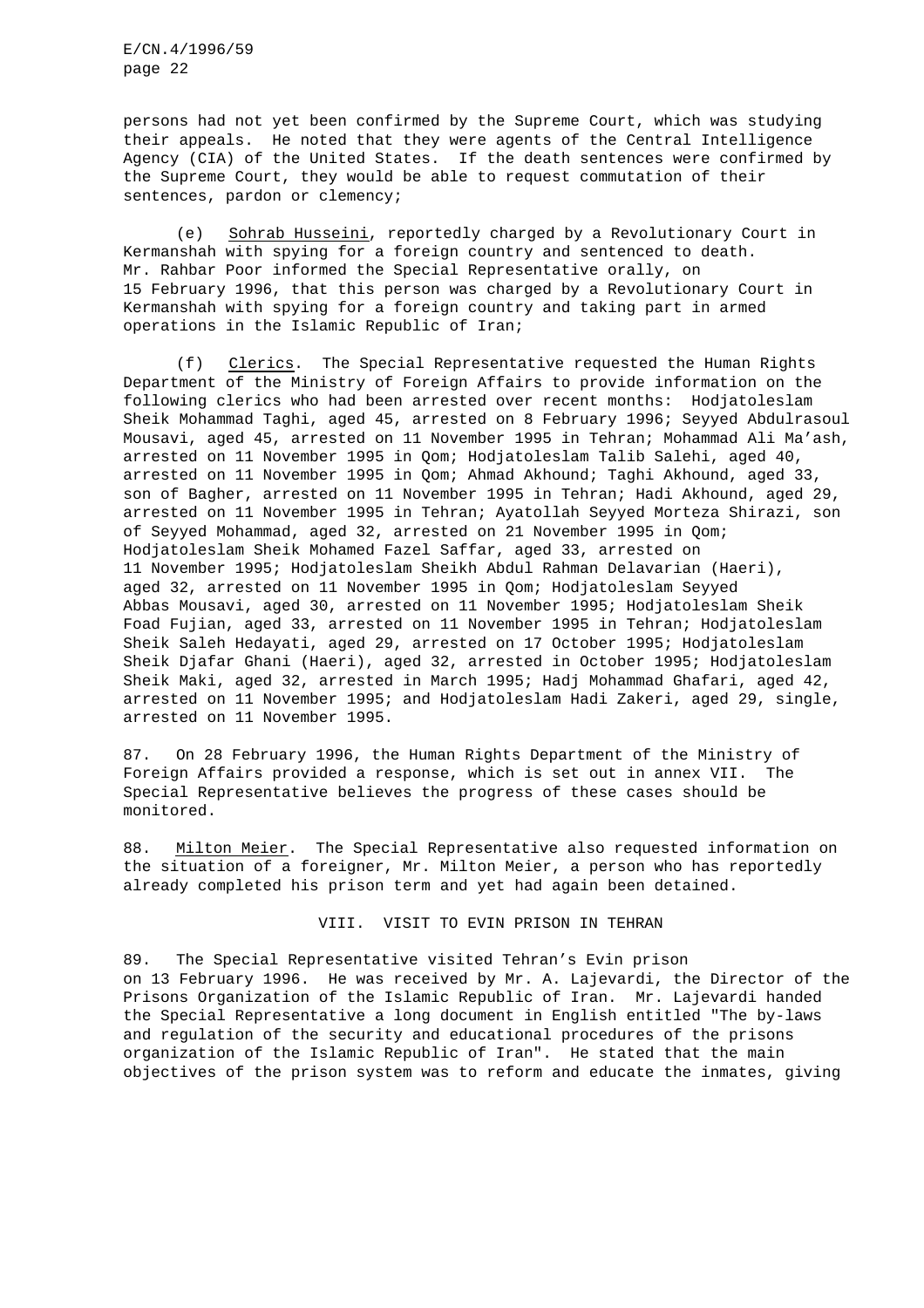persons had not yet been confirmed by the Supreme Court, which was studying their appeals. He noted that they were agents of the Central Intelligence Agency (CIA) of the United States. If the death sentences were confirmed by the Supreme Court, they would be able to request commutation of their sentences, pardon or clemency;

(e) Sohrab Husseini, reportedly charged by a Revolutionary Court in Kermanshah with spying for a foreign country and sentenced to death. Mr. Rahbar Poor informed the Special Representative orally, on 15 February 1996, that this person was charged by a Revolutionary Court in Kermanshah with spying for a foreign country and taking part in armed operations in the Islamic Republic of Iran;

(f) Clerics. The Special Representative requested the Human Rights Department of the Ministry of Foreign Affairs to provide information on the following clerics who had been arrested over recent months: Hodjatoleslam Sheik Mohammad Taghi, aged 45, arrested on 8 February 1996; Seyyed Abdulrasoul Mousavi, aged 45, arrested on 11 November 1995 in Tehran; Mohammad Ali Ma'ash, arrested on 11 November 1995 in Qom; Hodjatoleslam Talib Salehi, aged 40, arrested on 11 November 1995 in Qom; Ahmad Akhound; Taghi Akhound, aged 33, son of Bagher, arrested on 11 November 1995 in Tehran; Hadi Akhound, aged 29, arrested on 11 November 1995 in Tehran; Ayatollah Seyyed Morteza Shirazi, son of Seyyed Mohammad, aged 32, arrested on 21 November 1995 in Qom; Hodjatoleslam Sheik Mohamed Fazel Saffar, aged 33, arrested on 11 November 1995; Hodjatoleslam Sheikh Abdul Rahman Delavarian (Haeri), aged 32, arrested on 11 November 1995 in Qom; Hodjatoleslam Seyyed Abbas Mousavi, aged 30, arrested on 11 November 1995; Hodjatoleslam Sheik Foad Fujian, aged 33, arrested on 11 November 1995 in Tehran; Hodjatoleslam Sheik Saleh Hedayati, aged 29, arrested on 17 October 1995; Hodjatoleslam Sheik Djafar Ghani (Haeri), aged 32, arrested in October 1995; Hodjatoleslam Sheik Maki, aged 32, arrested in March 1995; Hadj Mohammad Ghafari, aged 42, arrested on 11 November 1995; and Hodjatoleslam Hadi Zakeri, aged 29, single, arrested on 11 November 1995.

87. On 28 February 1996, the Human Rights Department of the Ministry of Foreign Affairs provided a response, which is set out in annex VII. The Special Representative believes the progress of these cases should be monitored.

88. Milton Meier. The Special Representative also requested information on the situation of a foreigner, Mr. Milton Meier, a person who has reportedly already completed his prison term and yet had again been detained.

VIII. VISIT TO EVIN PRISON IN TEHRAN

89. The Special Representative visited Tehran's Evin prison on 13 February 1996. He was received by Mr. A. Lajevardi, the Director of the Prisons Organization of the Islamic Republic of Iran. Mr. Lajevardi handed the Special Representative a long document in English entitled "The by-laws and regulation of the security and educational procedures of the prisons organization of the Islamic Republic of Iran". He stated that the main objectives of the prison system was to reform and educate the inmates, giving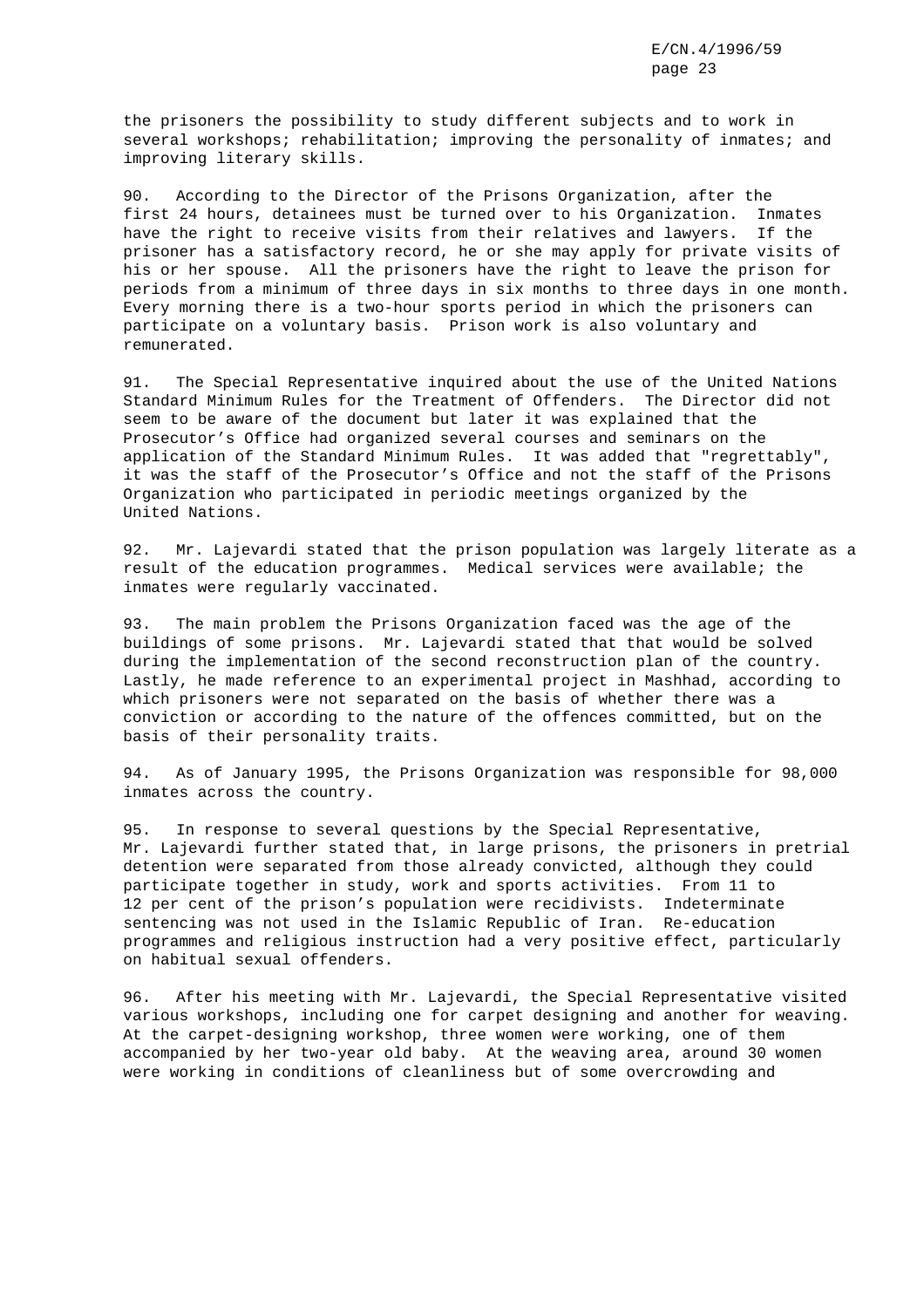the prisoners the possibility to study different subjects and to work in several workshops; rehabilitation; improving the personality of inmates; and improving literary skills.

90. According to the Director of the Prisons Organization, after the first 24 hours, detainees must be turned over to his Organization. Inmates have the right to receive visits from their relatives and lawyers. If the prisoner has a satisfactory record, he or she may apply for private visits of his or her spouse. All the prisoners have the right to leave the prison for periods from a minimum of three days in six months to three days in one month. Every morning there is a two-hour sports period in which the prisoners can participate on a voluntary basis. Prison work is also voluntary and remunerated.

91. The Special Representative inquired about the use of the United Nations Standard Minimum Rules for the Treatment of Offenders. The Director did not seem to be aware of the document but later it was explained that the Prosecutor's Office had organized several courses and seminars on the application of the Standard Minimum Rules. It was added that "regrettably", it was the staff of the Prosecutor's Office and not the staff of the Prisons Organization who participated in periodic meetings organized by the United Nations.

92. Mr. Lajevardi stated that the prison population was largely literate as a result of the education programmes. Medical services were available; the inmates were regularly vaccinated.

93. The main problem the Prisons Organization faced was the age of the buildings of some prisons. Mr. Lajevardi stated that that would be solved during the implementation of the second reconstruction plan of the country. Lastly, he made reference to an experimental project in Mashhad, according to which prisoners were not separated on the basis of whether there was a conviction or according to the nature of the offences committed, but on the basis of their personality traits.

94. As of January 1995, the Prisons Organization was responsible for 98,000 inmates across the country.

95. In response to several questions by the Special Representative, Mr. Lajevardi further stated that, in large prisons, the prisoners in pretrial detention were separated from those already convicted, although they could participate together in study, work and sports activities. From 11 to 12 per cent of the prison's population were recidivists. Indeterminate sentencing was not used in the Islamic Republic of Iran. Re-education programmes and religious instruction had a very positive effect, particularly on habitual sexual offenders.

96. After his meeting with Mr. Lajevardi, the Special Representative visited various workshops, including one for carpet designing and another for weaving. At the carpet-designing workshop, three women were working, one of them accompanied by her two-year old baby. At the weaving area, around 30 women were working in conditions of cleanliness but of some overcrowding and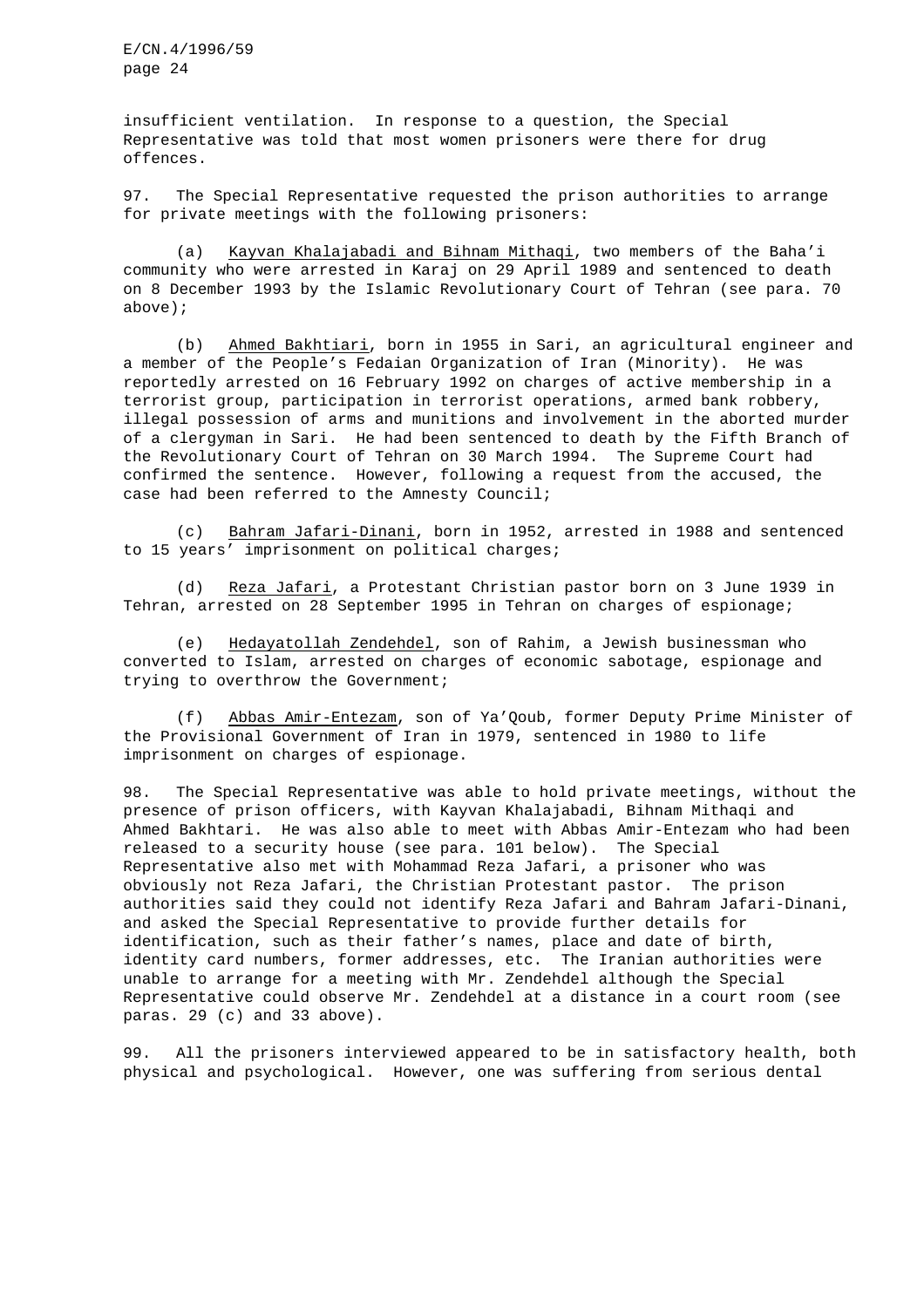insufficient ventilation. In response to a question, the Special Representative was told that most women prisoners were there for drug offences.

97. The Special Representative requested the prison authorities to arrange for private meetings with the following prisoners:

(a) Kayvan Khalajabadi and Bihnam Mithaqi, two members of the Baha'i community who were arrested in Karaj on 29 April 1989 and sentenced to death on 8 December 1993 by the Islamic Revolutionary Court of Tehran (see para. 70 above);

(b) Ahmed Bakhtiari, born in 1955 in Sari, an agricultural engineer and a member of the People's Fedaian Organization of Iran (Minority). He was reportedly arrested on 16 February 1992 on charges of active membership in a terrorist group, participation in terrorist operations, armed bank robbery, illegal possession of arms and munitions and involvement in the aborted murder of a clergyman in Sari. He had been sentenced to death by the Fifth Branch of the Revolutionary Court of Tehran on 30 March 1994. The Supreme Court had confirmed the sentence. However, following a request from the accused, the case had been referred to the Amnesty Council;

(c) Bahram Jafari-Dinani, born in 1952, arrested in 1988 and sentenced to 15 years' imprisonment on political charges;

(d) Reza Jafari, a Protestant Christian pastor born on 3 June 1939 in Tehran, arrested on 28 September 1995 in Tehran on charges of espionage;

(e) Hedayatollah Zendehdel, son of Rahim, a Jewish businessman who converted to Islam, arrested on charges of economic sabotage, espionage and trying to overthrow the Government;

(f) Abbas Amir-Entezam, son of Ya'Qoub, former Deputy Prime Minister of the Provisional Government of Iran in 1979, sentenced in 1980 to life imprisonment on charges of espionage.

98. The Special Representative was able to hold private meetings, without the presence of prison officers, with Kayvan Khalajabadi, Bihnam Mithaqi and Ahmed Bakhtari. He was also able to meet with Abbas Amir-Entezam who had been released to a security house (see para. 101 below). The Special Representative also met with Mohammad Reza Jafari, a prisoner who was obviously not Reza Jafari, the Christian Protestant pastor. The prison authorities said they could not identify Reza Jafari and Bahram Jafari-Dinani, and asked the Special Representative to provide further details for identification, such as their father's names, place and date of birth, identity card numbers, former addresses, etc. The Iranian authorities were unable to arrange for a meeting with Mr. Zendehdel although the Special Representative could observe Mr. Zendehdel at a distance in a court room (see paras. 29 (c) and 33 above).

99. All the prisoners interviewed appeared to be in satisfactory health, both physical and psychological. However, one was suffering from serious dental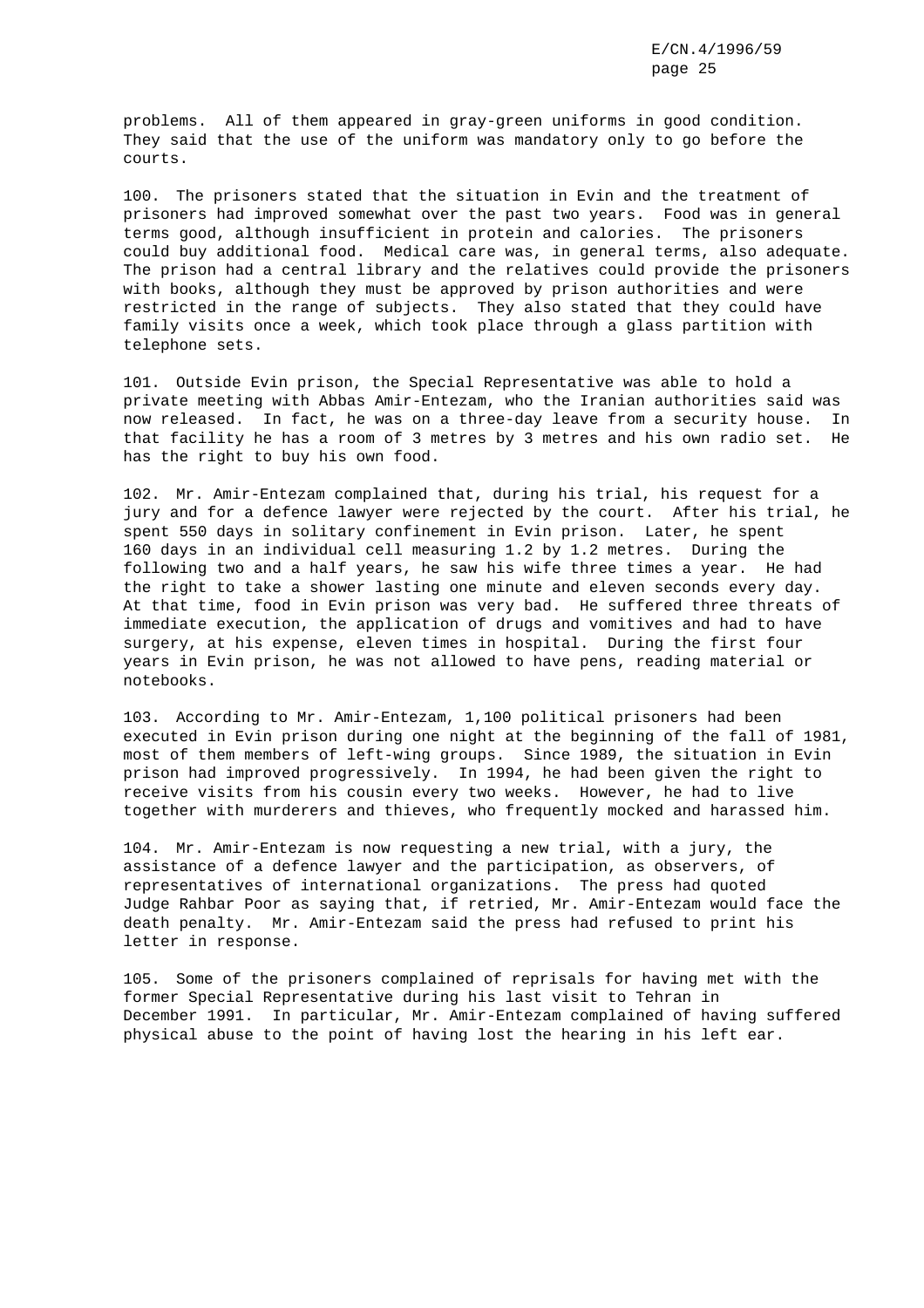problems. All of them appeared in gray-green uniforms in good condition. They said that the use of the uniform was mandatory only to go before the courts.

100. The prisoners stated that the situation in Evin and the treatment of prisoners had improved somewhat over the past two years. Food was in general terms good, although insufficient in protein and calories. The prisoners could buy additional food. Medical care was, in general terms, also adequate. The prison had a central library and the relatives could provide the prisoners with books, although they must be approved by prison authorities and were restricted in the range of subjects. They also stated that they could have family visits once a week, which took place through a glass partition with telephone sets.

101. Outside Evin prison, the Special Representative was able to hold a private meeting with Abbas Amir-Entezam, who the Iranian authorities said was now released. In fact, he was on a three-day leave from a security house. In that facility he has a room of 3 metres by 3 metres and his own radio set. He has the right to buy his own food.

102. Mr. Amir-Entezam complained that, during his trial, his request for a jury and for a defence lawyer were rejected by the court. After his trial, he spent 550 days in solitary confinement in Evin prison. Later, he spent 160 days in an individual cell measuring 1.2 by 1.2 metres. During the following two and a half years, he saw his wife three times a year. He had the right to take a shower lasting one minute and eleven seconds every day. At that time, food in Evin prison was very bad. He suffered three threats of immediate execution, the application of drugs and vomitives and had to have surgery, at his expense, eleven times in hospital. During the first four years in Evin prison, he was not allowed to have pens, reading material or notebooks.

103. According to Mr. Amir-Entezam, 1,100 political prisoners had been executed in Evin prison during one night at the beginning of the fall of 1981, most of them members of left-wing groups. Since 1989, the situation in Evin prison had improved progressively. In 1994, he had been given the right to receive visits from his cousin every two weeks. However, he had to live together with murderers and thieves, who frequently mocked and harassed him.

104. Mr. Amir-Entezam is now requesting a new trial, with a jury, the assistance of a defence lawyer and the participation, as observers, of representatives of international organizations. The press had quoted Judge Rahbar Poor as saying that, if retried, Mr. Amir-Entezam would face the death penalty. Mr. Amir-Entezam said the press had refused to print his letter in response.

105. Some of the prisoners complained of reprisals for having met with the former Special Representative during his last visit to Tehran in December 1991. In particular, Mr. Amir-Entezam complained of having suffered physical abuse to the point of having lost the hearing in his left ear.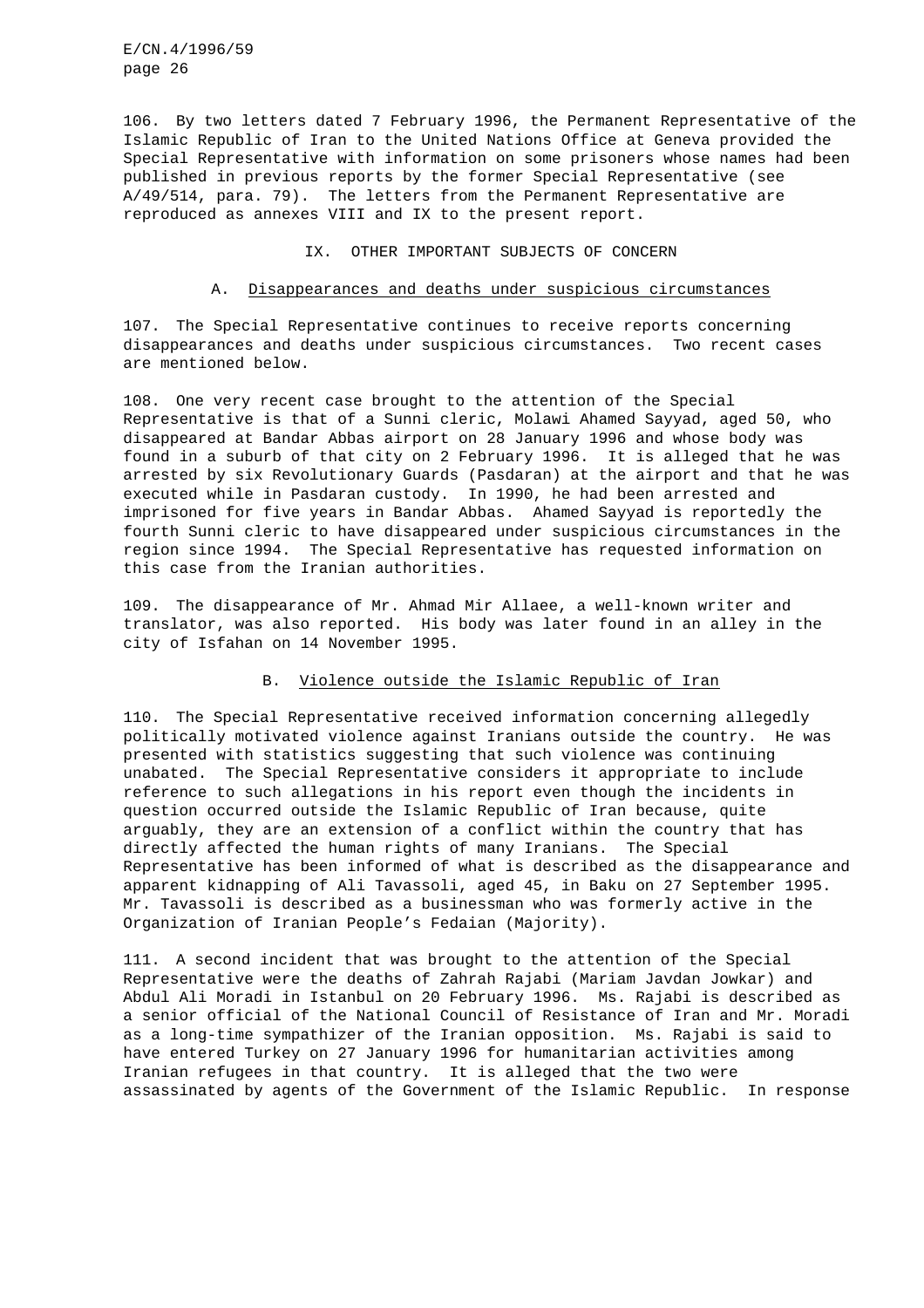106. By two letters dated 7 February 1996, the Permanent Representative of the Islamic Republic of Iran to the United Nations Office at Geneva provided the Special Representative with information on some prisoners whose names had been published in previous reports by the former Special Representative (see A/49/514, para. 79). The letters from the Permanent Representative are reproduced as annexes VIII and IX to the present report.

# IX. OTHER IMPORTANT SUBJECTS OF CONCERN

# A. Disappearances and deaths under suspicious circumstances

107. The Special Representative continues to receive reports concerning disappearances and deaths under suspicious circumstances. Two recent cases are mentioned below.

108. One very recent case brought to the attention of the Special Representative is that of a Sunni cleric, Molawi Ahamed Sayyad, aged 50, who disappeared at Bandar Abbas airport on 28 January 1996 and whose body was found in a suburb of that city on 2 February 1996. It is alleged that he was arrested by six Revolutionary Guards (Pasdaran) at the airport and that he was executed while in Pasdaran custody. In 1990, he had been arrested and imprisoned for five years in Bandar Abbas. Ahamed Sayyad is reportedly the fourth Sunni cleric to have disappeared under suspicious circumstances in the region since 1994. The Special Representative has requested information on this case from the Iranian authorities.

109. The disappearance of Mr. Ahmad Mir Allaee, a well-known writer and translator, was also reported. His body was later found in an alley in the city of Isfahan on 14 November 1995.

# B. Violence outside the Islamic Republic of Iran

110. The Special Representative received information concerning allegedly politically motivated violence against Iranians outside the country. He was presented with statistics suggesting that such violence was continuing unabated. The Special Representative considers it appropriate to include reference to such allegations in his report even though the incidents in question occurred outside the Islamic Republic of Iran because, quite arguably, they are an extension of a conflict within the country that has directly affected the human rights of many Iranians. The Special Representative has been informed of what is described as the disappearance and apparent kidnapping of Ali Tavassoli, aged 45, in Baku on 27 September 1995. Mr. Tavassoli is described as a businessman who was formerly active in the Organization of Iranian People's Fedaian (Majority).

111. A second incident that was brought to the attention of the Special Representative were the deaths of Zahrah Rajabi (Mariam Javdan Jowkar) and Abdul Ali Moradi in Istanbul on 20 February 1996. Ms. Rajabi is described as a senior official of the National Council of Resistance of Iran and Mr. Moradi as a long-time sympathizer of the Iranian opposition. Ms. Rajabi is said to have entered Turkey on 27 January 1996 for humanitarian activities among Iranian refugees in that country. It is alleged that the two were assassinated by agents of the Government of the Islamic Republic. In response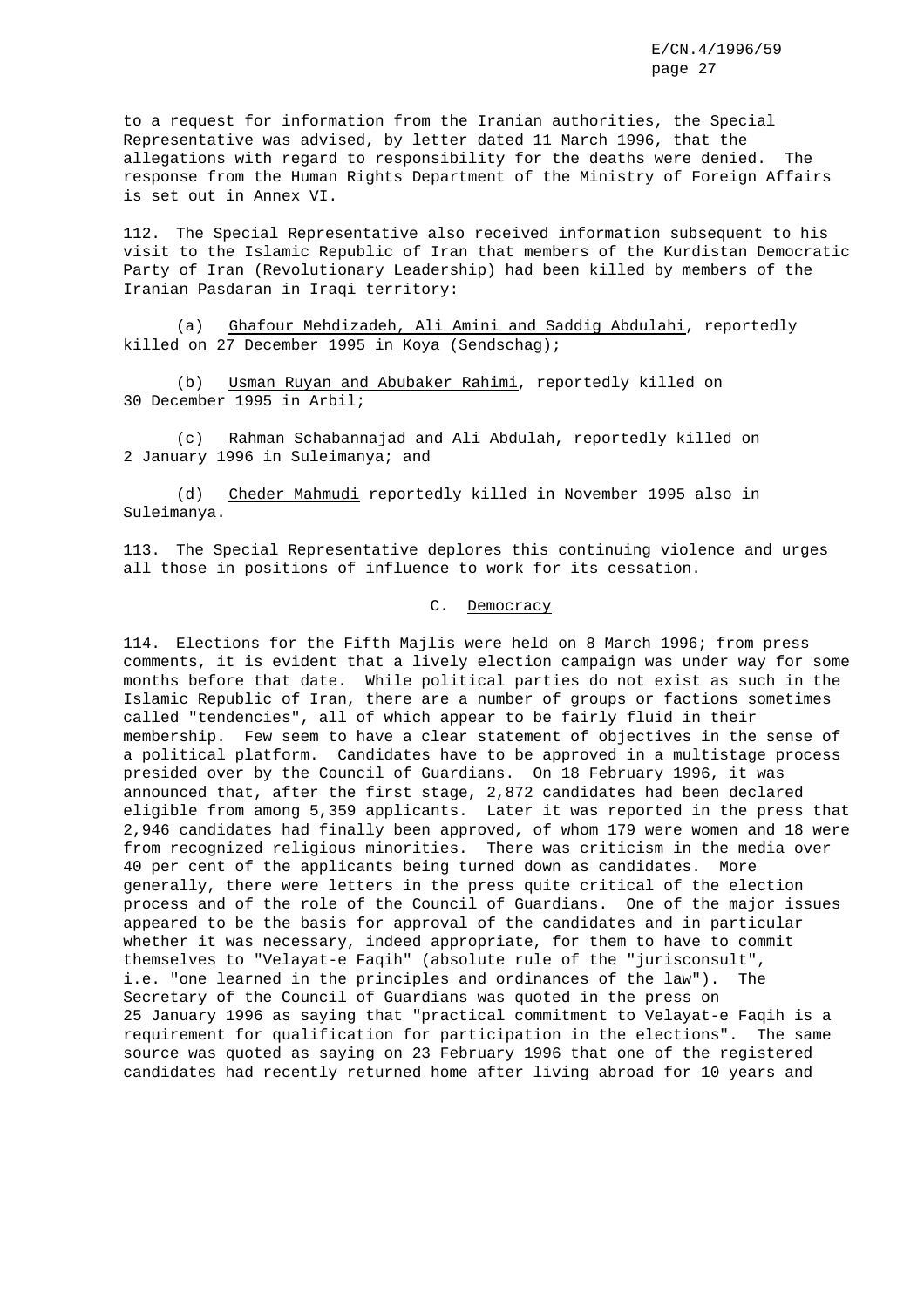to a request for information from the Iranian authorities, the Special Representative was advised, by letter dated 11 March 1996, that the allegations with regard to responsibility for the deaths were denied. The response from the Human Rights Department of the Ministry of Foreign Affairs is set out in Annex VI.

112. The Special Representative also received information subsequent to his visit to the Islamic Republic of Iran that members of the Kurdistan Democratic Party of Iran (Revolutionary Leadership) had been killed by members of the Iranian Pasdaran in Iraqi territory:

(a) Ghafour Mehdizadeh, Ali Amini and Saddig Abdulahi, reportedly killed on 27 December 1995 in Koya (Sendschag);

(b) Usman Ruyan and Abubaker Rahimi, reportedly killed on 30 December 1995 in Arbil;

(c) Rahman Schabannajad and Ali Abdulah, reportedly killed on 2 January 1996 in Suleimanya; and

(d) Cheder Mahmudi reportedly killed in November 1995 also in Suleimanya.

113. The Special Representative deplores this continuing violence and urges all those in positions of influence to work for its cessation.

# C. Democracy

114. Elections for the Fifth Majlis were held on 8 March 1996; from press comments, it is evident that a lively election campaign was under way for some months before that date. While political parties do not exist as such in the Islamic Republic of Iran, there are a number of groups or factions sometimes called "tendencies", all of which appear to be fairly fluid in their membership. Few seem to have a clear statement of objectives in the sense of a political platform. Candidates have to be approved in a multistage process presided over by the Council of Guardians. On 18 February 1996, it was announced that, after the first stage, 2,872 candidates had been declared eligible from among 5,359 applicants. Later it was reported in the press that 2,946 candidates had finally been approved, of whom 179 were women and 18 were from recognized religious minorities. There was criticism in the media over 40 per cent of the applicants being turned down as candidates. More generally, there were letters in the press quite critical of the election process and of the role of the Council of Guardians. One of the major issues appeared to be the basis for approval of the candidates and in particular whether it was necessary, indeed appropriate, for them to have to commit themselves to "Velayat-e Faqih" (absolute rule of the "jurisconsult", i.e. "one learned in the principles and ordinances of the law"). The Secretary of the Council of Guardians was quoted in the press on 25 January 1996 as saying that "practical commitment to Velayat-e Faqih is a requirement for qualification for participation in the elections". The same source was quoted as saying on 23 February 1996 that one of the registered candidates had recently returned home after living abroad for 10 years and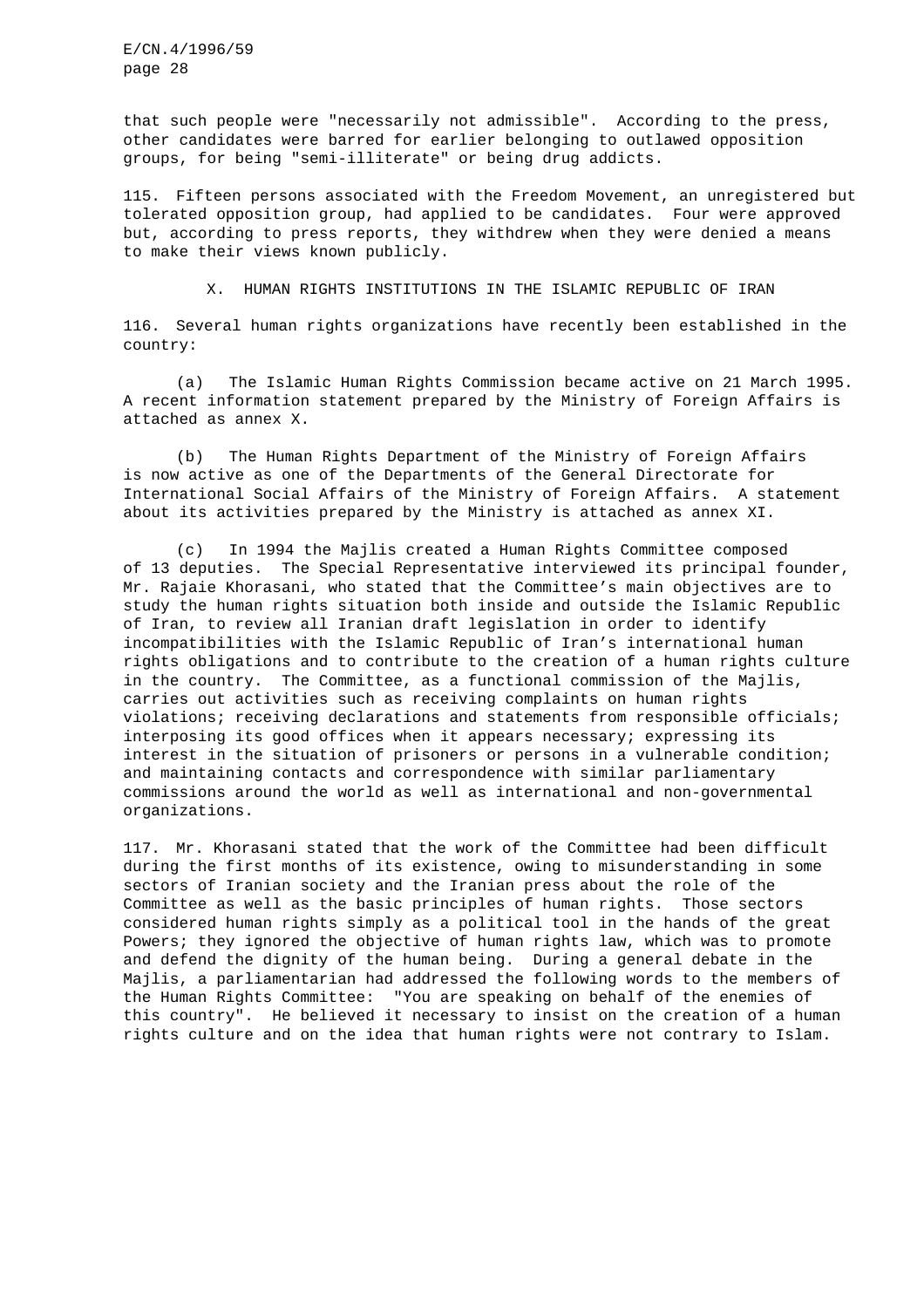that such people were "necessarily not admissible". According to the press, other candidates were barred for earlier belonging to outlawed opposition groups, for being "semi-illiterate" or being drug addicts.

115. Fifteen persons associated with the Freedom Movement, an unregistered but tolerated opposition group, had applied to be candidates. Four were approved but, according to press reports, they withdrew when they were denied a means to make their views known publicly.

X. HUMAN RIGHTS INSTITUTIONS IN THE ISLAMIC REPUBLIC OF IRAN

116. Several human rights organizations have recently been established in the country:

(a) The Islamic Human Rights Commission became active on 21 March 1995. A recent information statement prepared by the Ministry of Foreign Affairs is attached as annex X.

(b) The Human Rights Department of the Ministry of Foreign Affairs is now active as one of the Departments of the General Directorate for International Social Affairs of the Ministry of Foreign Affairs. A statement about its activities prepared by the Ministry is attached as annex XI.

(c) In 1994 the Majlis created a Human Rights Committee composed of 13 deputies. The Special Representative interviewed its principal founder, Mr. Rajaie Khorasani, who stated that the Committee's main objectives are to study the human rights situation both inside and outside the Islamic Republic of Iran, to review all Iranian draft legislation in order to identify incompatibilities with the Islamic Republic of Iran's international human rights obligations and to contribute to the creation of a human rights culture in the country. The Committee, as a functional commission of the Majlis, carries out activities such as receiving complaints on human rights violations; receiving declarations and statements from responsible officials; interposing its good offices when it appears necessary; expressing its interest in the situation of prisoners or persons in a vulnerable condition; and maintaining contacts and correspondence with similar parliamentary commissions around the world as well as international and non-governmental organizations.

117. Mr. Khorasani stated that the work of the Committee had been difficult during the first months of its existence, owing to misunderstanding in some sectors of Iranian society and the Iranian press about the role of the Committee as well as the basic principles of human rights. Those sectors considered human rights simply as a political tool in the hands of the great Powers; they ignored the objective of human rights law, which was to promote and defend the dignity of the human being. During a general debate in the Majlis, a parliamentarian had addressed the following words to the members of the Human Rights Committee: "You are speaking on behalf of the enemies of this country". He believed it necessary to insist on the creation of a human rights culture and on the idea that human rights were not contrary to Islam.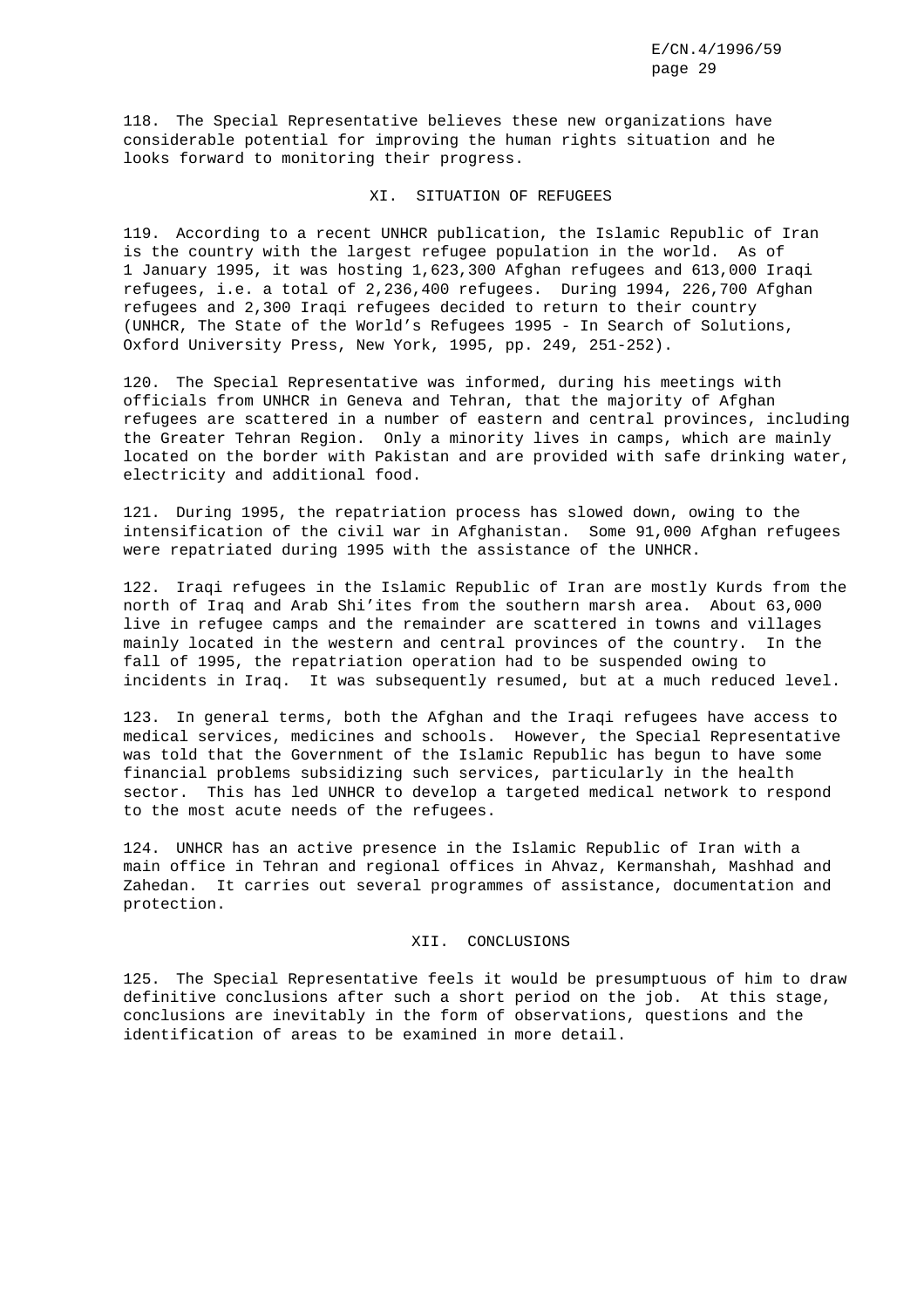118. The Special Representative believes these new organizations have considerable potential for improving the human rights situation and he looks forward to monitoring their progress.

#### XI. SITUATION OF REFUGEES

119. According to a recent UNHCR publication, the Islamic Republic of Iran is the country with the largest refugee population in the world. As of 1 January 1995, it was hosting 1,623,300 Afghan refugees and 613,000 Iraqi refugees, i.e. a total of 2,236,400 refugees. During 1994, 226,700 Afghan refugees and 2,300 Iraqi refugees decided to return to their country (UNHCR, The State of the World's Refugees 1995 - In Search of Solutions, Oxford University Press, New York, 1995, pp. 249, 251-252).

120. The Special Representative was informed, during his meetings with officials from UNHCR in Geneva and Tehran, that the majority of Afghan refugees are scattered in a number of eastern and central provinces, including the Greater Tehran Region. Only a minority lives in camps, which are mainly located on the border with Pakistan and are provided with safe drinking water, electricity and additional food.

121. During 1995, the repatriation process has slowed down, owing to the intensification of the civil war in Afghanistan. Some 91,000 Afghan refugees were repatriated during 1995 with the assistance of the UNHCR.

122. Iraqi refugees in the Islamic Republic of Iran are mostly Kurds from the north of Iraq and Arab Shi'ites from the southern marsh area. About 63,000 live in refugee camps and the remainder are scattered in towns and villages mainly located in the western and central provinces of the country. In the fall of 1995, the repatriation operation had to be suspended owing to incidents in Iraq. It was subsequently resumed, but at a much reduced level.

123. In general terms, both the Afghan and the Iraqi refugees have access to medical services, medicines and schools. However, the Special Representative was told that the Government of the Islamic Republic has begun to have some financial problems subsidizing such services, particularly in the health sector. This has led UNHCR to develop a targeted medical network to respond to the most acute needs of the refugees.

124. UNHCR has an active presence in the Islamic Republic of Iran with a main office in Tehran and regional offices in Ahvaz, Kermanshah, Mashhad and Zahedan. It carries out several programmes of assistance, documentation and protection.

# XII. CONCLUSIONS

125. The Special Representative feels it would be presumptuous of him to draw definitive conclusions after such a short period on the job. At this stage, conclusions are inevitably in the form of observations, questions and the identification of areas to be examined in more detail.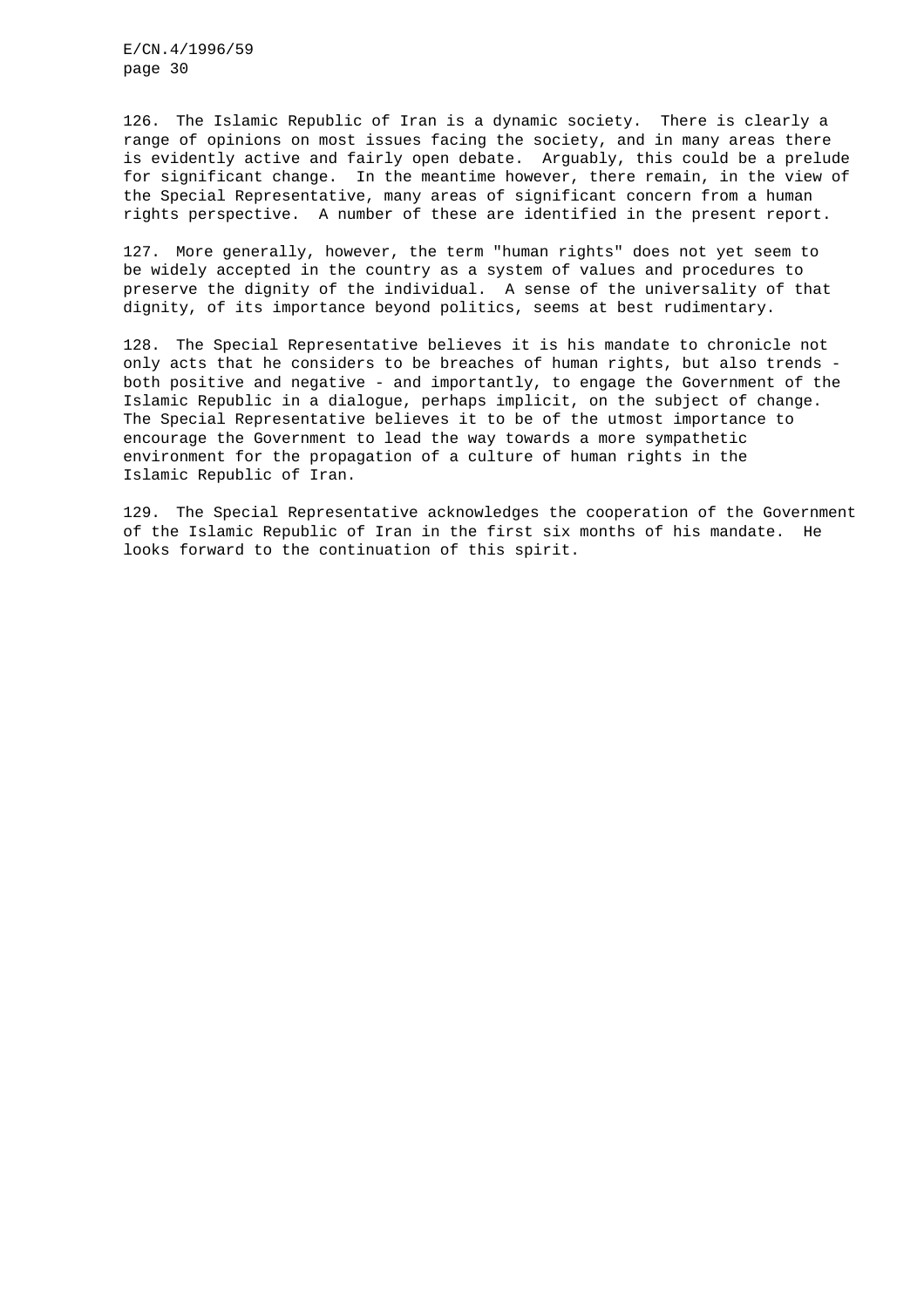126. The Islamic Republic of Iran is a dynamic society. There is clearly a range of opinions on most issues facing the society, and in many areas there is evidently active and fairly open debate. Arguably, this could be a prelude for significant change. In the meantime however, there remain, in the view of the Special Representative, many areas of significant concern from a human rights perspective. A number of these are identified in the present report.

127. More generally, however, the term "human rights" does not yet seem to be widely accepted in the country as a system of values and procedures to preserve the dignity of the individual. A sense of the universality of that dignity, of its importance beyond politics, seems at best rudimentary.

128. The Special Representative believes it is his mandate to chronicle not only acts that he considers to be breaches of human rights, but also trends both positive and negative - and importantly, to engage the Government of the Islamic Republic in a dialogue, perhaps implicit, on the subject of change. The Special Representative believes it to be of the utmost importance to encourage the Government to lead the way towards a more sympathetic environment for the propagation of a culture of human rights in the Islamic Republic of Iran.

129. The Special Representative acknowledges the cooperation of the Government of the Islamic Republic of Iran in the first six months of his mandate. He looks forward to the continuation of this spirit.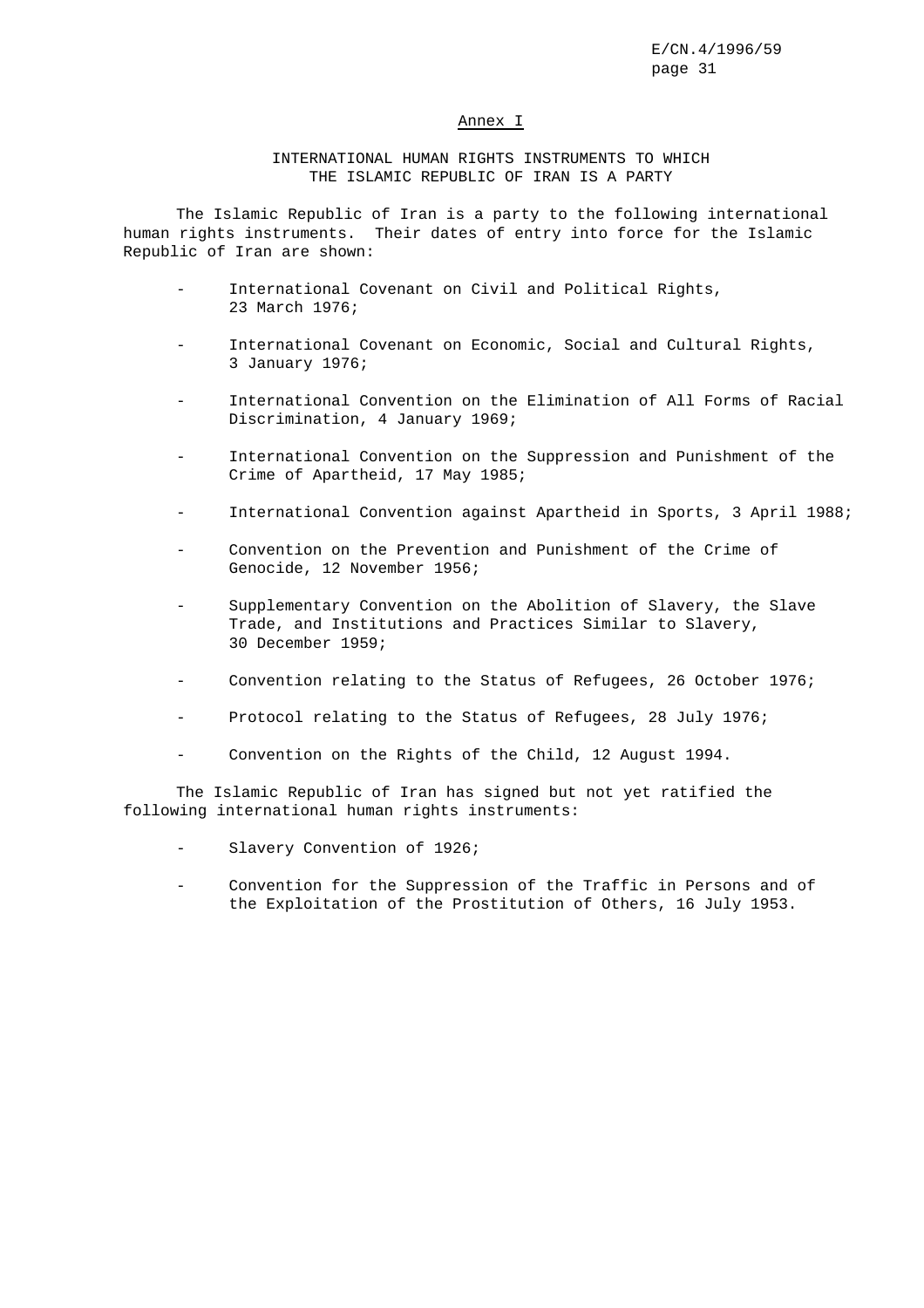## Annex I

# INTERNATIONAL HUMAN RIGHTS INSTRUMENTS TO WHICH THE ISLAMIC REPUBLIC OF IRAN IS A PARTY

The Islamic Republic of Iran is a party to the following international human rights instruments. Their dates of entry into force for the Islamic Republic of Iran are shown:

- International Covenant on Civil and Political Rights, 23 March 1976;
- International Covenant on Economic, Social and Cultural Rights, 3 January 1976;
- International Convention on the Elimination of All Forms of Racial Discrimination, 4 January 1969;
- International Convention on the Suppression and Punishment of the Crime of Apartheid, 17 May 1985;
- International Convention against Apartheid in Sports, 3 April 1988;
- Convention on the Prevention and Punishment of the Crime of Genocide, 12 November 1956;
- Supplementary Convention on the Abolition of Slavery, the Slave Trade, and Institutions and Practices Similar to Slavery, 30 December 1959;
- Convention relating to the Status of Refugees, 26 October 1976;
- Protocol relating to the Status of Refugees, 28 July 1976;
- Convention on the Rights of the Child, 12 August 1994.

The Islamic Republic of Iran has signed but not yet ratified the following international human rights instruments:

- Slavery Convention of 1926;
- Convention for the Suppression of the Traffic in Persons and of the Exploitation of the Prostitution of Others, 16 July 1953.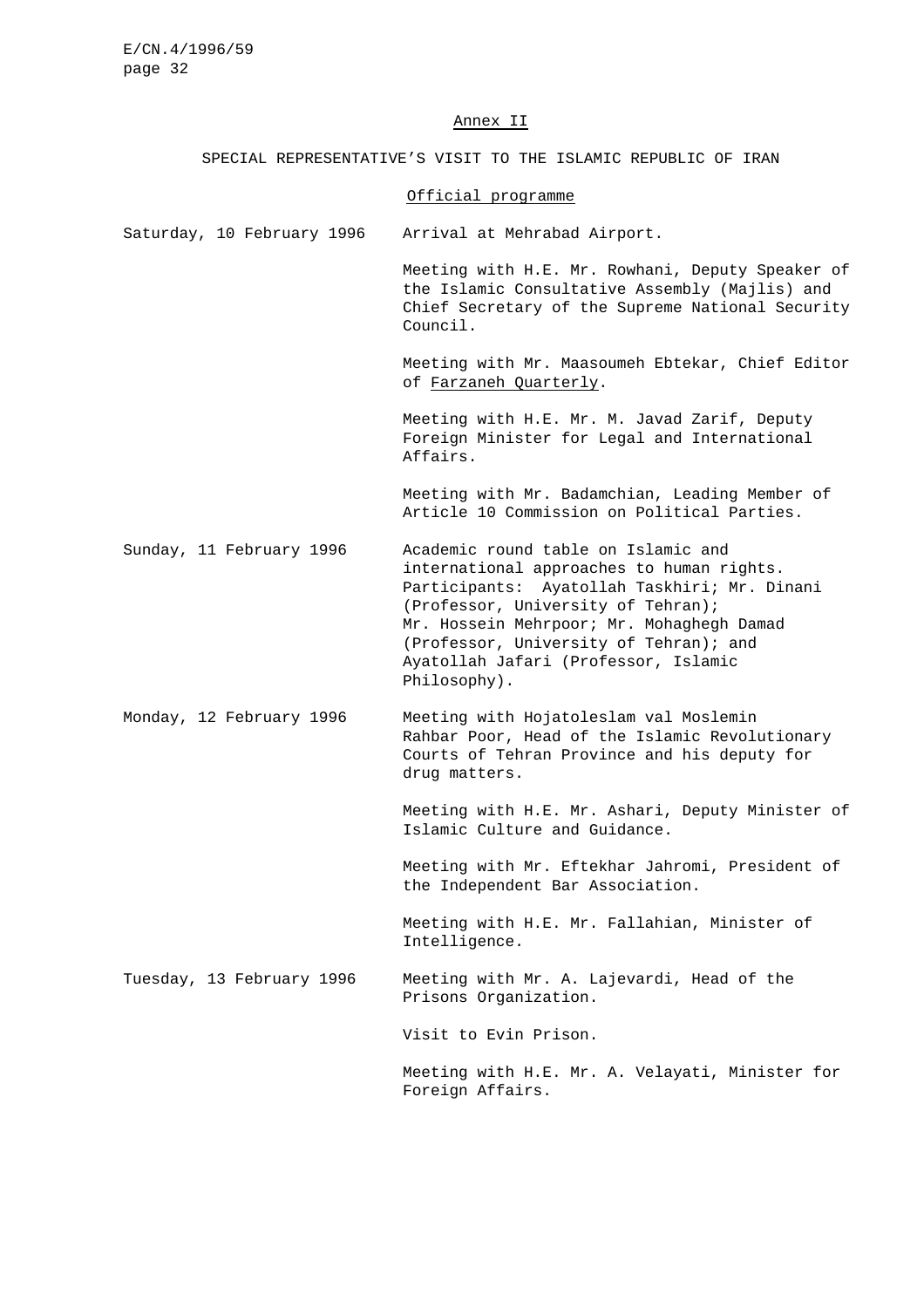#### Annex II

SPECIAL REPRESENTATIVE'S VISIT TO THE ISLAMIC REPUBLIC OF IRAN

## Official programme

Saturday, 10 February 1996 Arrival at Mehrabad Airport.

Meeting with H.E. Mr. Rowhani, Deputy Speaker of the Islamic Consultative Assembly (Majlis) and Chief Secretary of the Supreme National Security Council.

Meeting with Mr. Maasoumeh Ebtekar, Chief Editor of Farzaneh Quarterly.

Meeting with H.E. Mr. M. Javad Zarif, Deputy Foreign Minister for Legal and International Affairs.

Meeting with Mr. Badamchian, Leading Member of Article 10 Commission on Political Parties.

Sunday, 11 February 1996 Academic round table on Islamic and international approaches to human rights. Participants: Ayatollah Taskhiri; Mr. Dinani (Professor, University of Tehran); Mr. Hossein Mehrpoor; Mr. Mohaghegh Damad (Professor, University of Tehran); and Ayatollah Jafari (Professor, Islamic Philosophy).

Monday, 12 February 1996 Meeting with Hojatoleslam val Moslemin Rahbar Poor, Head of the Islamic Revolutionary Courts of Tehran Province and his deputy for drug matters.

> Meeting with H.E. Mr. Ashari, Deputy Minister of Islamic Culture and Guidance.

Meeting with Mr. Eftekhar Jahromi, President of the Independent Bar Association.

Meeting with H.E. Mr. Fallahian, Minister of Intelligence.

Tuesday, 13 February 1996 Meeting with Mr. A. Lajevardi, Head of the Prisons Organization.

Visit to Evin Prison.

Meeting with H.E. Mr. A. Velayati, Minister for Foreign Affairs.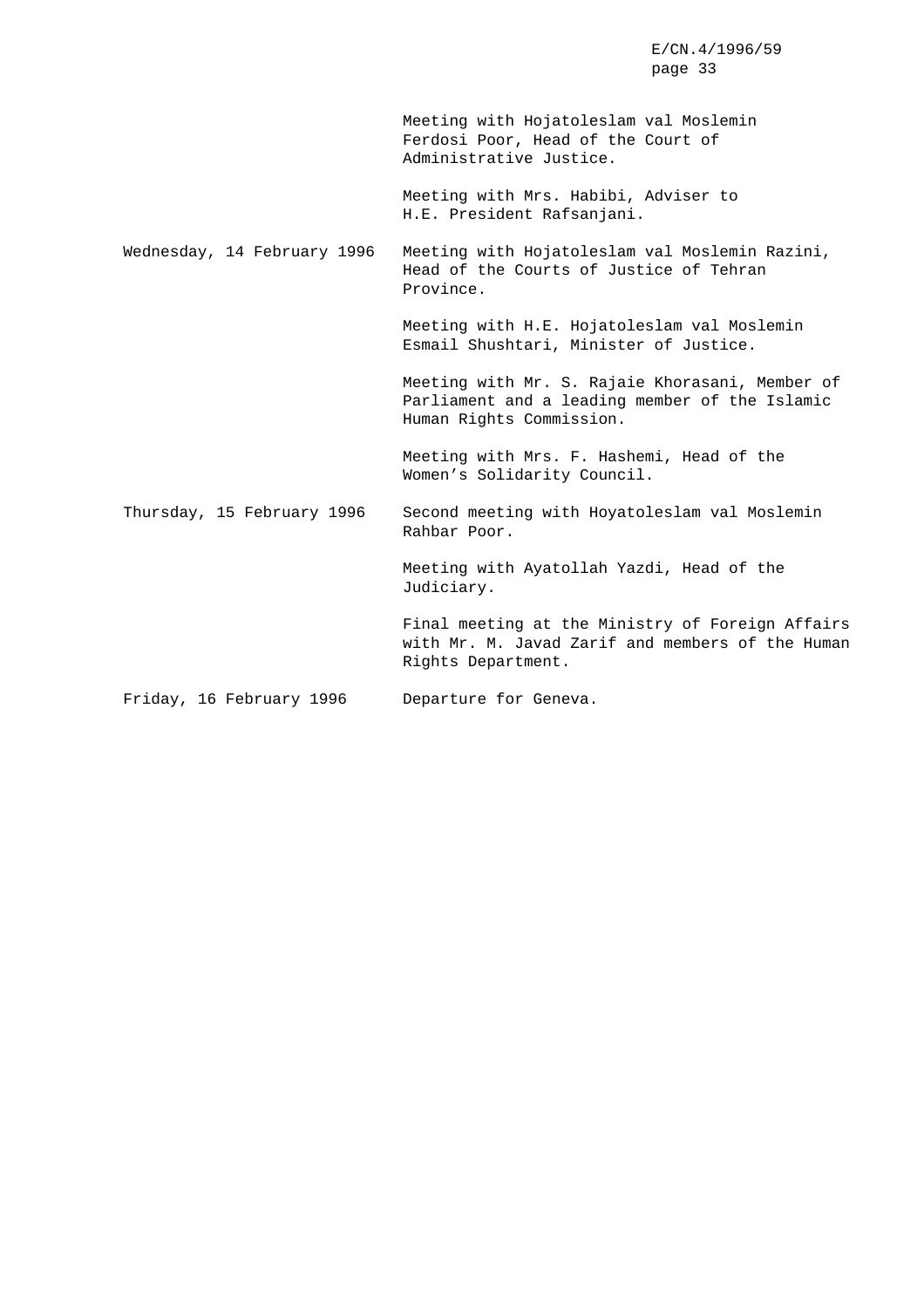page 33 Meeting with Hojatoleslam val Moslemin Ferdosi Poor, Head of the Court of Administrative Justice. Meeting with Mrs. Habibi, Adviser to H.E. President Rafsanjani. Wednesday, 14 February 1996 Meeting with Hojatoleslam val Moslemin Razini, Head of the Courts of Justice of Tehran Province. Meeting with H.E. Hojatoleslam val Moslemin Esmail Shushtari, Minister of Justice. Meeting with Mr. S. Rajaie Khorasani, Member of Parliament and a leading member of the Islamic Human Rights Commission. Meeting with Mrs. F. Hashemi, Head of the Women's Solidarity Council. Thursday, 15 February 1996 Second meeting with Hoyatoleslam val Moslemin Rahbar Poor. Meeting with Ayatollah Yazdi, Head of the Judiciary. Final meeting at the Ministry of Foreign Affairs with Mr. M. Javad Zarif and members of the Human Rights Department. Friday, 16 February 1996 Departure for Geneva.

E/CN.4/1996/59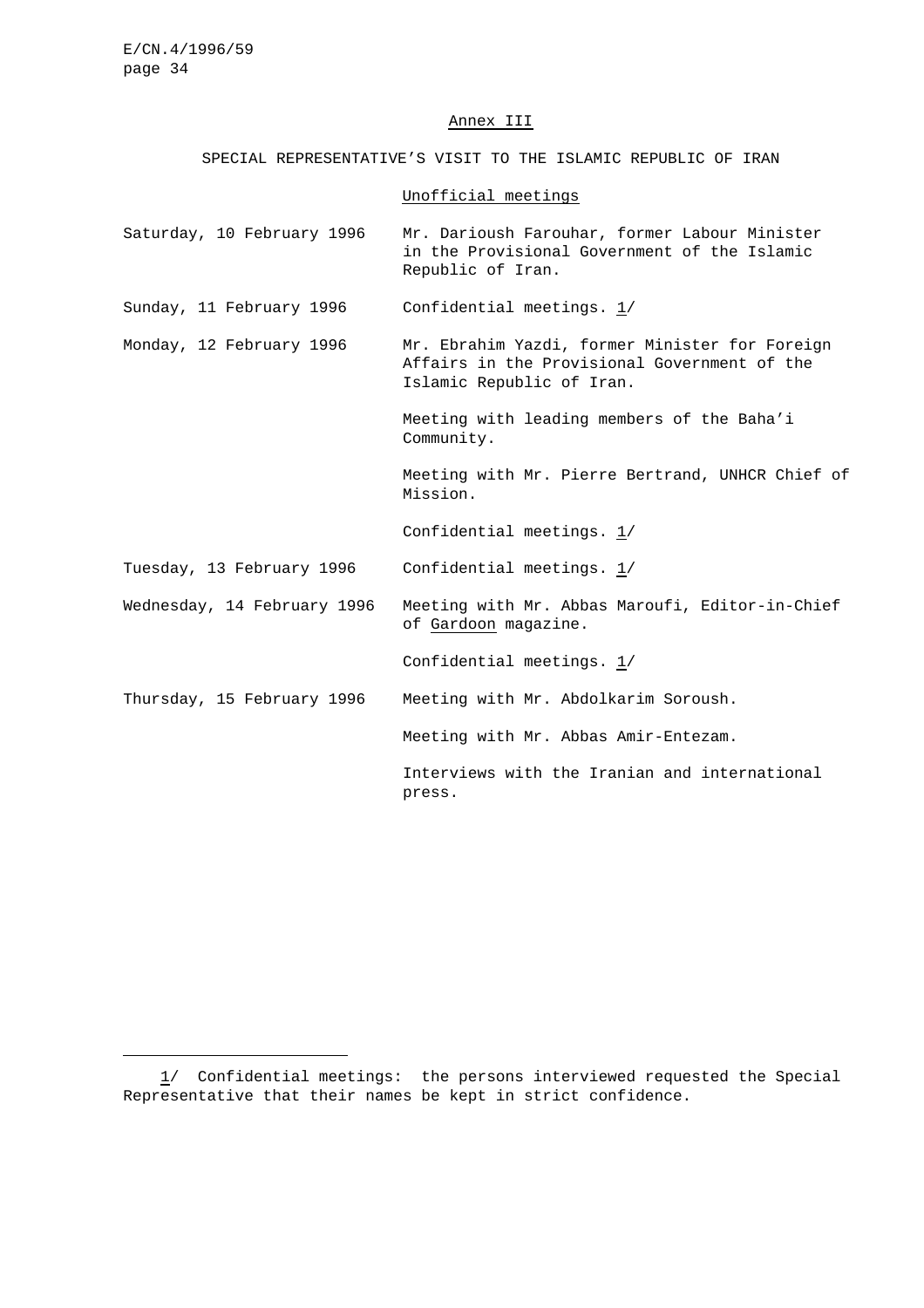#### Annex III

SPECIAL REPRESENTATIVE'S VISIT TO THE ISLAMIC REPUBLIC OF IRAN

# Unofficial meetings

Saturday, 10 February 1996 Mr. Darioush Farouhar, former Labour Minister in the Provisional Government of the Islamic Republic of Iran.

Sunday, 11 February 1996 Confidential meetings. 1/

Monday, 12 February 1996 Mr. Ebrahim Yazdi, former Minister for Foreign Affairs in the Provisional Government of the Islamic Republic of Iran.

> Meeting with leading members of the Baha'i Community.

Meeting with Mr. Pierre Bertrand, UNHCR Chief of Mission.

Confidential meetings. 1/

Tuesday, 13 February 1996 Confidential meetings. 1/

Wednesday, 14 February 1996 Meeting with Mr. Abbas Maroufi, Editor-in-Chief of Gardoon magazine.

Confidential meetings.  $1/$ 

Thursday, 15 February 1996 Meeting with Mr. Abdolkarim Soroush.

Meeting with Mr. Abbas Amir-Entezam.

Interviews with the Iranian and international press.

<sup>1/</sup> Confidential meetings: the persons interviewed requested the Special Representative that their names be kept in strict confidence.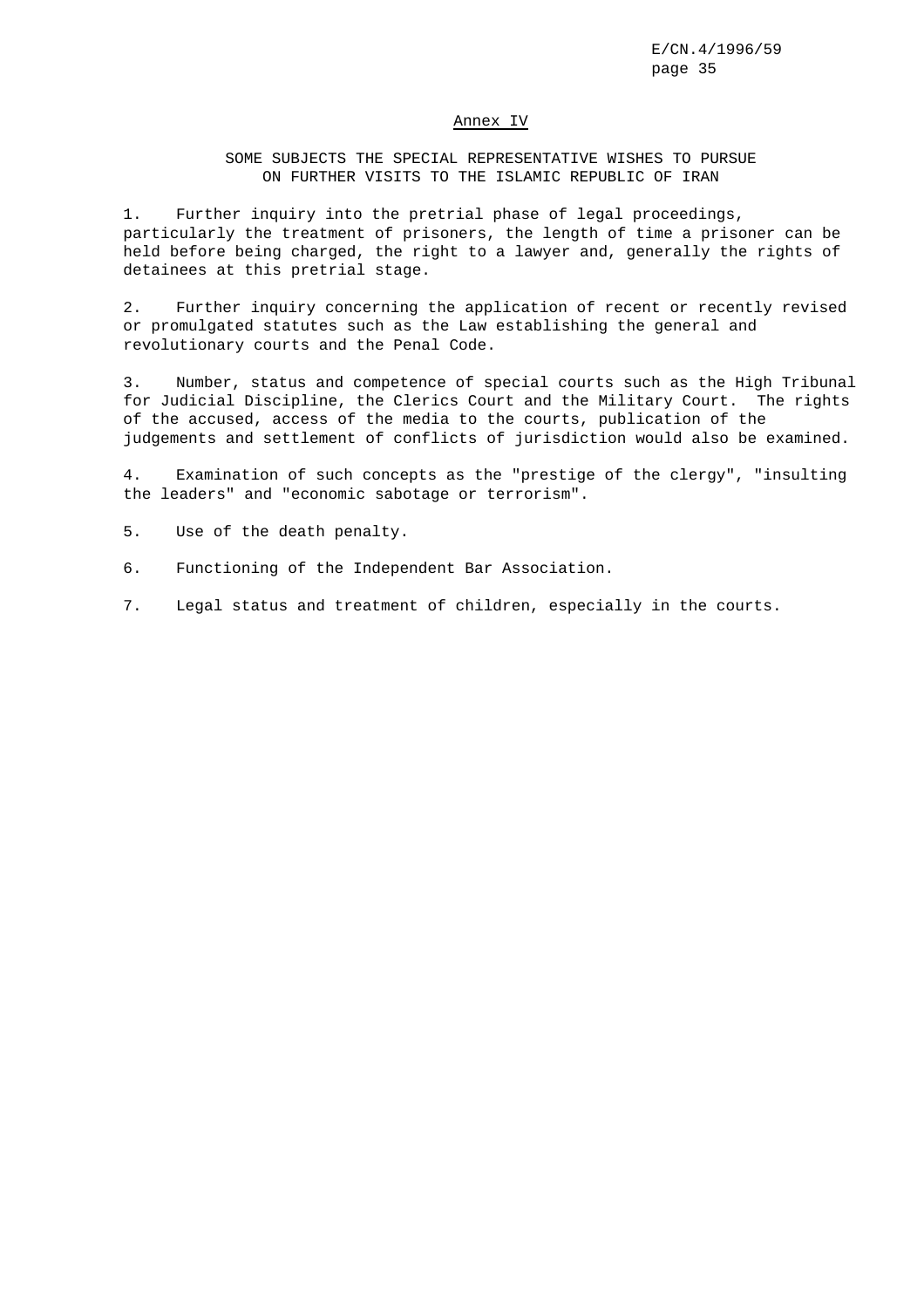#### Annex IV

# SOME SUBJECTS THE SPECIAL REPRESENTATIVE WISHES TO PURSUE ON FURTHER VISITS TO THE ISLAMIC REPUBLIC OF IRAN

1. Further inquiry into the pretrial phase of legal proceedings, particularly the treatment of prisoners, the length of time a prisoner can be held before being charged, the right to a lawyer and, generally the rights of detainees at this pretrial stage.

2. Further inquiry concerning the application of recent or recently revised or promulgated statutes such as the Law establishing the general and revolutionary courts and the Penal Code.

3. Number, status and competence of special courts such as the High Tribunal for Judicial Discipline, the Clerics Court and the Military Court. The rights of the accused, access of the media to the courts, publication of the judgements and settlement of conflicts of jurisdiction would also be examined.

4. Examination of such concepts as the "prestige of the clergy", "insulting the leaders" and "economic sabotage or terrorism".

5. Use of the death penalty.

- 6. Functioning of the Independent Bar Association.
- 7. Legal status and treatment of children, especially in the courts.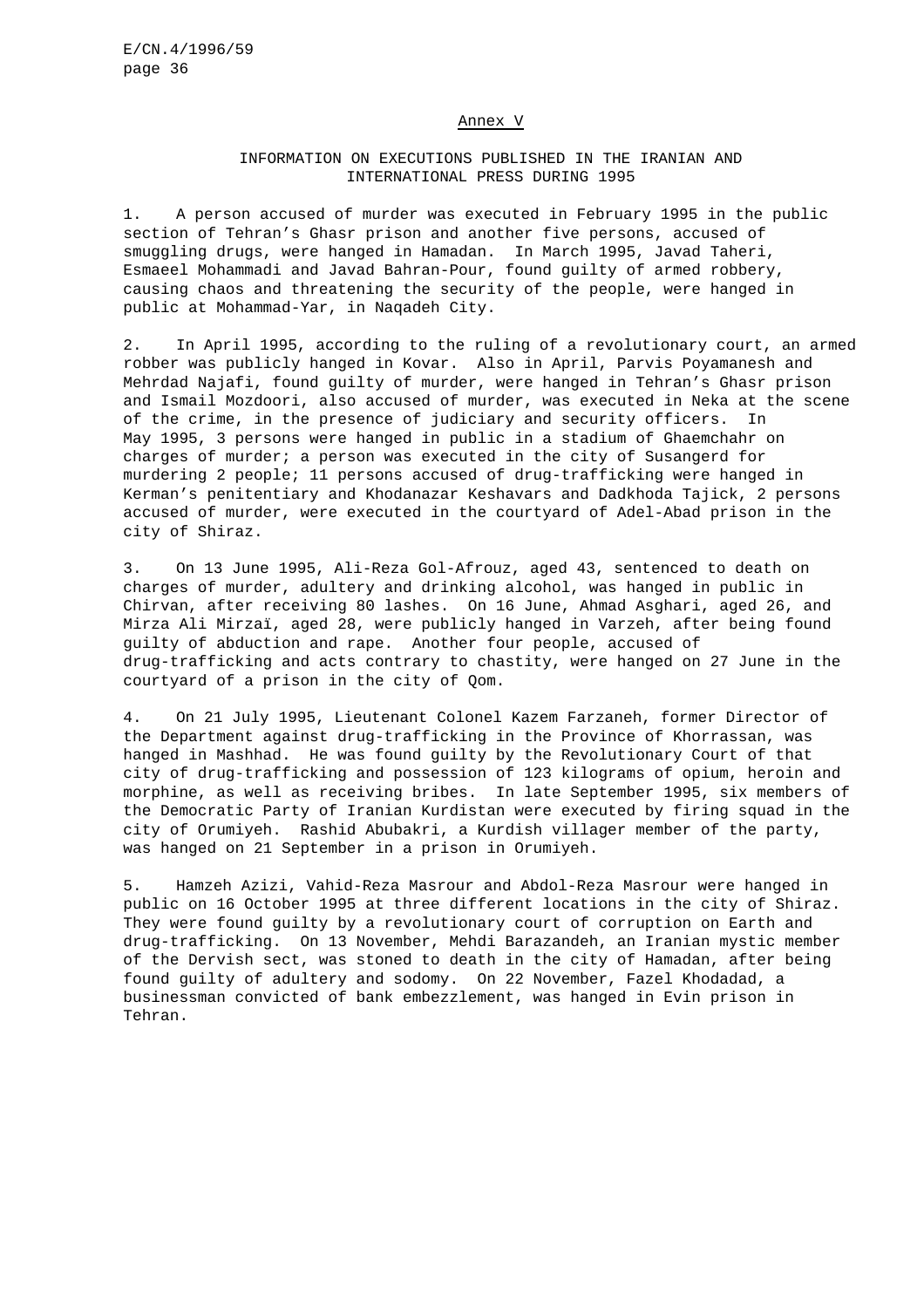#### Annex V

# INFORMATION ON EXECUTIONS PUBLISHED IN THE IRANIAN AND INTERNATIONAL PRESS DURING 1995

1. A person accused of murder was executed in February 1995 in the public section of Tehran's Ghasr prison and another five persons, accused of smuggling drugs, were hanged in Hamadan. In March 1995, Javad Taheri, Esmaeel Mohammadi and Javad Bahran-Pour, found guilty of armed robbery, causing chaos and threatening the security of the people, were hanged in public at Mohammad-Yar, in Naqadeh City.

2. In April 1995, according to the ruling of a revolutionary court, an armed robber was publicly hanged in Kovar. Also in April, Parvis Poyamanesh and Mehrdad Najafi, found guilty of murder, were hanged in Tehran's Ghasr prison and Ismail Mozdoori, also accused of murder, was executed in Neka at the scene of the crime, in the presence of judiciary and security officers. In May 1995, 3 persons were hanged in public in a stadium of Ghaemchahr on charges of murder; a person was executed in the city of Susangerd for murdering 2 people; 11 persons accused of drug-trafficking were hanged in Kerman's penitentiary and Khodanazar Keshavars and Dadkhoda Tajick, 2 persons accused of murder, were executed in the courtyard of Adel-Abad prison in the city of Shiraz.

3. On 13 June 1995, Ali-Reza Gol-Afrouz, aged 43, sentenced to death on charges of murder, adultery and drinking alcohol, was hanged in public in Chirvan, after receiving 80 lashes. On 16 June, Ahmad Asghari, aged 26, and Mirza Ali Mirzaï, aged 28, were publicly hanged in Varzeh, after being found guilty of abduction and rape. Another four people, accused of drug-trafficking and acts contrary to chastity, were hanged on 27 June in the courtyard of a prison in the city of Qom.

4. On 21 July 1995, Lieutenant Colonel Kazem Farzaneh, former Director of the Department against drug-trafficking in the Province of Khorrassan, was hanged in Mashhad. He was found guilty by the Revolutionary Court of that city of drug-trafficking and possession of 123 kilograms of opium, heroin and morphine, as well as receiving bribes. In late September 1995, six members of the Democratic Party of Iranian Kurdistan were executed by firing squad in the city of Orumiyeh. Rashid Abubakri, a Kurdish villager member of the party, was hanged on 21 September in a prison in Orumiyeh.

5. Hamzeh Azizi, Vahid-Reza Masrour and Abdol-Reza Masrour were hanged in public on 16 October 1995 at three different locations in the city of Shiraz. They were found guilty by a revolutionary court of corruption on Earth and drug-trafficking. On 13 November, Mehdi Barazandeh, an Iranian mystic member of the Dervish sect, was stoned to death in the city of Hamadan, after being found guilty of adultery and sodomy. On 22 November, Fazel Khodadad, a businessman convicted of bank embezzlement, was hanged in Evin prison in Tehran.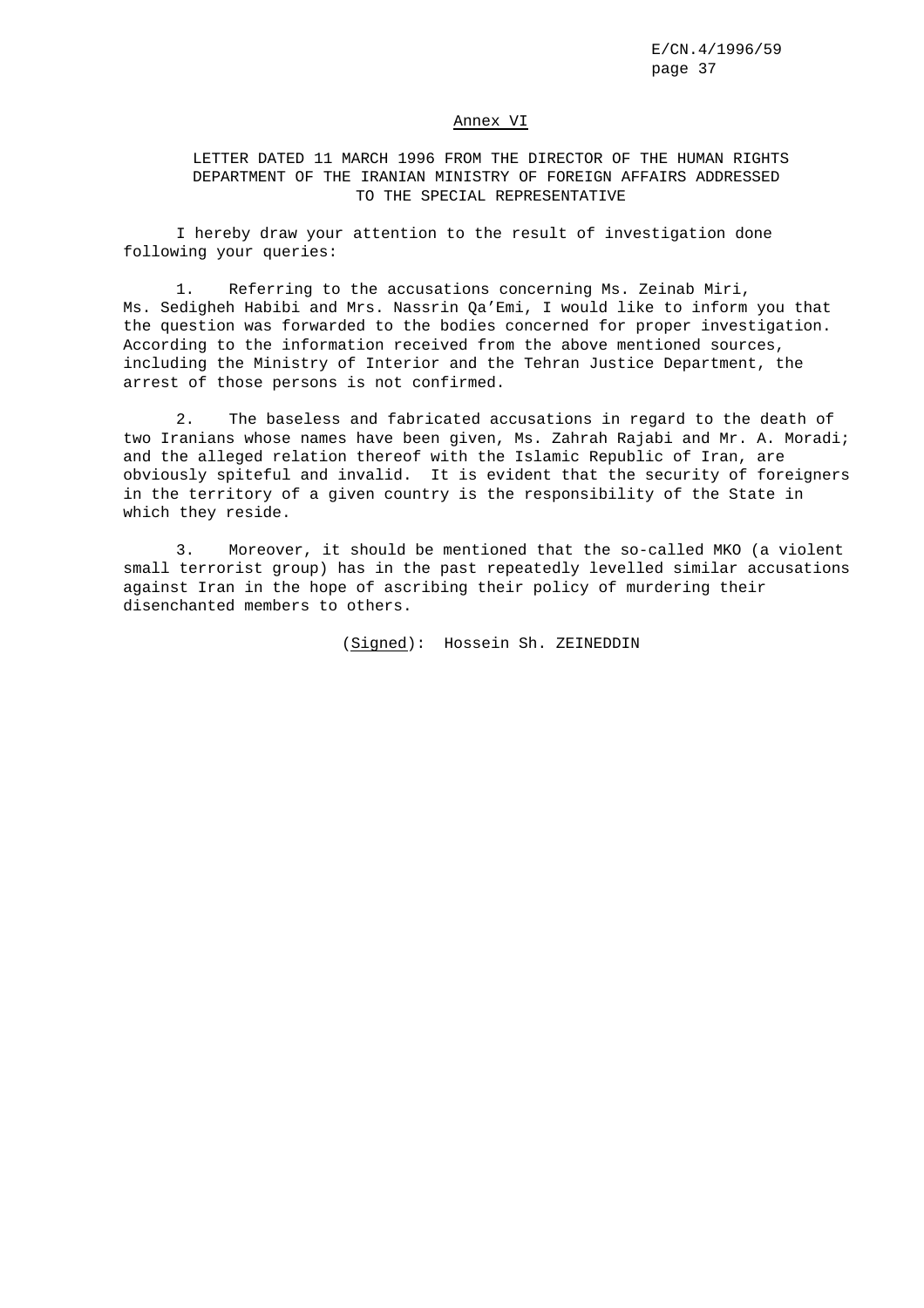#### Annex VI

LETTER DATED 11 MARCH 1996 FROM THE DIRECTOR OF THE HUMAN RIGHTS DEPARTMENT OF THE IRANIAN MINISTRY OF FOREIGN AFFAIRS ADDRESSED TO THE SPECIAL REPRESENTATIVE

I hereby draw your attention to the result of investigation done following your queries:

1. Referring to the accusations concerning Ms. Zeinab Miri, Ms. Sedigheh Habibi and Mrs. Nassrin Qa'Emi, I would like to inform you that the question was forwarded to the bodies concerned for proper investigation. According to the information received from the above mentioned sources, including the Ministry of Interior and the Tehran Justice Department, the arrest of those persons is not confirmed.

2. The baseless and fabricated accusations in regard to the death of two Iranians whose names have been given, Ms. Zahrah Rajabi and Mr. A. Moradi; and the alleged relation thereof with the Islamic Republic of Iran, are obviously spiteful and invalid. It is evident that the security of foreigners in the territory of a given country is the responsibility of the State in which they reside.

3. Moreover, it should be mentioned that the so-called MKO (a violent small terrorist group) has in the past repeatedly levelled similar accusations against Iran in the hope of ascribing their policy of murdering their disenchanted members to others.

(Signed): Hossein Sh. ZEINEDDIN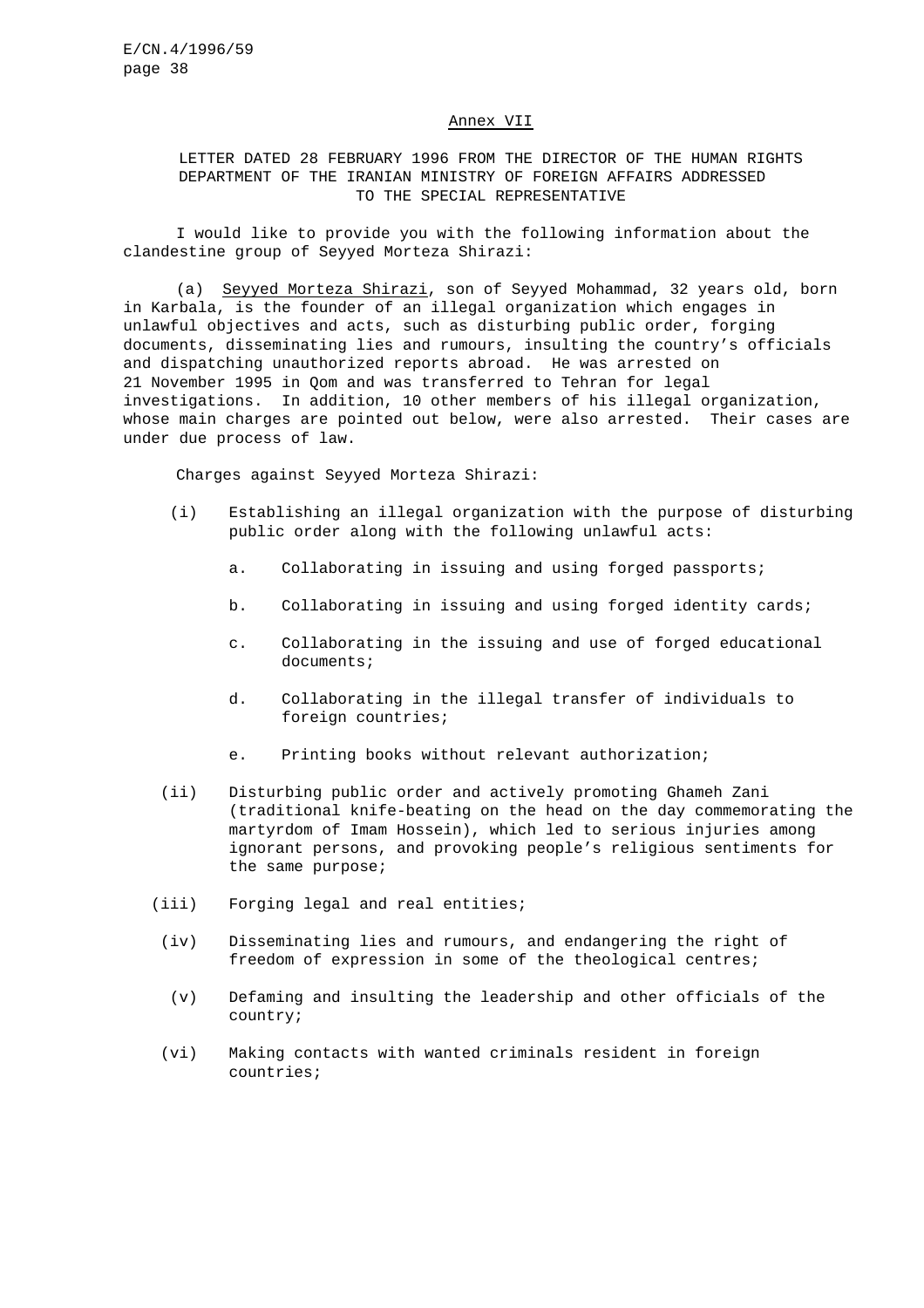#### Annex VII

# LETTER DATED 28 FEBRUARY 1996 FROM THE DIRECTOR OF THE HUMAN RIGHTS DEPARTMENT OF THE IRANIAN MINISTRY OF FOREIGN AFFAIRS ADDRESSED TO THE SPECIAL REPRESENTATIVE

I would like to provide you with the following information about the clandestine group of Seyyed Morteza Shirazi:

(a) Seyyed Morteza Shirazi, son of Seyyed Mohammad, 32 years old, born in Karbala, is the founder of an illegal organization which engages in unlawful objectives and acts, such as disturbing public order, forging documents, disseminating lies and rumours, insulting the country's officials and dispatching unauthorized reports abroad. He was arrested on 21 November 1995 in Qom and was transferred to Tehran for legal investigations. In addition, 10 other members of his illegal organization, whose main charges are pointed out below, were also arrested. Their cases are under due process of law.

Charges against Seyyed Morteza Shirazi:

- (i) Establishing an illegal organization with the purpose of disturbing public order along with the following unlawful acts:
	- a. Collaborating in issuing and using forged passports;
	- b. Collaborating in issuing and using forged identity cards;
	- c. Collaborating in the issuing and use of forged educational documents;
	- d. Collaborating in the illegal transfer of individuals to foreign countries;
	- e. Printing books without relevant authorization;
- (ii) Disturbing public order and actively promoting Ghameh Zani (traditional knife-beating on the head on the day commemorating the martyrdom of Imam Hossein), which led to serious injuries among ignorant persons, and provoking people's religious sentiments for the same purpose;
- (iii) Forging legal and real entities;
- (iv) Disseminating lies and rumours, and endangering the right of freedom of expression in some of the theological centres;
- (v) Defaming and insulting the leadership and other officials of the country;
- (vi) Making contacts with wanted criminals resident in foreign countries;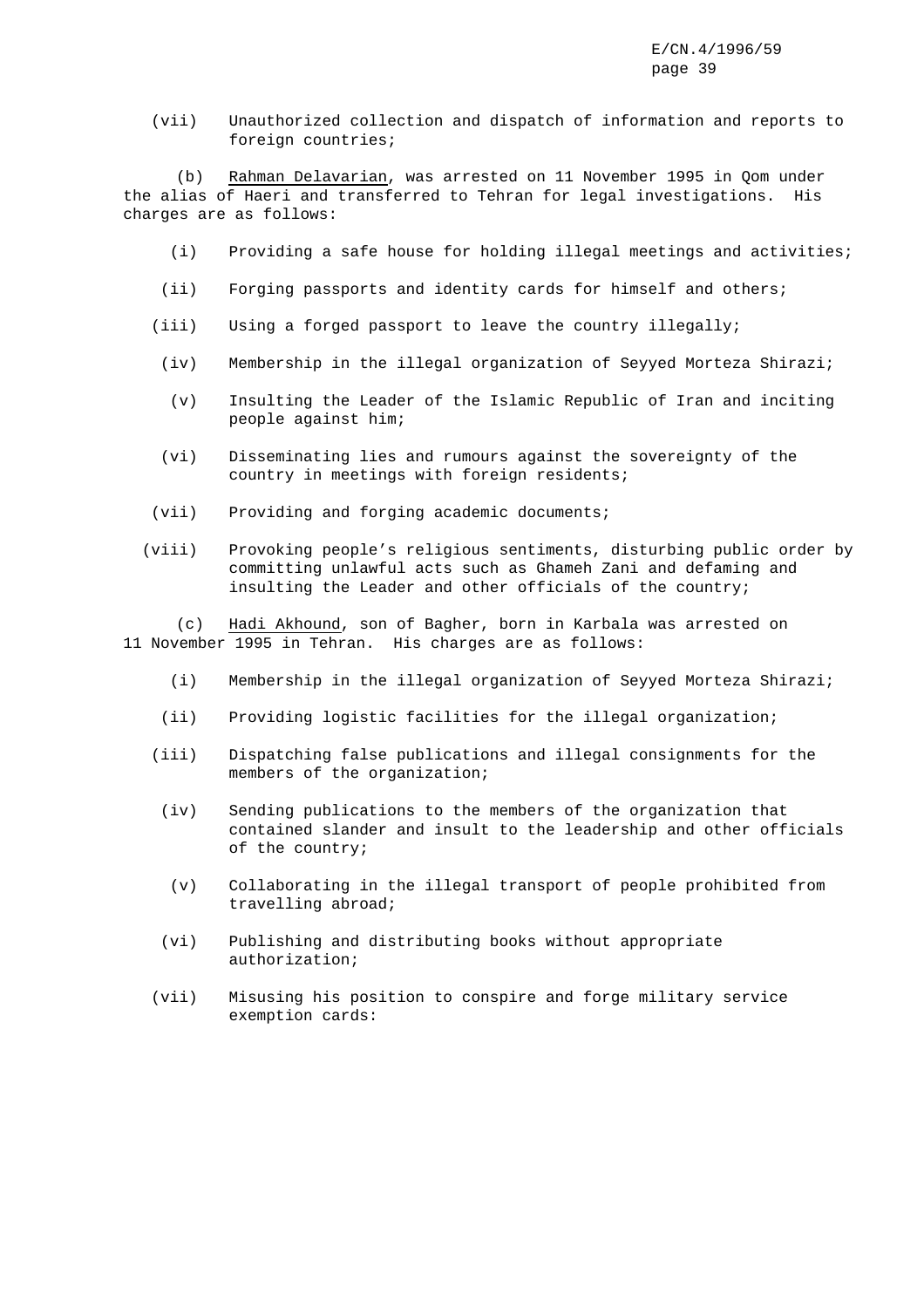(vii) Unauthorized collection and dispatch of information and reports to foreign countries;

(b) Rahman Delavarian, was arrested on 11 November 1995 in Qom under the alias of Haeri and transferred to Tehran for legal investigations. His charges are as follows:

- (i) Providing a safe house for holding illegal meetings and activities;
- (ii) Forging passports and identity cards for himself and others;
- (iii) Using a forged passport to leave the country illegally;
- (iv) Membership in the illegal organization of Seyyed Morteza Shirazi;
- (v) Insulting the Leader of the Islamic Republic of Iran and inciting people against him;
- (vi) Disseminating lies and rumours against the sovereignty of the country in meetings with foreign residents;
- (vii) Providing and forging academic documents;
- (viii) Provoking people's religious sentiments, disturbing public order by committing unlawful acts such as Ghameh Zani and defaming and insulting the Leader and other officials of the country;

(c) Hadi Akhound, son of Bagher, born in Karbala was arrested on 11 November 1995 in Tehran. His charges are as follows:

- (i) Membership in the illegal organization of Seyyed Morteza Shirazi;
- (ii) Providing logistic facilities for the illegal organization;
- (iii) Dispatching false publications and illegal consignments for the members of the organization;
- (iv) Sending publications to the members of the organization that contained slander and insult to the leadership and other officials of the country;
- (v) Collaborating in the illegal transport of people prohibited from travelling abroad;
- (vi) Publishing and distributing books without appropriate authorization;
- (vii) Misusing his position to conspire and forge military service exemption cards: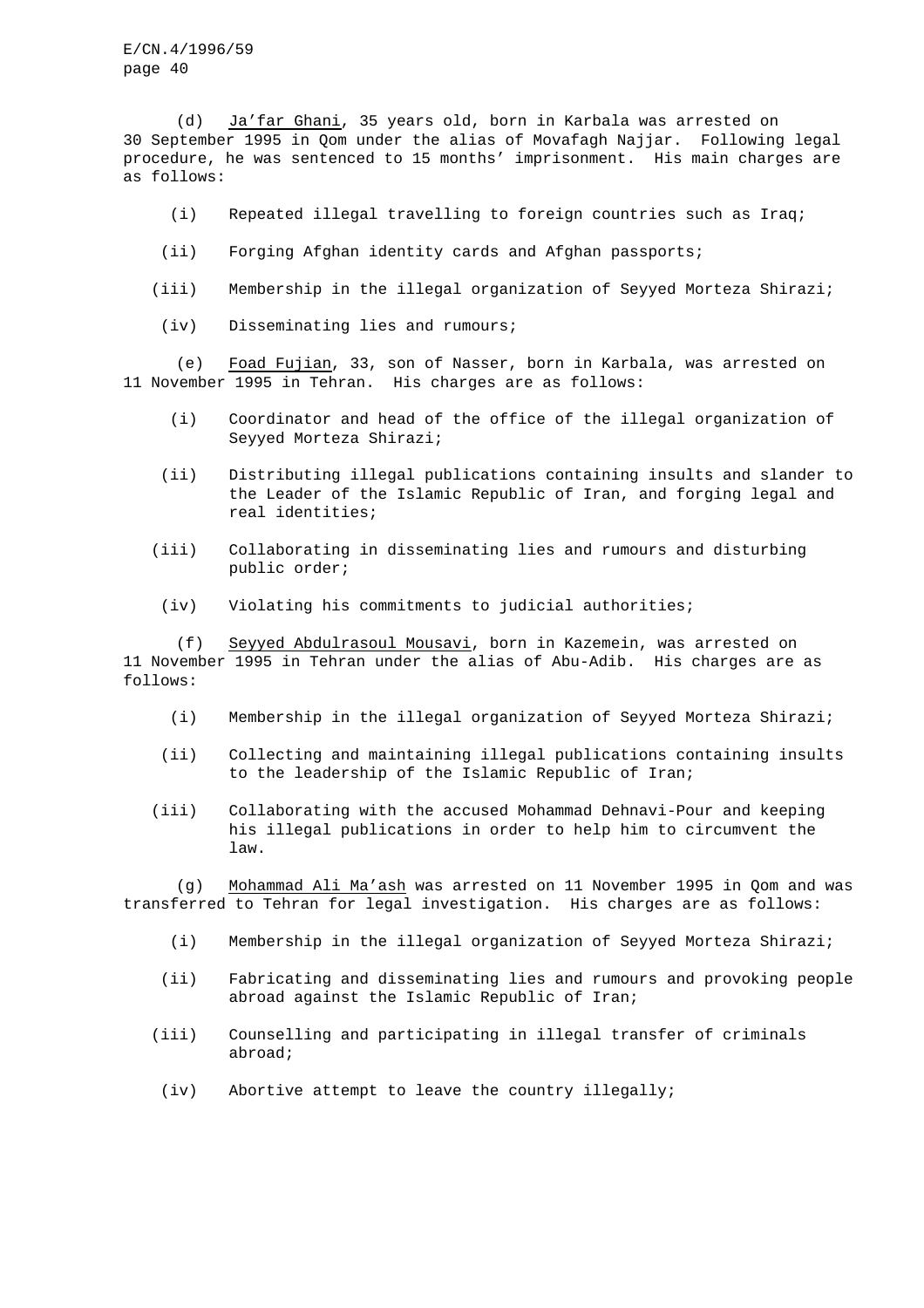(d) Ja'far Ghani, 35 years old, born in Karbala was arrested on 30 September 1995 in Qom under the alias of Movafagh Najjar. Following legal procedure, he was sentenced to 15 months' imprisonment. His main charges are as follows:

- (i) Repeated illegal travelling to foreign countries such as Iraq;
- (ii) Forging Afghan identity cards and Afghan passports;
- (iii) Membership in the illegal organization of Seyyed Morteza Shirazi;
- (iv) Disseminating lies and rumours;

(e) Foad Fujian, 33, son of Nasser, born in Karbala, was arrested on 11 November 1995 in Tehran. His charges are as follows:

- (i) Coordinator and head of the office of the illegal organization of Seyyed Morteza Shirazi;
- (ii) Distributing illegal publications containing insults and slander to the Leader of the Islamic Republic of Iran, and forging legal and real identities;
- (iii) Collaborating in disseminating lies and rumours and disturbing public order;
- (iv) Violating his commitments to judicial authorities;

(f) Seyyed Abdulrasoul Mousavi, born in Kazemein, was arrested on 11 November 1995 in Tehran under the alias of Abu-Adib. His charges are as follows:

- (i) Membership in the illegal organization of Seyyed Morteza Shirazi;
- (ii) Collecting and maintaining illegal publications containing insults to the leadership of the Islamic Republic of Iran;
- (iii) Collaborating with the accused Mohammad Dehnavi-Pour and keeping his illegal publications in order to help him to circumvent the law.

(g) Mohammad Ali Ma'ash was arrested on 11 November 1995 in Qom and was transferred to Tehran for legal investigation. His charges are as follows:

- (i) Membership in the illegal organization of Seyyed Morteza Shirazi;
- (ii) Fabricating and disseminating lies and rumours and provoking people abroad against the Islamic Republic of Iran;
- (iii) Counselling and participating in illegal transfer of criminals abroad;
- (iv) Abortive attempt to leave the country illegally;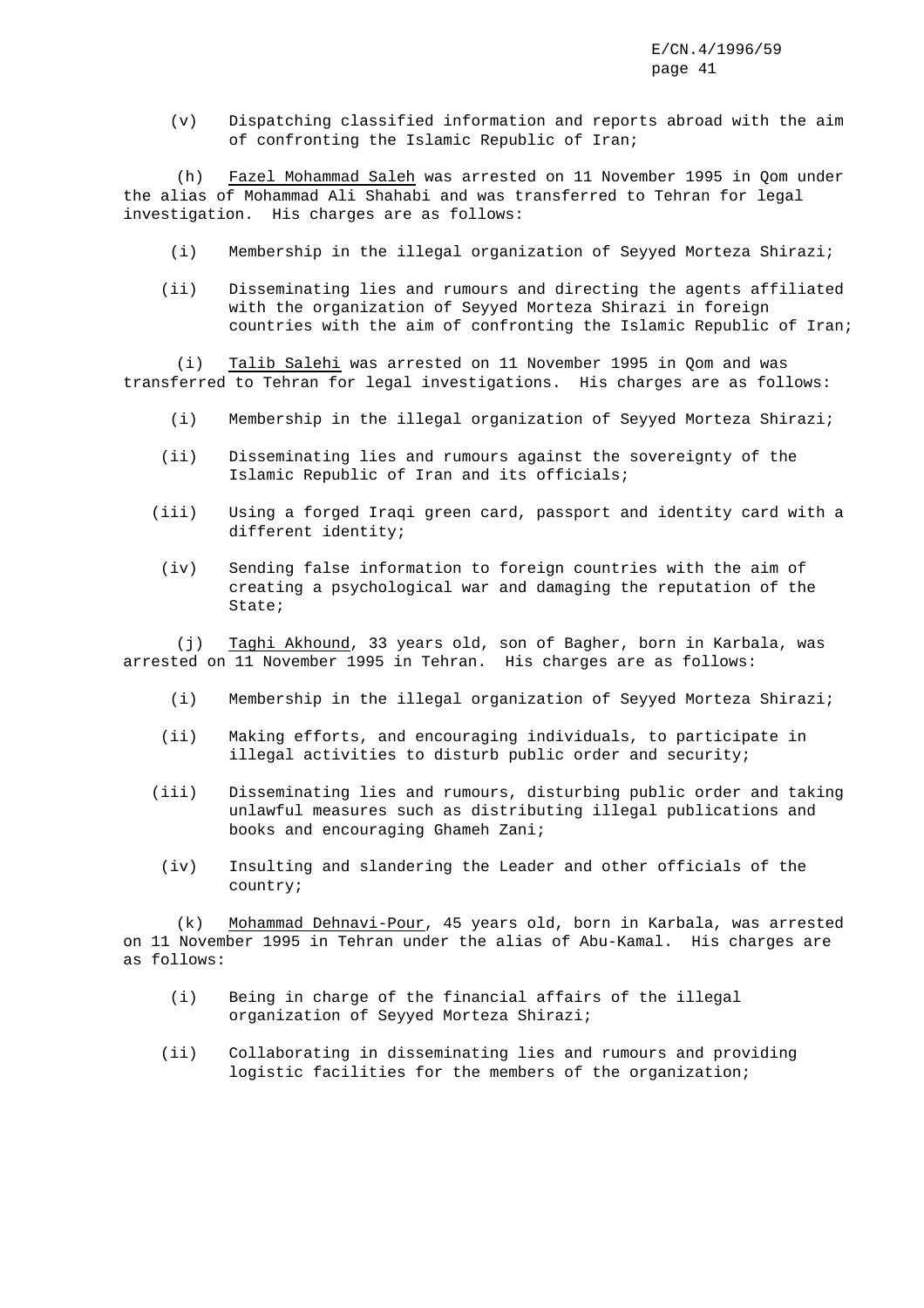(v) Dispatching classified information and reports abroad with the aim of confronting the Islamic Republic of Iran;

(h) Fazel Mohammad Saleh was arrested on 11 November 1995 in Qom under the alias of Mohammad Ali Shahabi and was transferred to Tehran for legal investigation. His charges are as follows:

- (i) Membership in the illegal organization of Seyyed Morteza Shirazi;
- (ii) Disseminating lies and rumours and directing the agents affiliated with the organization of Seyyed Morteza Shirazi in foreign countries with the aim of confronting the Islamic Republic of Iran;

(i) Talib Salehi was arrested on 11 November 1995 in Qom and was transferred to Tehran for legal investigations. His charges are as follows:

- (i) Membership in the illegal organization of Seyyed Morteza Shirazi;
- (ii) Disseminating lies and rumours against the sovereignty of the Islamic Republic of Iran and its officials;
- (iii) Using a forged Iraqi green card, passport and identity card with a different identity;
- (iv) Sending false information to foreign countries with the aim of creating a psychological war and damaging the reputation of the State;

(j) Taghi Akhound, 33 years old, son of Bagher, born in Karbala, was arrested on 11 November 1995 in Tehran. His charges are as follows:

- (i) Membership in the illegal organization of Seyyed Morteza Shirazi;
- (ii) Making efforts, and encouraging individuals, to participate in illegal activities to disturb public order and security;
- (iii) Disseminating lies and rumours, disturbing public order and taking unlawful measures such as distributing illegal publications and books and encouraging Ghameh Zani;
- (iv) Insulting and slandering the Leader and other officials of the country;

(k) Mohammad Dehnavi-Pour, 45 years old, born in Karbala, was arrested on 11 November 1995 in Tehran under the alias of Abu-Kamal. His charges are as follows:

- (i) Being in charge of the financial affairs of the illegal organization of Seyyed Morteza Shirazi;
- (ii) Collaborating in disseminating lies and rumours and providing logistic facilities for the members of the organization;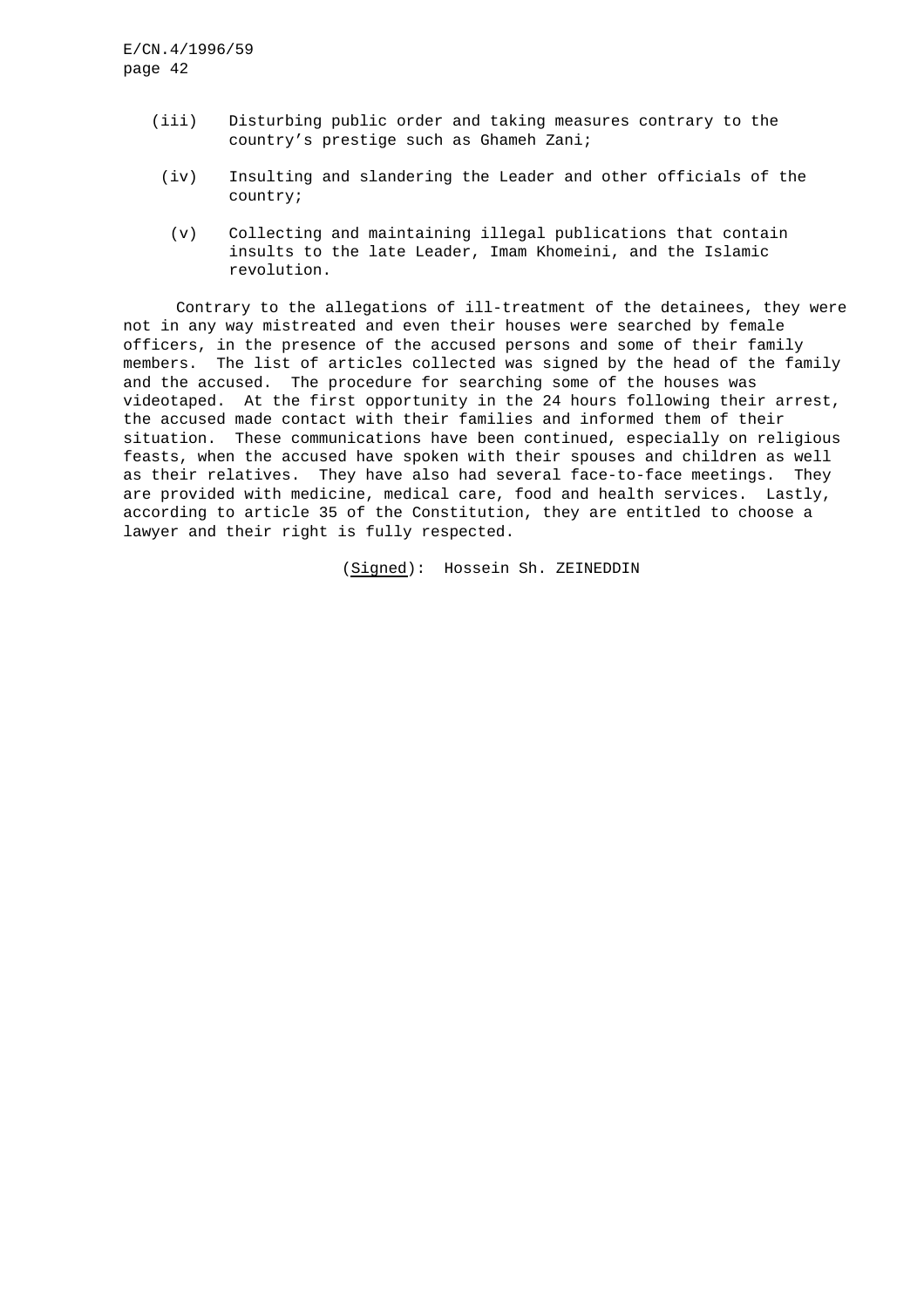- (iii) Disturbing public order and taking measures contrary to the country's prestige such as Ghameh Zani;
- (iv) Insulting and slandering the Leader and other officials of the country;
	- (v) Collecting and maintaining illegal publications that contain insults to the late Leader, Imam Khomeini, and the Islamic revolution.

Contrary to the allegations of ill-treatment of the detainees, they were not in any way mistreated and even their houses were searched by female officers, in the presence of the accused persons and some of their family members. The list of articles collected was signed by the head of the family and the accused. The procedure for searching some of the houses was videotaped. At the first opportunity in the 24 hours following their arrest, the accused made contact with their families and informed them of their situation. These communications have been continued, especially on religious feasts, when the accused have spoken with their spouses and children as well as their relatives. They have also had several face-to-face meetings. They are provided with medicine, medical care, food and health services. Lastly, according to article 35 of the Constitution, they are entitled to choose a lawyer and their right is fully respected.

(Signed): Hossein Sh. ZEINEDDIN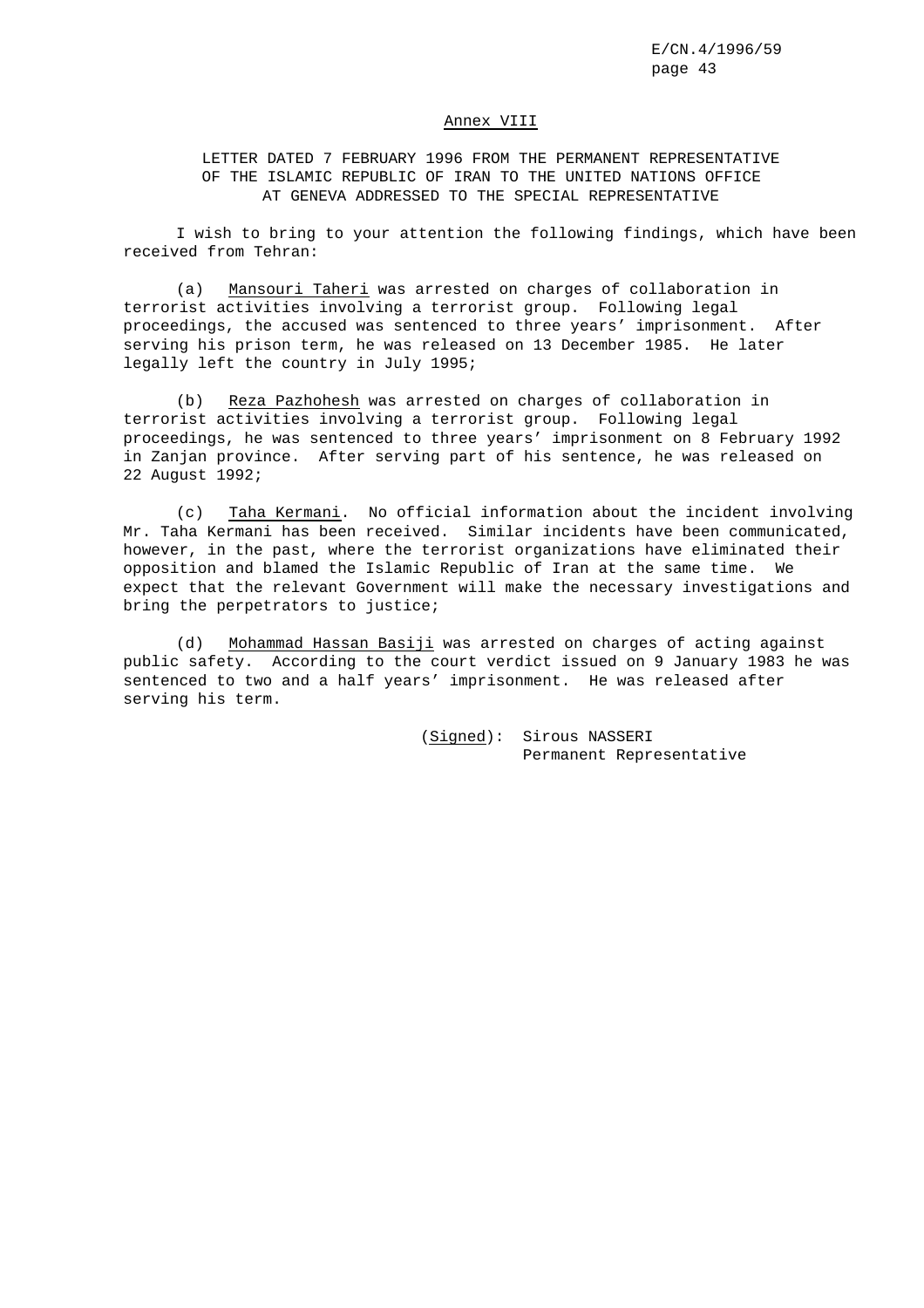#### Annex VIII

LETTER DATED 7 FEBRUARY 1996 FROM THE PERMANENT REPRESENTATIVE OF THE ISLAMIC REPUBLIC OF IRAN TO THE UNITED NATIONS OFFICE AT GENEVA ADDRESSED TO THE SPECIAL REPRESENTATIVE

I wish to bring to your attention the following findings, which have been received from Tehran:

(a) Mansouri Taheri was arrested on charges of collaboration in terrorist activities involving a terrorist group. Following legal proceedings, the accused was sentenced to three years' imprisonment. After serving his prison term, he was released on 13 December 1985. He later legally left the country in July 1995;

(b) Reza Pazhohesh was arrested on charges of collaboration in terrorist activities involving a terrorist group. Following legal proceedings, he was sentenced to three years' imprisonment on 8 February 1992 in Zanjan province. After serving part of his sentence, he was released on 22 August 1992;

(c) Taha Kermani. No official information about the incident involving Mr. Taha Kermani has been received. Similar incidents have been communicated, however, in the past, where the terrorist organizations have eliminated their opposition and blamed the Islamic Republic of Iran at the same time. We expect that the relevant Government will make the necessary investigations and bring the perpetrators to justice;

(d) Mohammad Hassan Basiji was arrested on charges of acting against public safety. According to the court verdict issued on 9 January 1983 he was sentenced to two and a half years' imprisonment. He was released after serving his term.

> (Signed): Sirous NASSERI Permanent Representative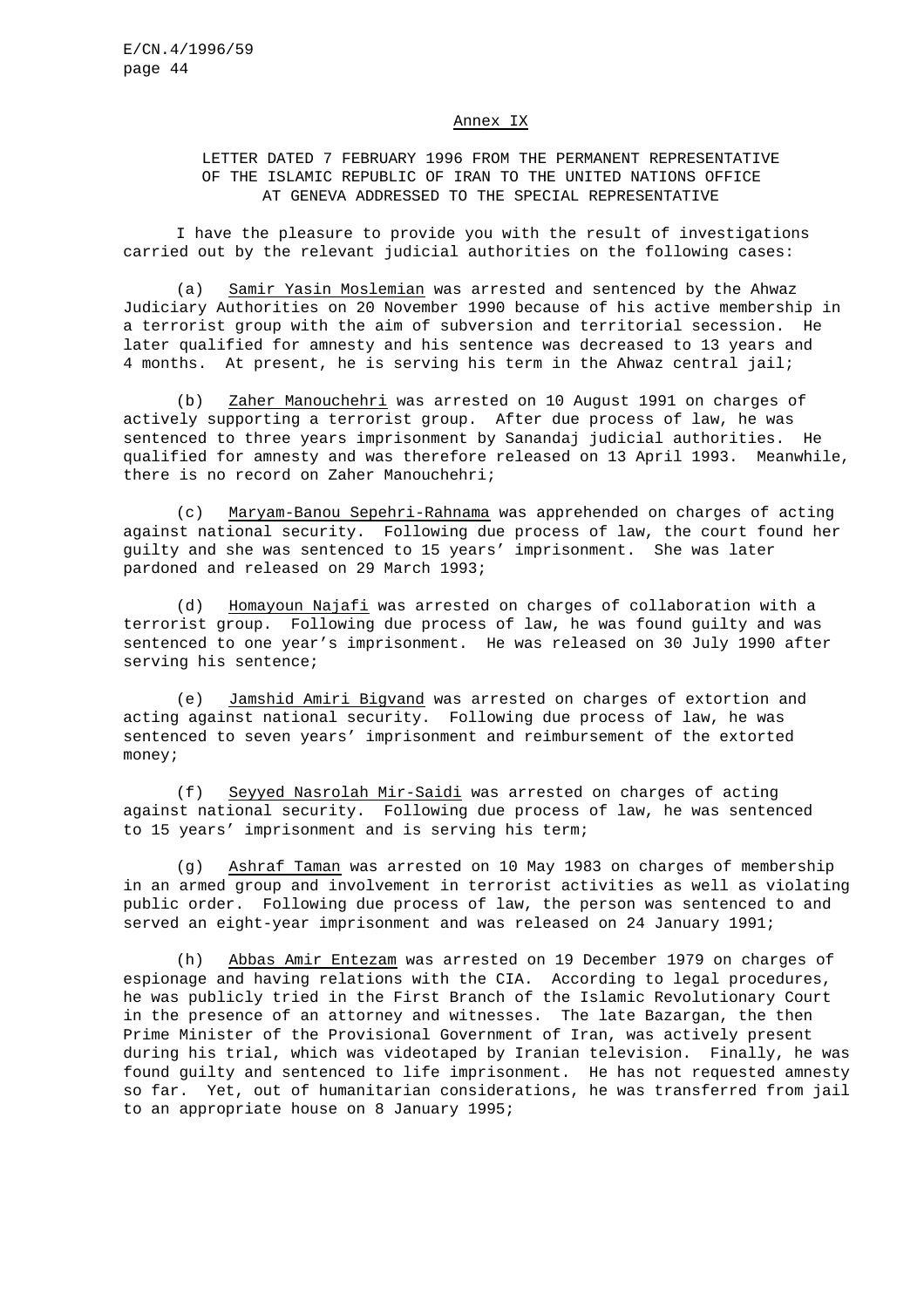#### Annex IX

# LETTER DATED 7 FEBRUARY 1996 FROM THE PERMANENT REPRESENTATIVE OF THE ISLAMIC REPUBLIC OF IRAN TO THE UNITED NATIONS OFFICE AT GENEVA ADDRESSED TO THE SPECIAL REPRESENTATIVE

I have the pleasure to provide you with the result of investigations carried out by the relevant judicial authorities on the following cases:

(a) Samir Yasin Moslemian was arrested and sentenced by the Ahwaz Judiciary Authorities on 20 November 1990 because of his active membership in a terrorist group with the aim of subversion and territorial secession. He later qualified for amnesty and his sentence was decreased to 13 years and 4 months. At present, he is serving his term in the Ahwaz central jail;

(b) Zaher Manouchehri was arrested on 10 August 1991 on charges of actively supporting a terrorist group. After due process of law, he was sentenced to three years imprisonment by Sanandaj judicial authorities. He qualified for amnesty and was therefore released on 13 April 1993. Meanwhile, there is no record on Zaher Manouchehri;

(c) Maryam-Banou Sepehri-Rahnama was apprehended on charges of acting against national security. Following due process of law, the court found her guilty and she was sentenced to 15 years' imprisonment. She was later pardoned and released on 29 March 1993;

(d) Homayoun Najafi was arrested on charges of collaboration with a terrorist group. Following due process of law, he was found guilty and was sentenced to one year's imprisonment. He was released on 30 July 1990 after serving his sentence;

(e) Jamshid Amiri Bigvand was arrested on charges of extortion and acting against national security. Following due process of law, he was sentenced to seven years' imprisonment and reimbursement of the extorted money;

(f) Seyyed Nasrolah Mir-Saidi was arrested on charges of acting against national security. Following due process of law, he was sentenced to 15 years' imprisonment and is serving his term;

(g) Ashraf Taman was arrested on 10 May 1983 on charges of membership in an armed group and involvement in terrorist activities as well as violating public order. Following due process of law, the person was sentenced to and served an eight-year imprisonment and was released on 24 January 1991;

(h) Abbas Amir Entezam was arrested on 19 December 1979 on charges of espionage and having relations with the CIA. According to legal procedures, he was publicly tried in the First Branch of the Islamic Revolutionary Court in the presence of an attorney and witnesses. The late Bazargan, the then Prime Minister of the Provisional Government of Iran, was actively present during his trial, which was videotaped by Iranian television. Finally, he was found guilty and sentenced to life imprisonment. He has not requested amnesty so far. Yet, out of humanitarian considerations, he was transferred from jail to an appropriate house on 8 January 1995;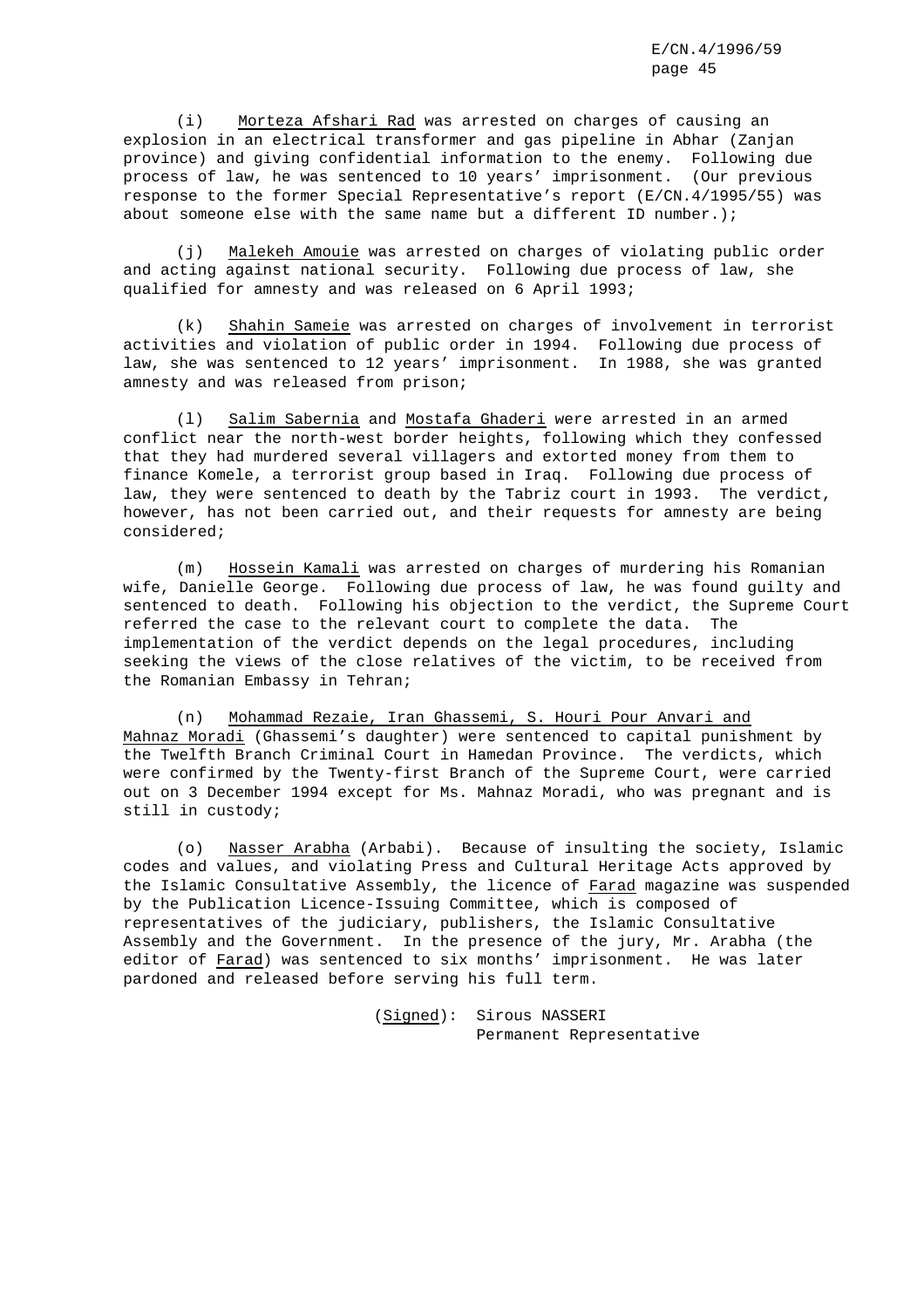(i) Morteza Afshari Rad was arrested on charges of causing an explosion in an electrical transformer and gas pipeline in Abhar (Zanjan province) and giving confidential information to the enemy. Following due process of law, he was sentenced to 10 years' imprisonment. (Our previous response to the former Special Representative's report (E/CN.4/1995/55) was about someone else with the same name but a different ID number.);

(j) Malekeh Amouie was arrested on charges of violating public order and acting against national security. Following due process of law, she qualified for amnesty and was released on 6 April 1993;

(k) Shahin Sameie was arrested on charges of involvement in terrorist activities and violation of public order in 1994. Following due process of law, she was sentenced to 12 years' imprisonment. In 1988, she was granted amnesty and was released from prison;

(l) Salim Sabernia and Mostafa Ghaderi were arrested in an armed conflict near the north-west border heights, following which they confessed that they had murdered several villagers and extorted money from them to finance Komele, a terrorist group based in Iraq. Following due process of law, they were sentenced to death by the Tabriz court in 1993. The verdict, however, has not been carried out, and their requests for amnesty are being considered;

(m) Hossein Kamali was arrested on charges of murdering his Romanian wife, Danielle George. Following due process of law, he was found guilty and sentenced to death. Following his objection to the verdict, the Supreme Court referred the case to the relevant court to complete the data. The implementation of the verdict depends on the legal procedures, including seeking the views of the close relatives of the victim, to be received from the Romanian Embassy in Tehran;

(n) Mohammad Rezaie, Iran Ghassemi, S. Houri Pour Anvari and Mahnaz Moradi (Ghassemi's daughter) were sentenced to capital punishment by the Twelfth Branch Criminal Court in Hamedan Province. The verdicts, which were confirmed by the Twenty-first Branch of the Supreme Court, were carried out on 3 December 1994 except for Ms. Mahnaz Moradi, who was pregnant and is still in custody;

(o) Nasser Arabha (Arbabi). Because of insulting the society, Islamic codes and values, and violating Press and Cultural Heritage Acts approved by the Islamic Consultative Assembly, the licence of Farad magazine was suspended by the Publication Licence-Issuing Committee, which is composed of representatives of the judiciary, publishers, the Islamic Consultative Assembly and the Government. In the presence of the jury, Mr. Arabha (the editor of Farad) was sentenced to six months' imprisonment. He was later pardoned and released before serving his full term.

> (Signed): Sirous NASSERI Permanent Representative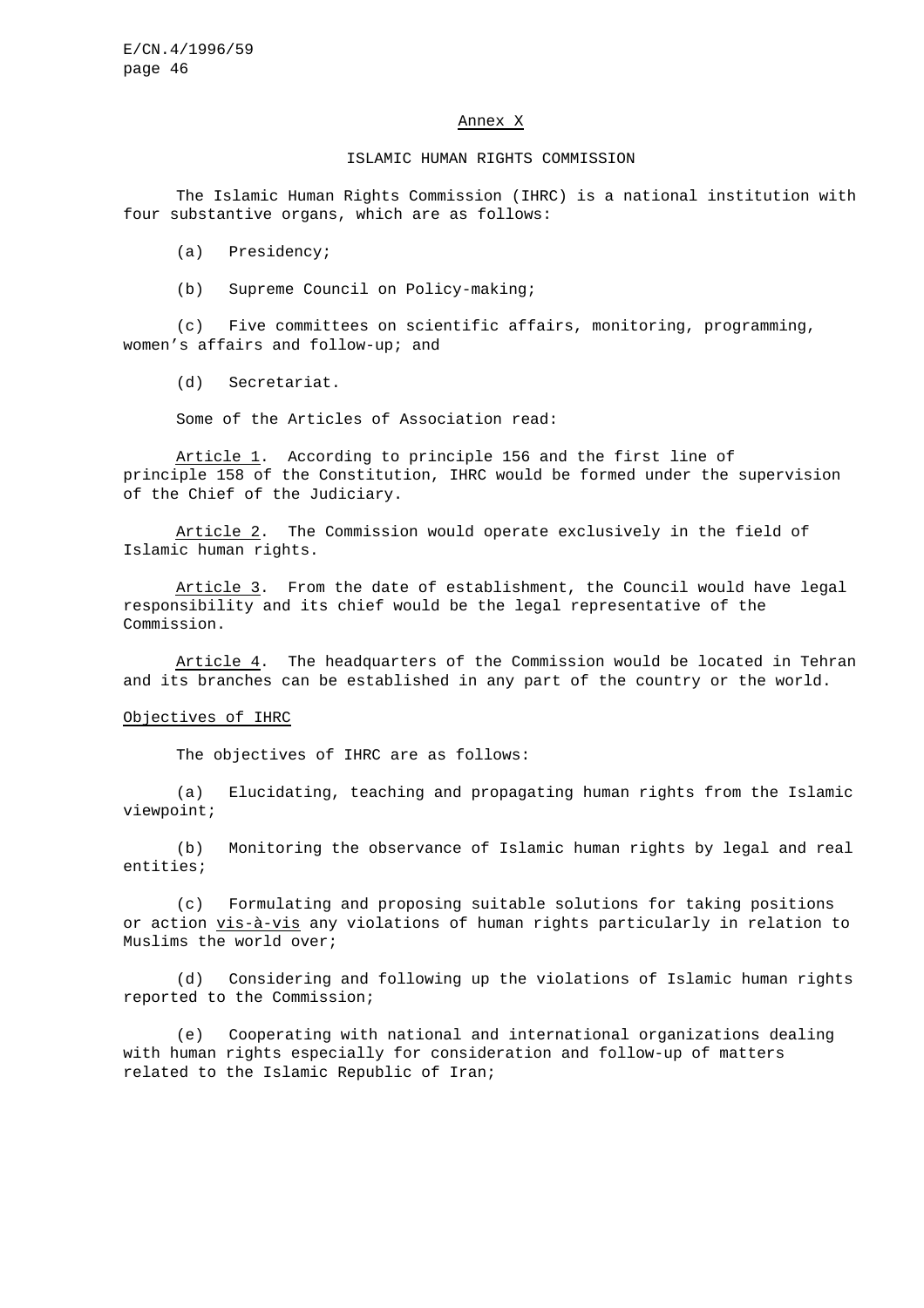#### Annex X

#### ISLAMIC HUMAN RIGHTS COMMISSION

The Islamic Human Rights Commission (IHRC) is a national institution with four substantive organs, which are as follows:

(a) Presidency;

(b) Supreme Council on Policy-making;

(c) Five committees on scientific affairs, monitoring, programming, women's affairs and follow-up; and

(d) Secretariat.

Some of the Articles of Association read:

Article 1. According to principle 156 and the first line of principle 158 of the Constitution, IHRC would be formed under the supervision of the Chief of the Judiciary.

Article 2. The Commission would operate exclusively in the field of Islamic human rights.

Article 3. From the date of establishment, the Council would have legal responsibility and its chief would be the legal representative of the Commission.

Article 4. The headquarters of the Commission would be located in Tehran and its branches can be established in any part of the country or the world.

#### Objectives of IHRC

The objectives of IHRC are as follows:

(a) Elucidating, teaching and propagating human rights from the Islamic viewpoint;

(b) Monitoring the observance of Islamic human rights by legal and real entities;

(c) Formulating and proposing suitable solutions for taking positions or action vis-à-vis any violations of human rights particularly in relation to Muslims the world over;

(d) Considering and following up the violations of Islamic human rights reported to the Commission;

(e) Cooperating with national and international organizations dealing with human rights especially for consideration and follow-up of matters related to the Islamic Republic of Iran;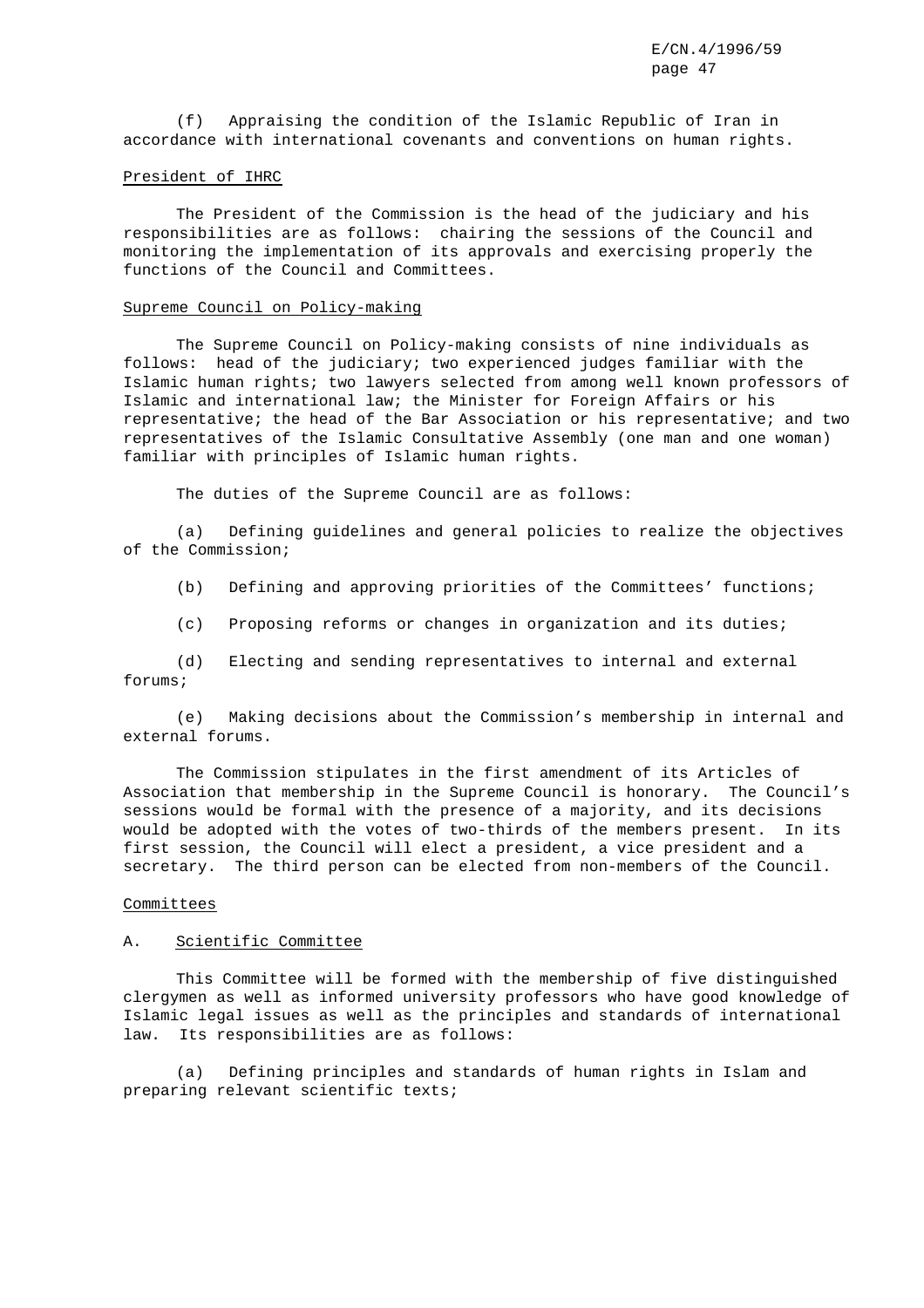(f) Appraising the condition of the Islamic Republic of Iran in accordance with international covenants and conventions on human rights.

#### President of IHRC

The President of the Commission is the head of the judiciary and his responsibilities are as follows: chairing the sessions of the Council and monitoring the implementation of its approvals and exercising properly the functions of the Council and Committees.

#### Supreme Council on Policy-making

The Supreme Council on Policy-making consists of nine individuals as follows: head of the judiciary; two experienced judges familiar with the Islamic human rights; two lawyers selected from among well known professors of Islamic and international law; the Minister for Foreign Affairs or his representative; the head of the Bar Association or his representative; and two representatives of the Islamic Consultative Assembly (one man and one woman) familiar with principles of Islamic human rights.

The duties of the Supreme Council are as follows:

(a) Defining guidelines and general policies to realize the objectives of the Commission;

(b) Defining and approving priorities of the Committees' functions;

(c) Proposing reforms or changes in organization and its duties;

(d) Electing and sending representatives to internal and external forums;

(e) Making decisions about the Commission's membership in internal and external forums.

The Commission stipulates in the first amendment of its Articles of Association that membership in the Supreme Council is honorary. The Council's sessions would be formal with the presence of a majority, and its decisions would be adopted with the votes of two-thirds of the members present. In its first session, the Council will elect a president, a vice president and a secretary. The third person can be elected from non-members of the Council.

#### **Committees**

## A. Scientific Committee

This Committee will be formed with the membership of five distinguished clergymen as well as informed university professors who have good knowledge of Islamic legal issues as well as the principles and standards of international law. Its responsibilities are as follows:

(a) Defining principles and standards of human rights in Islam and preparing relevant scientific texts;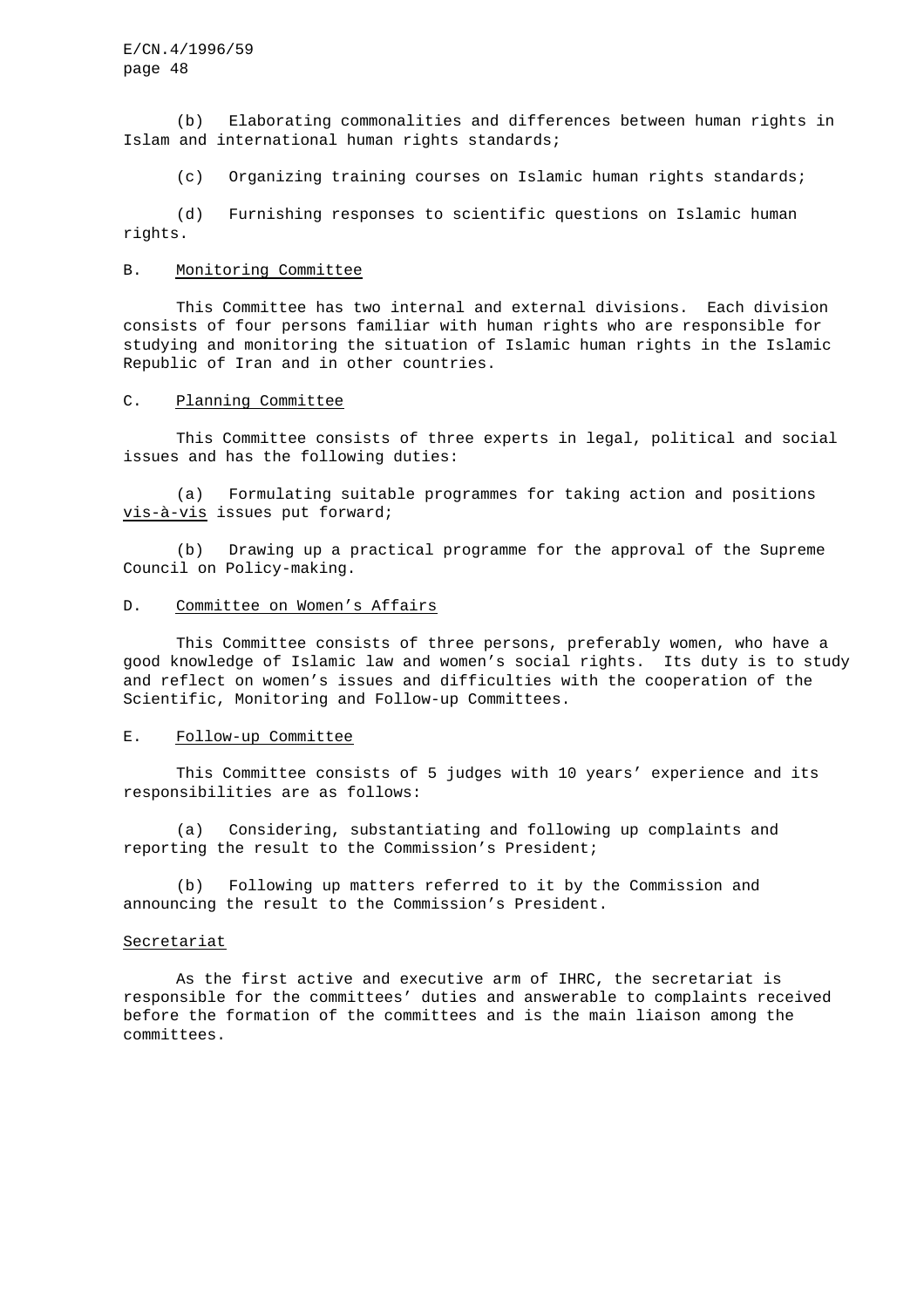(b) Elaborating commonalities and differences between human rights in Islam and international human rights standards;

(c) Organizing training courses on Islamic human rights standards;

(d) Furnishing responses to scientific questions on Islamic human rights.

#### B. Monitoring Committee

This Committee has two internal and external divisions. Each division consists of four persons familiar with human rights who are responsible for studying and monitoring the situation of Islamic human rights in the Islamic Republic of Iran and in other countries.

## C. Planning Committee

This Committee consists of three experts in legal, political and social issues and has the following duties:

(a) Formulating suitable programmes for taking action and positions vis-à-vis issues put forward;

(b) Drawing up a practical programme for the approval of the Supreme Council on Policy-making.

#### D. Committee on Women's Affairs

This Committee consists of three persons, preferably women, who have a good knowledge of Islamic law and women's social rights. Its duty is to study and reflect on women's issues and difficulties with the cooperation of the Scientific, Monitoring and Follow-up Committees.

## E. Follow-up Committee

This Committee consists of 5 judges with 10 years' experience and its responsibilities are as follows:

(a) Considering, substantiating and following up complaints and reporting the result to the Commission's President;

(b) Following up matters referred to it by the Commission and announcing the result to the Commission's President.

## **Secretariat**

As the first active and executive arm of IHRC, the secretariat is responsible for the committees' duties and answerable to complaints received before the formation of the committees and is the main liaison among the committees.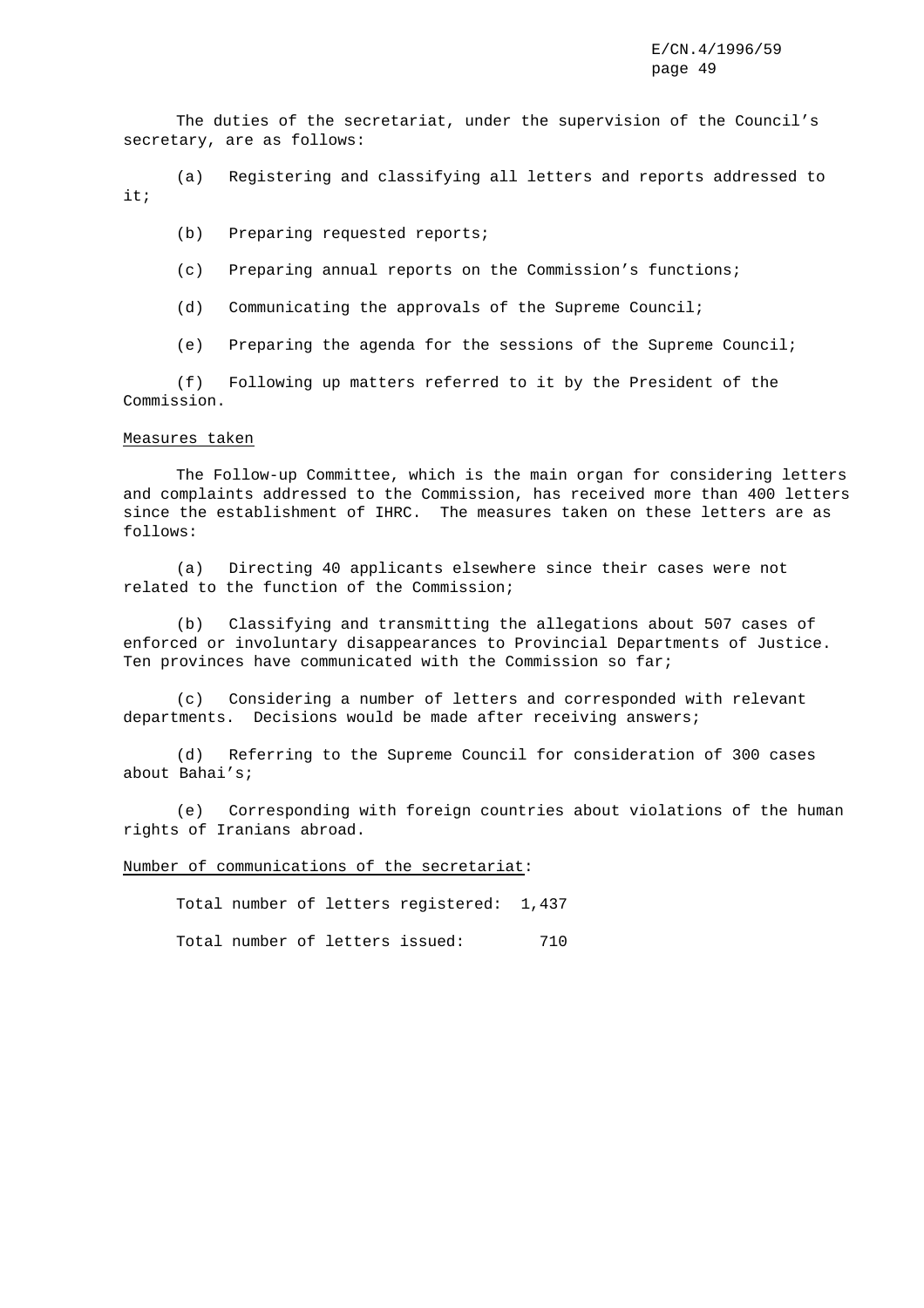The duties of the secretariat, under the supervision of the Council's secretary, are as follows:

(a) Registering and classifying all letters and reports addressed to it;

(b) Preparing requested reports;

- (c) Preparing annual reports on the Commission's functions;
- (d) Communicating the approvals of the Supreme Council;
- (e) Preparing the agenda for the sessions of the Supreme Council;

(f) Following up matters referred to it by the President of the Commission.

# Measures taken

The Follow-up Committee, which is the main organ for considering letters and complaints addressed to the Commission, has received more than 400 letters since the establishment of IHRC. The measures taken on these letters are as follows:

(a) Directing 40 applicants elsewhere since their cases were not related to the function of the Commission;

(b) Classifying and transmitting the allegations about 507 cases of enforced or involuntary disappearances to Provincial Departments of Justice. Ten provinces have communicated with the Commission so far;

(c) Considering a number of letters and corresponded with relevant departments. Decisions would be made after receiving answers;

(d) Referring to the Supreme Council for consideration of 300 cases about Bahai's;

(e) Corresponding with foreign countries about violations of the human rights of Iranians abroad.

Number of communications of the secretariat:

Total number of letters registered: 1,437

Total number of letters issued: 710